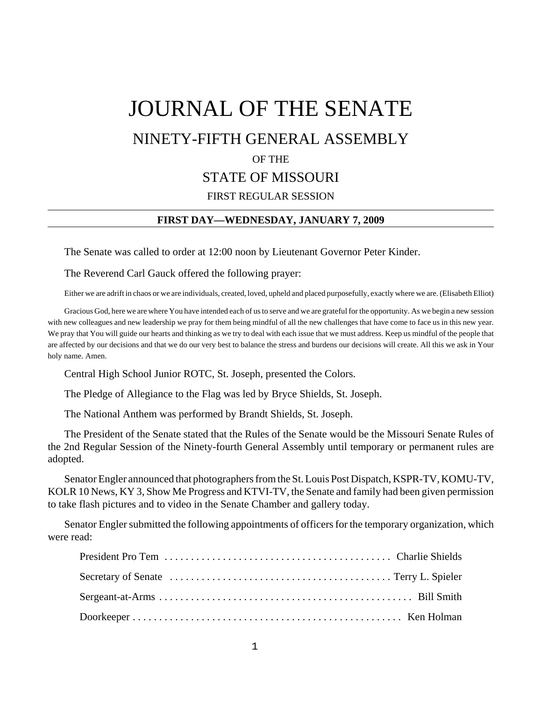# JOURNAL OF THE SENATE NINETY-FIFTH GENERAL ASSEMBLY OF THE STATE OF MISSOURI FIRST REGULAR SESSION

### **FIRST DAY—WEDNESDAY, JANUARY 7, 2009**

The Senate was called to order at 12:00 noon by Lieutenant Governor Peter Kinder.

The Reverend Carl Gauck offered the following prayer:

Either we are adrift in chaos or we are individuals, created, loved, upheld and placed purposefully, exactly where we are. (Elisabeth Elliot)

Gracious God, here we are where You have intended each of us to serve and we are grateful for the opportunity. As we begin a new session with new colleagues and new leadership we pray for them being mindful of all the new challenges that have come to face us in this new year. We pray that You will guide our hearts and thinking as we try to deal with each issue that we must address. Keep us mindful of the people that are affected by our decisions and that we do our very best to balance the stress and burdens our decisions will create. All this we ask in Your holy name. Amen.

Central High School Junior ROTC, St. Joseph, presented the Colors.

The Pledge of Allegiance to the Flag was led by Bryce Shields, St. Joseph.

The National Anthem was performed by Brandt Shields, St. Joseph.

The President of the Senate stated that the Rules of the Senate would be the Missouri Senate Rules of the 2nd Regular Session of the Ninety-fourth General Assembly until temporary or permanent rules are adopted.

Senator Engler announced that photographers from the St. Louis Post Dispatch, KSPR-TV, KOMU-TV, KOLR 10 News, KY 3, Show Me Progress and KTVI-TV, the Senate and family had been given permission to take flash pictures and to video in the Senate Chamber and gallery today.

Senator Engler submitted the following appointments of officers for the temporary organization, which were read: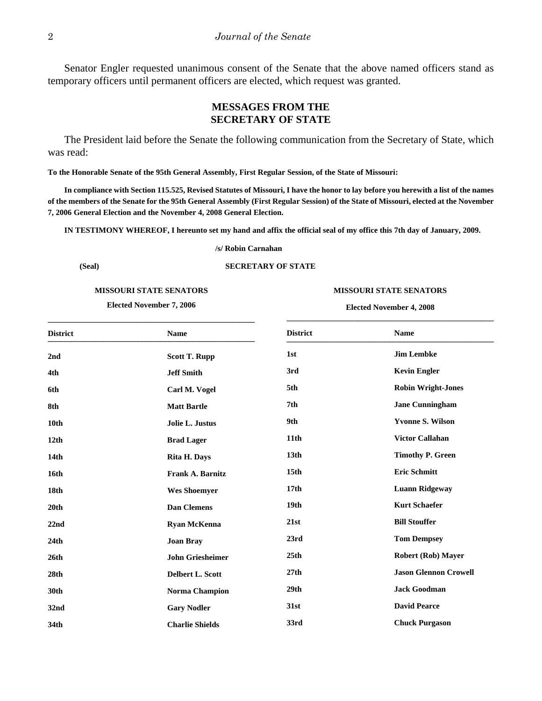Senator Engler requested unanimous consent of the Senate that the above named officers stand as temporary officers until permanent officers are elected, which request was granted.

# **MESSAGES FROM THE SECRETARY OF STATE**

The President laid before the Senate the following communication from the Secretary of State, which was read:

**To the Honorable Senate of the 95th General Assembly, First Regular Session, of the State of Missouri:**

**In compliance with Section 115.525, Revised Statutes of Missouri, I have the honor to lay before you herewith a list of the names of the members of the Senate for the 95th General Assembly (First Regular Session) of the State of Missouri, elected at the November 7, 2006 General Election and the November 4, 2008 General Election.**

**IN TESTIMONY WHEREOF, I hereunto set my hand and affix the official seal of my office this 7th day of January, 2009.**

**/s/ Robin Carnahan**

#### **(Seal) SECRETARY OF STATE**

#### **MISSOURI STATE SENATORS**

**Elected November 7, 2006**

#### **MISSOURI STATE SENATORS**

**Elected November 4, 2008 \_\_\_\_\_\_\_\_\_\_\_\_\_\_\_\_\_\_\_\_\_\_\_\_\_\_\_\_\_\_\_\_\_\_\_\_\_\_\_\_\_\_\_\_\_\_\_\_\_\_\_\_**

| <b>District</b>  | <b>Name</b>             | <b>District</b>  | <b>Name</b>                  |
|------------------|-------------------------|------------------|------------------------------|
| 2 <sub>nd</sub>  | <b>Scott T. Rupp</b>    | 1st              | <b>Jim Lembke</b>            |
| 4th              | <b>Jeff Smith</b>       | 3rd              | <b>Kevin Engler</b>          |
| 6th              | Carl M. Vogel           | 5th              | <b>Robin Wright-Jones</b>    |
| 8th              | <b>Matt Bartle</b>      | 7 <sub>th</sub>  | <b>Jane Cunningham</b>       |
| 10th             | Jolie L. Justus         | 9th              | <b>Yvonne S. Wilson</b>      |
| 12 <sub>th</sub> | <b>Brad Lager</b>       | 11 <sub>th</sub> | <b>Victor Callahan</b>       |
| 14th             | <b>Rita H. Days</b>     | 13 <sub>th</sub> | <b>Timothy P. Green</b>      |
| 16th             | Frank A. Barnitz        | 15 <sub>th</sub> | <b>Eric Schmitt</b>          |
| 18th             | <b>Wes Shoemyer</b>     | 17 <sub>th</sub> | <b>Luann Ridgeway</b>        |
| 20th             | <b>Dan Clemens</b>      | 19 <sub>th</sub> | <b>Kurt Schaefer</b>         |
| 22nd             | <b>Ryan McKenna</b>     | 21st             | <b>Bill Stouffer</b>         |
| 24th             | <b>Joan Bray</b>        | 23rd             | <b>Tom Dempsey</b>           |
| 26th             | <b>John Griesheimer</b> | 25th             | <b>Robert (Rob) Mayer</b>    |
| 28th             | Delbert L. Scott        | 27th             | <b>Jason Glennon Crowell</b> |
| 30th             | <b>Norma Champion</b>   | 29th             | <b>Jack Goodman</b>          |
| 32 <sub>nd</sub> | <b>Gary Nodler</b>      | 31st             | <b>David Pearce</b>          |
| 34th             | <b>Charlie Shields</b>  | 33rd             | <b>Chuck Purgason</b>        |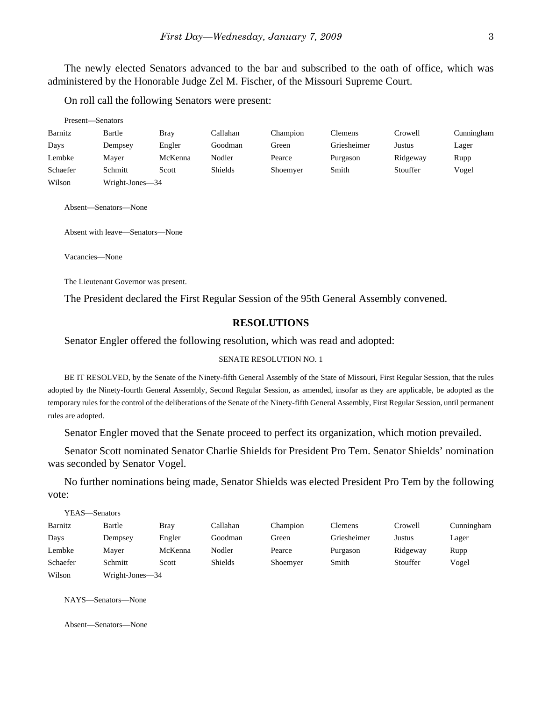The newly elected Senators advanced to the bar and subscribed to the oath of office, which was administered by the Honorable Judge Zel M. Fischer, of the Missouri Supreme Court.

On roll call the following Senators were present:

| Present-Senators |                 |             |                |          |             |          |            |
|------------------|-----------------|-------------|----------------|----------|-------------|----------|------------|
| Barnitz          | Bartle          | <b>Bray</b> | Callahan       | Champion | Clemens     | Crowell  | Cunningham |
| Days             | Dempsey         | Engler      | Goodman        | Green    | Griesheimer | Justus   | Lager      |
| Lembke           | Maver           | McKenna     | Nodler         | Pearce   | Purgason    | Ridgeway | Rupp       |
| Schaefer         | Schmitt         | Scott       | <b>Shields</b> | Shoemyer | Smith       | Stouffer | Vogel      |
| Wilson           | Wright-Jones—34 |             |                |          |             |          |            |

Absent—Senators—None

Absent with leave—Senators—None

Vacancies—None

The Lieutenant Governor was present.

The President declared the First Regular Session of the 95th General Assembly convened.

### **RESOLUTIONS**

Senator Engler offered the following resolution, which was read and adopted:

#### SENATE RESOLUTION NO. 1

BE IT RESOLVED, by the Senate of the Ninety-fifth General Assembly of the State of Missouri, First Regular Session, that the rules adopted by the Ninety-fourth General Assembly, Second Regular Session, as amended, insofar as they are applicable, be adopted as the temporary rules for the control of the deliberations of the Senate of the Ninety-fifth General Assembly, First Regular Session, until permanent rules are adopted.

Senator Engler moved that the Senate proceed to perfect its organization, which motion prevailed.

Senator Scott nominated Senator Charlie Shields for President Pro Tem. Senator Shields' nomination was seconded by Senator Vogel.

No further nominations being made, Senator Shields was elected President Pro Tem by the following vote:

|          | YEAS—Senators   |             |                |          |                |          |            |
|----------|-----------------|-------------|----------------|----------|----------------|----------|------------|
| Barnitz  | Bartle          | <b>Bray</b> | Callahan       | Champion | <b>Clemens</b> | Crowell  | Cunningham |
| Days     | Dempsey         | Engler      | Goodman        | Green    | Griesheimer    | Justus   | Lager      |
| Lembke   | Maver           | McKenna     | Nodler         | Pearce   | Purgason       | Ridgeway | Rupp       |
| Schaefer | Schmitt         | Scott       | <b>Shields</b> | Shoemyer | Smith          | Stouffer | Vogel      |
| Wilson   | Wright-Jones—34 |             |                |          |                |          |            |

NAYS—Senators—None

Absent—Senators—None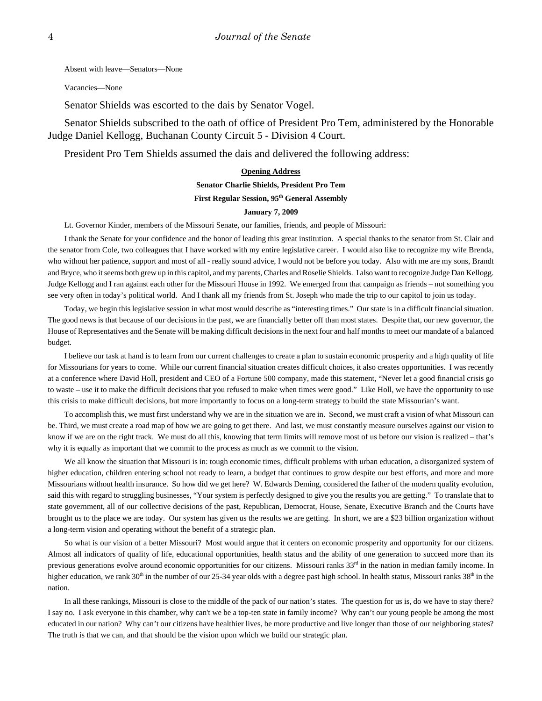Absent with leave—Senators—None

Vacancies—None

Senator Shields was escorted to the dais by Senator Vogel.

Senator Shields subscribed to the oath of office of President Pro Tem, administered by the Honorable Judge Daniel Kellogg, Buchanan County Circuit 5 - Division 4 Court.

President Pro Tem Shields assumed the dais and delivered the following address:

# **Opening Address**

#### **Senator Charlie Shields, President Pro Tem**

#### **First Regular Session, 95th General Assembly**

#### **January 7, 2009**

Lt. Governor Kinder, members of the Missouri Senate, our families, friends, and people of Missouri:

I thank the Senate for your confidence and the honor of leading this great institution. A special thanks to the senator from St. Clair and the senator from Cole, two colleagues that I have worked with my entire legislative career. I would also like to recognize my wife Brenda, who without her patience, support and most of all - really sound advice, I would not be before you today. Also with me are my sons, Brandt and Bryce, who it seems both grew up in this capitol, and my parents, Charles and Roselie Shields. I also want to recognize Judge Dan Kellogg. Judge Kellogg and I ran against each other for the Missouri House in 1992. We emerged from that campaign as friends – not something you see very often in today's political world. And I thank all my friends from St. Joseph who made the trip to our capitol to join us today.

Today, we begin this legislative session in what most would describe as "interesting times." Our state is in a difficult financial situation. The good news is that because of our decisions in the past, we are financially better off than most states. Despite that, our new governor, the House of Representatives and the Senate will be making difficult decisions in the next four and half months to meet our mandate of a balanced budget.

I believe our task at hand is to learn from our current challenges to create a plan to sustain economic prosperity and a high quality of life for Missourians for years to come. While our current financial situation creates difficult choices, it also creates opportunities. I was recently at a conference where David Holl, president and CEO of a Fortune 500 company, made this statement, "Never let a good financial crisis go to waste – use it to make the difficult decisions that you refused to make when times were good." Like Holl, we have the opportunity to use this crisis to make difficult decisions, but more importantly to focus on a long-term strategy to build the state Missourian's want.

To accomplish this, we must first understand why we are in the situation we are in. Second, we must craft a vision of what Missouri can be. Third, we must create a road map of how we are going to get there. And last, we must constantly measure ourselves against our vision to know if we are on the right track. We must do all this, knowing that term limits will remove most of us before our vision is realized – that's why it is equally as important that we commit to the process as much as we commit to the vision.

We all know the situation that Missouri is in: tough economic times, difficult problems with urban education, a disorganized system of higher education, children entering school not ready to learn, a budget that continues to grow despite our best efforts, and more and more Missourians without health insurance. So how did we get here? W. Edwards Deming, considered the father of the modern quality evolution, said this with regard to struggling businesses, "Your system is perfectly designed to give you the results you are getting." To translate that to state government, all of our collective decisions of the past, Republican, Democrat, House, Senate, Executive Branch and the Courts have brought us to the place we are today. Our system has given us the results we are getting. In short, we are a \$23 billion organization without a long-term vision and operating without the benefit of a strategic plan.

So what is our vision of a better Missouri? Most would argue that it centers on economic prosperity and opportunity for our citizens. Almost all indicators of quality of life, educational opportunities, health status and the ability of one generation to succeed more than its previous generations evolve around economic opportunities for our citizens. Missouri ranks  $33<sup>rd</sup>$  in the nation in median family income. In higher education, we rank 30<sup>th</sup> in the number of our 25-34 year olds with a degree past high school. In health status, Missouri ranks 38<sup>th</sup> in the nation.

In all these rankings, Missouri is close to the middle of the pack of our nation's states. The question for us is, do we have to stay there? I say no. I ask everyone in this chamber, why can't we be a top-ten state in family income? Why can't our young people be among the most educated in our nation? Why can't our citizens have healthier lives, be more productive and live longer than those of our neighboring states? The truth is that we can, and that should be the vision upon which we build our strategic plan.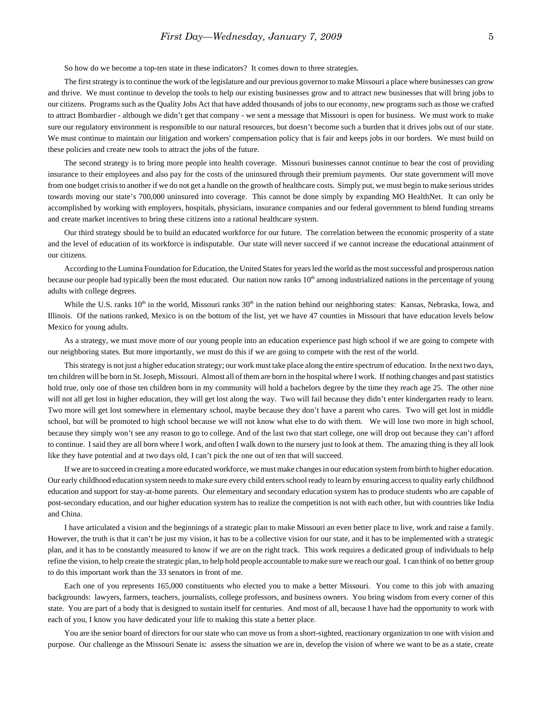So how do we become a top-ten state in these indicators? It comes down to three strategies.

The first strategy is to continue the work of the legislature and our previous governor to make Missouri a place where businesses can grow and thrive. We must continue to develop the tools to help our existing businesses grow and to attract new businesses that will bring jobs to our citizens. Programs such as the Quality Jobs Act that have added thousands of jobs to our economy, new programs such as those we crafted to attract Bombardier - although we didn't get that company - we sent a message that Missouri is open for business. We must work to make sure our regulatory environment is responsible to our natural resources, but doesn't become such a burden that it drives jobs out of our state. We must continue to maintain our litigation and workers' compensation policy that is fair and keeps jobs in our borders. We must build on these policies and create new tools to attract the jobs of the future.

The second strategy is to bring more people into health coverage. Missouri businesses cannot continue to bear the cost of providing insurance to their employees and also pay for the costs of the uninsured through their premium payments. Our state government will move from one budget crisis to another if we do not get a handle on the growth of healthcare costs. Simply put, we must begin to make serious strides towards moving our state's 700,000 uninsured into coverage. This cannot be done simply by expanding MO HealthNet. It can only be accomplished by working with employers, hospitals, physicians, insurance companies and our federal government to blend funding streams and create market incentives to bring these citizens into a rational healthcare system.

Our third strategy should be to build an educated workforce for our future. The correlation between the economic prosperity of a state and the level of education of its workforce is indisputable. Our state will never succeed if we cannot increase the educational attainment of our citizens.

According to the Lumina Foundation for Education, the United States for years led the world as the most successful and prosperous nation because our people had typically been the most educated. Our nation now ranks  $10<sup>th</sup>$  among industrialized nations in the percentage of young adults with college degrees.

While the U.S. ranks  $10<sup>th</sup>$  in the world, Missouri ranks  $30<sup>th</sup>$  in the nation behind our neighboring states: Kansas, Nebraska, Iowa, and Illinois. Of the nations ranked, Mexico is on the bottom of the list, yet we have 47 counties in Missouri that have education levels below Mexico for young adults.

As a strategy, we must move more of our young people into an education experience past high school if we are going to compete with our neighboring states. But more importantly, we must do this if we are going to compete with the rest of the world.

This strategy is not just a higher education strategy; our work must take place along the entire spectrum of education. In the next two days, ten children will be born in St. Joseph, Missouri. Almost all of them are born in the hospital where I work. If nothing changes and past statistics hold true, only one of those ten children born in my community will hold a bachelors degree by the time they reach age 25. The other nine will not all get lost in higher education, they will get lost along the way. Two will fail because they didn't enter kindergarten ready to learn. Two more will get lost somewhere in elementary school, maybe because they don't have a parent who cares. Two will get lost in middle school, but will be promoted to high school because we will not know what else to do with them. We will lose two more in high school, because they simply won't see any reason to go to college. And of the last two that start college, one will drop out because they can't afford to continue. I said they are all born where I work, and often I walk down to the nursery just to look at them. The amazing thing is they all look like they have potential and at two days old, I can't pick the one out of ten that will succeed.

If we are to succeed in creating a more educated workforce, we must make changes in our education system from birth to higher education. Our early childhood education system needs to make sure every child enters school ready to learn by ensuring access to quality early childhood education and support for stay-at-home parents. Our elementary and secondary education system has to produce students who are capable of post-secondary education, and our higher education system has to realize the competition is not with each other, but with countries like India and China.

I have articulated a vision and the beginnings of a strategic plan to make Missouri an even better place to live, work and raise a family. However, the truth is that it can't be just my vision, it has to be a collective vision for our state, and it has to be implemented with a strategic plan, and it has to be constantly measured to know if we are on the right track. This work requires a dedicated group of individuals to help refine the vision, to help create the strategic plan, to help hold people accountable to make sure we reach our goal. I can think of no better group to do this important work than the 33 senators in front of me.

Each one of you represents 165,000 constituents who elected you to make a better Missouri. You come to this job with amazing backgrounds: lawyers, farmers, teachers, journalists, college professors, and business owners. You bring wisdom from every corner of this state. You are part of a body that is designed to sustain itself for centuries. And most of all, because I have had the opportunity to work with each of you, I know you have dedicated your life to making this state a better place.

You are the senior board of directors for our state who can move us from a short-sighted, reactionary organization to one with vision and purpose. Our challenge as the Missouri Senate is: assess the situation we are in, develop the vision of where we want to be as a state, create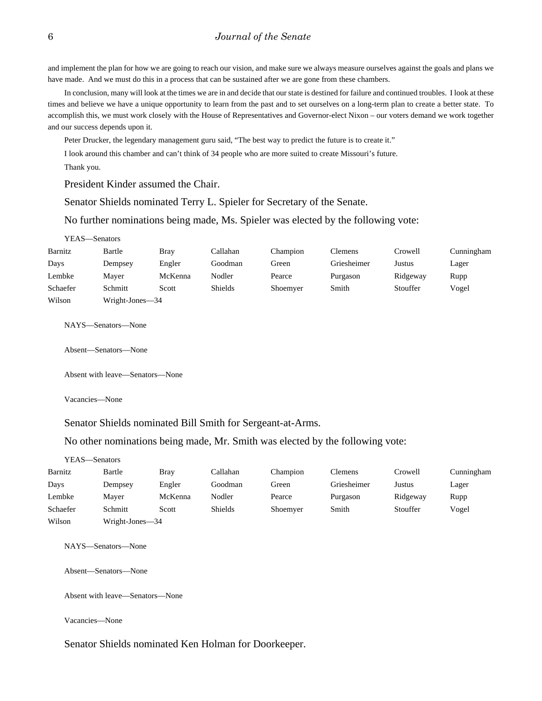and implement the plan for how we are going to reach our vision, and make sure we always measure ourselves against the goals and plans we have made. And we must do this in a process that can be sustained after we are gone from these chambers.

In conclusion, many will look at the times we are in and decide that our state is destined for failure and continued troubles. I look at these times and believe we have a unique opportunity to learn from the past and to set ourselves on a long-term plan to create a better state. To accomplish this, we must work closely with the House of Representatives and Governor-elect Nixon – our voters demand we work together and our success depends upon it.

Peter Drucker, the legendary management guru said, "The best way to predict the future is to create it."

I look around this chamber and can't think of 34 people who are more suited to create Missouri's future.

Thank you.

President Kinder assumed the Chair.

Senator Shields nominated Terry L. Spieler for Secretary of the Senate.

No further nominations being made, Ms. Spieler was elected by the following vote:

| YEAS—Senators |                 |             |                |          |             |          |            |
|---------------|-----------------|-------------|----------------|----------|-------------|----------|------------|
| Barnitz       | Bartle          | <b>Bray</b> | Callahan       | Champion | Clemens     | Crowell  | Cunningham |
| Days          | Dempsey         | Engler      | Goodman        | Green    | Griesheimer | Justus   | Lager      |
| Lembke        | Mayer           | McKenna     | Nodler         | Pearce   | Purgason    | Ridgeway | Rupp       |
| Schaefer      | Schmitt         | Scott       | <b>Shields</b> | Shoemyer | Smith       | Stouffer | Vogel      |
| Wilson        | Wright-Jones-34 |             |                |          |             |          |            |

NAYS—Senators—None

Absent—Senators—None

Absent with leave—Senators—None

Vacancies—None

Senator Shields nominated Bill Smith for Sergeant-at-Arms.

No other nominations being made, Mr. Smith was elected by the following vote:

|          | YEAS—Senators   |             |                |          |                |          |            |
|----------|-----------------|-------------|----------------|----------|----------------|----------|------------|
| Barnitz  | Bartle          | <b>Bray</b> | Callahan       | Champion | <b>Clemens</b> | Crowell  | Cunningham |
| Days     | Dempsey         | Engler      | Goodman        | Green    | Griesheimer    | Justus   | Lager      |
| Lembke   | Mayer           | McKenna     | Nodler         | Pearce   | Purgason       | Ridgeway | Rupp       |
| Schaefer | Schmitt         | Scott       | <b>Shields</b> | Shoemyer | Smith          | Stouffer | Vogel      |
| Wilson   | Wright-Jones—34 |             |                |          |                |          |            |

NAYS—Senators—None

Absent—Senators—None

Absent with leave—Senators—None

Vacancies—None

Senator Shields nominated Ken Holman for Doorkeeper.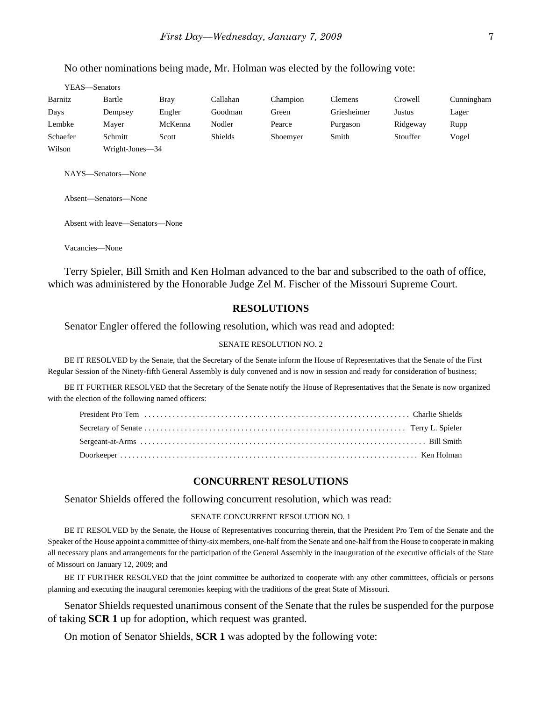No other nominations being made, Mr. Holman was elected by the following vote:

| YEAS—Senators |                 |             |                |          |             |          |            |
|---------------|-----------------|-------------|----------------|----------|-------------|----------|------------|
| Barnitz       | Bartle          | <b>Bray</b> | Callahan       | Champion | Clemens     | Crowell  | Cunningham |
| Days          | Dempsey         | Engler      | Goodman        | Green    | Griesheimer | Justus   | Lager      |
| Lembke        | Mayer           | McKenna     | Nodler         | Pearce   | Purgason    | Ridgeway | Rupp       |
| Schaefer      | Schmitt         | Scott       | <b>Shields</b> | Shoemyer | Smith       | Stouffer | Vogel      |
| Wilson        | Wright-Jones-34 |             |                |          |             |          |            |

NAYS—Senators—None

Absent—Senators—None

Absent with leave—Senators—None

Vacancies—None

Terry Spieler, Bill Smith and Ken Holman advanced to the bar and subscribed to the oath of office, which was administered by the Honorable Judge Zel M. Fischer of the Missouri Supreme Court.

### **RESOLUTIONS**

Senator Engler offered the following resolution, which was read and adopted:

#### SENATE RESOLUTION NO. 2

BE IT RESOLVED by the Senate, that the Secretary of the Senate inform the House of Representatives that the Senate of the First Regular Session of the Ninety-fifth General Assembly is duly convened and is now in session and ready for consideration of business;

BE IT FURTHER RESOLVED that the Secretary of the Senate notify the House of Representatives that the Senate is now organized with the election of the following named officers:

### **CONCURRENT RESOLUTIONS**

Senator Shields offered the following concurrent resolution, which was read:

#### SENATE CONCURRENT RESOLUTION NO. 1

BE IT RESOLVED by the Senate, the House of Representatives concurring therein, that the President Pro Tem of the Senate and the Speaker of the House appoint a committee of thirty-six members, one-half from the Senate and one-half from the House to cooperate in making all necessary plans and arrangements for the participation of the General Assembly in the inauguration of the executive officials of the State of Missouri on January 12, 2009; and

BE IT FURTHER RESOLVED that the joint committee be authorized to cooperate with any other committees, officials or persons planning and executing the inaugural ceremonies keeping with the traditions of the great State of Missouri.

Senator Shields requested unanimous consent of the Senate that the rules be suspended for the purpose of taking **SCR 1** up for adoption, which request was granted.

On motion of Senator Shields, **SCR 1** was adopted by the following vote: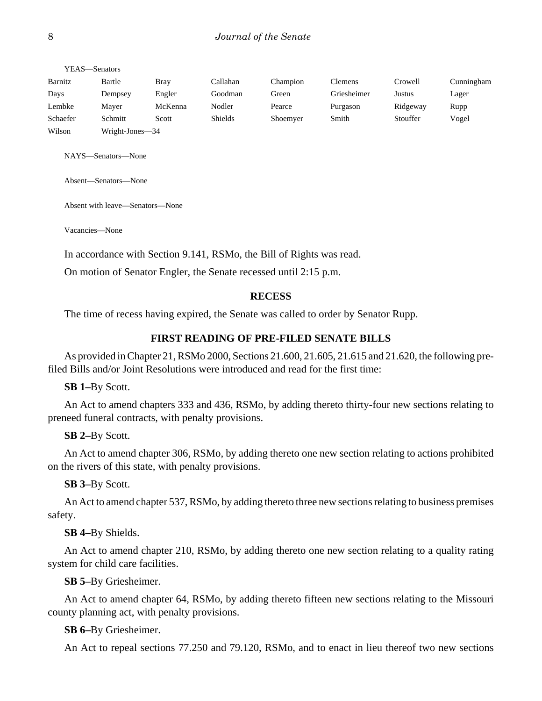| YEAS—Senators |                 |             |                |          |                |          |            |
|---------------|-----------------|-------------|----------------|----------|----------------|----------|------------|
| Barnitz       | Bartle          | <b>Bray</b> | Callahan       | Champion | <b>Clemens</b> | Crowell  | Cunningham |
| Days          | Dempsey         | Engler      | Goodman        | Green    | Griesheimer    | Justus   | Lager      |
| Lembke        | Maver           | McKenna     | Nodler         | Pearce   | Purgason       | Ridgeway | Rupp       |
| Schaefer      | Schmitt         | Scott       | <b>Shields</b> | Shoemyer | Smith          | Stouffer | Vogel      |
| Wilson        | Wright-Jones—34 |             |                |          |                |          |            |

NAYS—Senators—None

Absent—Senators—None

Absent with leave—Senators—None

Vacancies—None

In accordance with Section 9.141, RSMo, the Bill of Rights was read.

On motion of Senator Engler, the Senate recessed until 2:15 p.m.

#### **RECESS**

The time of recess having expired, the Senate was called to order by Senator Rupp.

### **FIRST READING OF PRE-FILED SENATE BILLS**

As provided in Chapter 21, RSMo 2000, Sections 21.600, 21.605, 21.615 and 21.620, the following prefiled Bills and/or Joint Resolutions were introduced and read for the first time:

**SB 1–**By Scott.

An Act to amend chapters 333 and 436, RSMo, by adding thereto thirty-four new sections relating to preneed funeral contracts, with penalty provisions.

### **SB 2–**By Scott.

An Act to amend chapter 306, RSMo, by adding thereto one new section relating to actions prohibited on the rivers of this state, with penalty provisions.

**SB 3–**By Scott.

An Act to amend chapter 537, RSMo, by adding thereto three new sections relating to business premises safety.

**SB 4–**By Shields.

An Act to amend chapter 210, RSMo, by adding thereto one new section relating to a quality rating system for child care facilities.

**SB 5–**By Griesheimer.

An Act to amend chapter 64, RSMo, by adding thereto fifteen new sections relating to the Missouri county planning act, with penalty provisions.

#### **SB 6–**By Griesheimer.

An Act to repeal sections 77.250 and 79.120, RSMo, and to enact in lieu thereof two new sections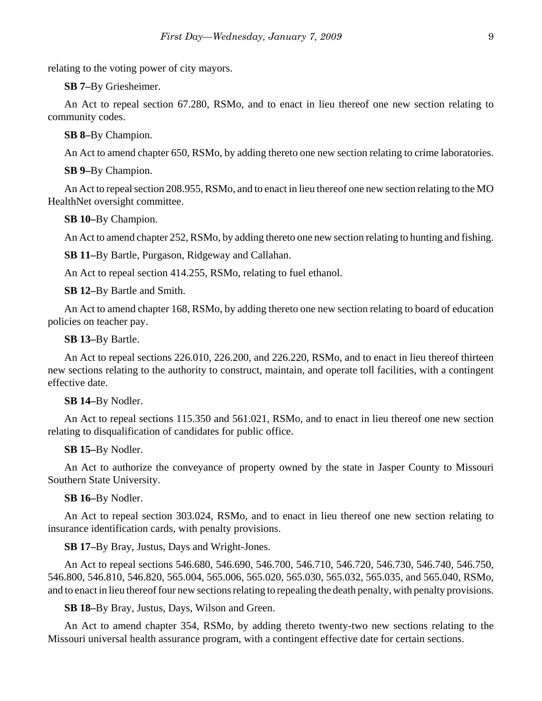relating to the voting power of city mayors.

**SB 7–**By Griesheimer.

An Act to repeal section 67.280, RSMo, and to enact in lieu thereof one new section relating to community codes.

**SB 8–**By Champion.

An Act to amend chapter 650, RSMo, by adding thereto one new section relating to crime laboratories.

**SB 9–**By Champion.

An Act to repeal section 208.955, RSMo, and to enact in lieu thereof one new section relating to the MO HealthNet oversight committee.

**SB 10–**By Champion.

An Act to amend chapter 252, RSMo, by adding thereto one new section relating to hunting and fishing.

**SB 11–**By Bartle, Purgason, Ridgeway and Callahan.

An Act to repeal section 414.255, RSMo, relating to fuel ethanol.

**SB 12–**By Bartle and Smith.

An Act to amend chapter 168, RSMo, by adding thereto one new section relating to board of education policies on teacher pay.

### **SB 13–**By Bartle.

An Act to repeal sections 226.010, 226.200, and 226.220, RSMo, and to enact in lieu thereof thirteen new sections relating to the authority to construct, maintain, and operate toll facilities, with a contingent effective date.

#### **SB 14–**By Nodler.

An Act to repeal sections 115.350 and 561.021, RSMo, and to enact in lieu thereof one new section relating to disqualification of candidates for public office.

#### **SB 15–**By Nodler.

An Act to authorize the conveyance of property owned by the state in Jasper County to Missouri Southern State University.

### **SB 16–**By Nodler.

An Act to repeal section 303.024, RSMo, and to enact in lieu thereof one new section relating to insurance identification cards, with penalty provisions.

#### **SB 17–**By Bray, Justus, Days and Wright-Jones.

An Act to repeal sections 546.680, 546.690, 546.700, 546.710, 546.720, 546.730, 546.740, 546.750, 546.800, 546.810, 546.820, 565.004, 565.006, 565.020, 565.030, 565.032, 565.035, and 565.040, RSMo, and to enact in lieu thereof four new sections relating to repealing the death penalty, with penalty provisions.

**SB 18–**By Bray, Justus, Days, Wilson and Green.

An Act to amend chapter 354, RSMo, by adding thereto twenty-two new sections relating to the Missouri universal health assurance program, with a contingent effective date for certain sections.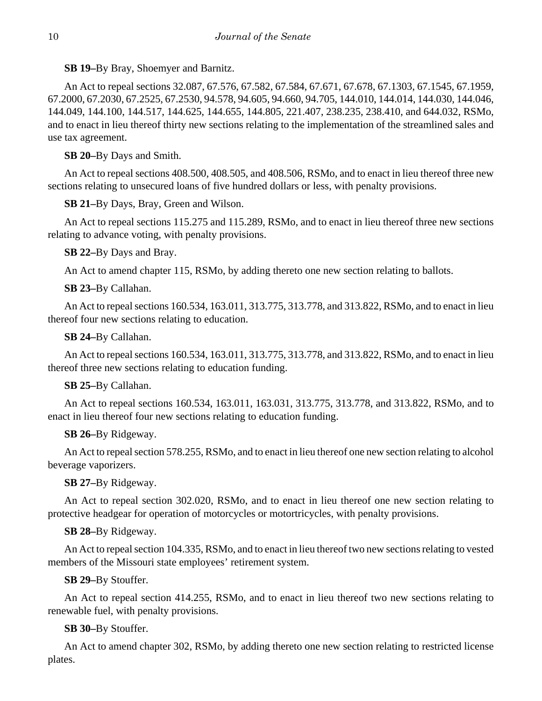**SB 19–**By Bray, Shoemyer and Barnitz.

An Act to repeal sections 32.087, 67.576, 67.582, 67.584, 67.671, 67.678, 67.1303, 67.1545, 67.1959, 67.2000, 67.2030, 67.2525, 67.2530, 94.578, 94.605, 94.660, 94.705, 144.010, 144.014, 144.030, 144.046, 144.049, 144.100, 144.517, 144.625, 144.655, 144.805, 221.407, 238.235, 238.410, and 644.032, RSMo, and to enact in lieu thereof thirty new sections relating to the implementation of the streamlined sales and use tax agreement.

# **SB 20–**By Days and Smith.

An Act to repeal sections 408.500, 408.505, and 408.506, RSMo, and to enact in lieu thereof three new sections relating to unsecured loans of five hundred dollars or less, with penalty provisions.

**SB 21–**By Days, Bray, Green and Wilson.

An Act to repeal sections 115.275 and 115.289, RSMo, and to enact in lieu thereof three new sections relating to advance voting, with penalty provisions.

**SB 22–**By Days and Bray.

An Act to amend chapter 115, RSMo, by adding thereto one new section relating to ballots.

**SB 23–**By Callahan.

An Act to repeal sections 160.534, 163.011, 313.775, 313.778, and 313.822, RSMo, and to enact in lieu thereof four new sections relating to education.

**SB 24–**By Callahan.

An Act to repeal sections 160.534, 163.011, 313.775, 313.778, and 313.822, RSMo, and to enact in lieu thereof three new sections relating to education funding.

# **SB 25–**By Callahan.

An Act to repeal sections 160.534, 163.011, 163.031, 313.775, 313.778, and 313.822, RSMo, and to enact in lieu thereof four new sections relating to education funding.

# **SB 26–**By Ridgeway.

An Act to repeal section 578.255, RSMo, and to enact in lieu thereof one new section relating to alcohol beverage vaporizers.

# **SB 27–**By Ridgeway.

An Act to repeal section 302.020, RSMo, and to enact in lieu thereof one new section relating to protective headgear for operation of motorcycles or motortricycles, with penalty provisions.

# **SB 28–**By Ridgeway.

An Act to repeal section 104.335, RSMo, and to enact in lieu thereof two new sections relating to vested members of the Missouri state employees' retirement system.

# **SB 29–**By Stouffer.

An Act to repeal section 414.255, RSMo, and to enact in lieu thereof two new sections relating to renewable fuel, with penalty provisions.

# **SB 30–**By Stouffer.

An Act to amend chapter 302, RSMo, by adding thereto one new section relating to restricted license plates.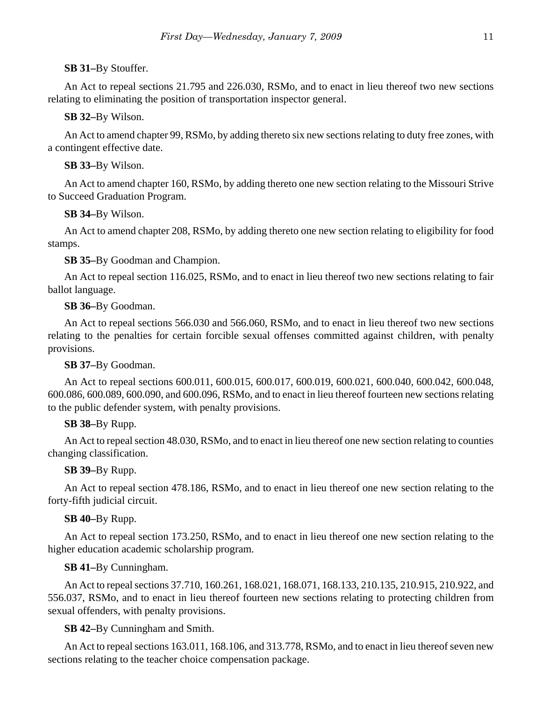# **SB 31–**By Stouffer.

An Act to repeal sections 21.795 and 226.030, RSMo, and to enact in lieu thereof two new sections relating to eliminating the position of transportation inspector general.

# **SB 32–**By Wilson.

An Act to amend chapter 99, RSMo, by adding thereto six new sections relating to duty free zones, with a contingent effective date.

# **SB 33–**By Wilson.

An Act to amend chapter 160, RSMo, by adding thereto one new section relating to the Missouri Strive to Succeed Graduation Program.

# **SB 34–**By Wilson.

An Act to amend chapter 208, RSMo, by adding thereto one new section relating to eligibility for food stamps.

# **SB 35–**By Goodman and Champion.

An Act to repeal section 116.025, RSMo, and to enact in lieu thereof two new sections relating to fair ballot language.

# **SB 36–**By Goodman.

An Act to repeal sections 566.030 and 566.060, RSMo, and to enact in lieu thereof two new sections relating to the penalties for certain forcible sexual offenses committed against children, with penalty provisions.

# **SB 37–**By Goodman.

An Act to repeal sections 600.011, 600.015, 600.017, 600.019, 600.021, 600.040, 600.042, 600.048, 600.086, 600.089, 600.090, and 600.096, RSMo, and to enact in lieu thereof fourteen new sections relating to the public defender system, with penalty provisions.

# **SB 38–**By Rupp.

An Act to repeal section 48.030, RSMo, and to enact in lieu thereof one new section relating to counties changing classification.

# **SB 39–**By Rupp.

An Act to repeal section 478.186, RSMo, and to enact in lieu thereof one new section relating to the forty-fifth judicial circuit.

# **SB 40–**By Rupp.

An Act to repeal section 173.250, RSMo, and to enact in lieu thereof one new section relating to the higher education academic scholarship program.

# **SB 41–**By Cunningham.

An Act to repeal sections 37.710, 160.261, 168.021, 168.071, 168.133, 210.135, 210.915, 210.922, and 556.037, RSMo, and to enact in lieu thereof fourteen new sections relating to protecting children from sexual offenders, with penalty provisions.

# **SB 42–**By Cunningham and Smith.

An Act to repeal sections 163.011, 168.106, and 313.778, RSMo, and to enact in lieu thereof seven new sections relating to the teacher choice compensation package.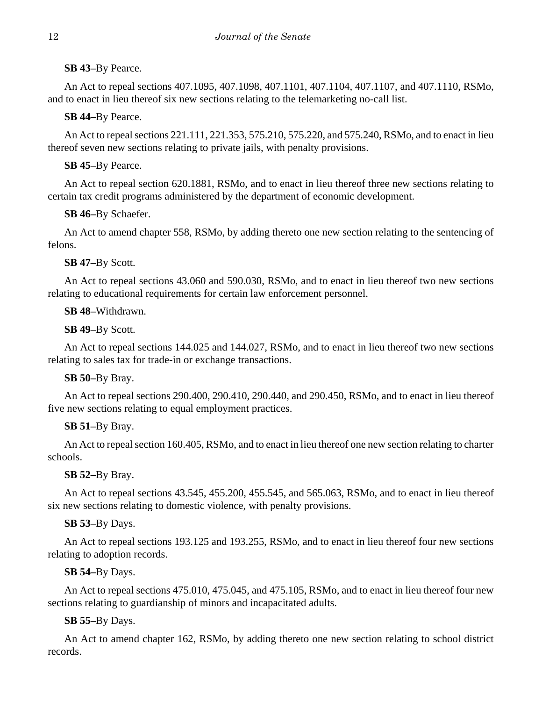**SB 43–**By Pearce.

An Act to repeal sections 407.1095, 407.1098, 407.1101, 407.1104, 407.1107, and 407.1110, RSMo, and to enact in lieu thereof six new sections relating to the telemarketing no-call list.

**SB 44–**By Pearce.

An Act to repeal sections 221.111, 221.353, 575.210, 575.220, and 575.240, RSMo, and to enact in lieu thereof seven new sections relating to private jails, with penalty provisions.

**SB 45–**By Pearce.

An Act to repeal section 620.1881, RSMo, and to enact in lieu thereof three new sections relating to certain tax credit programs administered by the department of economic development.

**SB 46–**By Schaefer.

An Act to amend chapter 558, RSMo, by adding thereto one new section relating to the sentencing of felons.

**SB 47–**By Scott.

An Act to repeal sections 43.060 and 590.030, RSMo, and to enact in lieu thereof two new sections relating to educational requirements for certain law enforcement personnel.

**SB 48–**Withdrawn.

**SB 49–**By Scott.

An Act to repeal sections 144.025 and 144.027, RSMo, and to enact in lieu thereof two new sections relating to sales tax for trade-in or exchange transactions.

**SB 50–**By Bray.

An Act to repeal sections 290.400, 290.410, 290.440, and 290.450, RSMo, and to enact in lieu thereof five new sections relating to equal employment practices.

# **SB 51–**By Bray.

An Act to repeal section 160.405, RSMo, and to enact in lieu thereof one new section relating to charter schools.

**SB 52–**By Bray.

An Act to repeal sections 43.545, 455.200, 455.545, and 565.063, RSMo, and to enact in lieu thereof six new sections relating to domestic violence, with penalty provisions.

# **SB 53–**By Days.

An Act to repeal sections 193.125 and 193.255, RSMo, and to enact in lieu thereof four new sections relating to adoption records.

**SB 54–**By Days.

An Act to repeal sections 475.010, 475.045, and 475.105, RSMo, and to enact in lieu thereof four new sections relating to guardianship of minors and incapacitated adults.

# **SB 55–**By Days.

An Act to amend chapter 162, RSMo, by adding thereto one new section relating to school district records.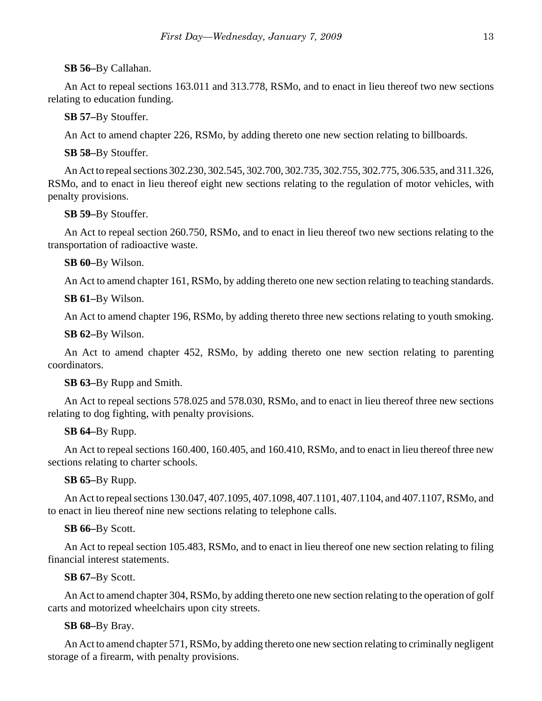**SB 56–**By Callahan.

An Act to repeal sections 163.011 and 313.778, RSMo, and to enact in lieu thereof two new sections relating to education funding.

**SB 57–**By Stouffer.

An Act to amend chapter 226, RSMo, by adding thereto one new section relating to billboards.

**SB 58–**By Stouffer.

An Act to repeal sections 302.230, 302.545, 302.700, 302.735, 302.755, 302.775, 306.535, and 311.326, RSMo, and to enact in lieu thereof eight new sections relating to the regulation of motor vehicles, with penalty provisions.

**SB 59–**By Stouffer.

An Act to repeal section 260.750, RSMo, and to enact in lieu thereof two new sections relating to the transportation of radioactive waste.

**SB 60–**By Wilson.

An Act to amend chapter 161, RSMo, by adding thereto one new section relating to teaching standards.

**SB 61–**By Wilson.

An Act to amend chapter 196, RSMo, by adding thereto three new sections relating to youth smoking.

**SB 62–**By Wilson.

An Act to amend chapter 452, RSMo, by adding thereto one new section relating to parenting coordinators.

**SB 63–**By Rupp and Smith.

An Act to repeal sections 578.025 and 578.030, RSMo, and to enact in lieu thereof three new sections relating to dog fighting, with penalty provisions.

# **SB 64–**By Rupp.

An Act to repeal sections 160.400, 160.405, and 160.410, RSMo, and to enact in lieu thereof three new sections relating to charter schools.

**SB 65–**By Rupp.

An Act to repeal sections 130.047, 407.1095, 407.1098, 407.1101, 407.1104, and 407.1107, RSMo, and to enact in lieu thereof nine new sections relating to telephone calls.

# **SB 66–**By Scott.

An Act to repeal section 105.483, RSMo, and to enact in lieu thereof one new section relating to filing financial interest statements.

**SB 67–**By Scott.

An Act to amend chapter 304, RSMo, by adding thereto one new section relating to the operation of golf carts and motorized wheelchairs upon city streets.

# **SB 68–**By Bray.

An Act to amend chapter 571, RSMo, by adding thereto one new section relating to criminally negligent storage of a firearm, with penalty provisions.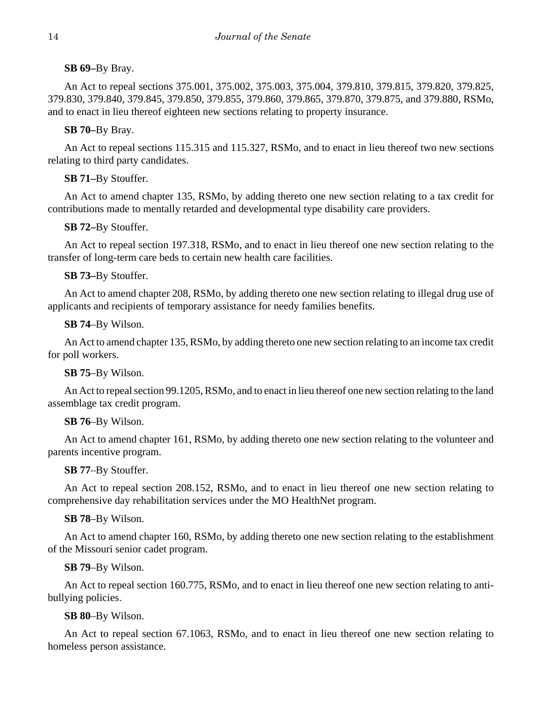**SB 69–**By Bray.

An Act to repeal sections 375.001, 375.002, 375.003, 375.004, 379.810, 379.815, 379.820, 379.825, 379.830, 379.840, 379.845, 379.850, 379.855, 379.860, 379.865, 379.870, 379.875, and 379.880, RSMo, and to enact in lieu thereof eighteen new sections relating to property insurance.

**SB 70–**By Bray.

An Act to repeal sections 115.315 and 115.327, RSMo, and to enact in lieu thereof two new sections relating to third party candidates.

**SB 71–**By Stouffer.

An Act to amend chapter 135, RSMo, by adding thereto one new section relating to a tax credit for contributions made to mentally retarded and developmental type disability care providers.

**SB 72–**By Stouffer.

An Act to repeal section 197.318, RSMo, and to enact in lieu thereof one new section relating to the transfer of long-term care beds to certain new health care facilities.

**SB 73–**By Stouffer.

An Act to amend chapter 208, RSMo, by adding thereto one new section relating to illegal drug use of applicants and recipients of temporary assistance for needy families benefits.

**SB 74**–By Wilson.

An Act to amend chapter 135, RSMo, by adding thereto one new section relating to an income tax credit for poll workers.

**SB 75**–By Wilson.

An Act to repeal section 99.1205, RSMo, and to enact in lieu thereof one new section relating to the land assemblage tax credit program.

**SB 76**–By Wilson.

An Act to amend chapter 161, RSMo, by adding thereto one new section relating to the volunteer and parents incentive program.

**SB 77**–By Stouffer.

An Act to repeal section 208.152, RSMo, and to enact in lieu thereof one new section relating to comprehensive day rehabilitation services under the MO HealthNet program.

**SB 78**–By Wilson.

An Act to amend chapter 160, RSMo, by adding thereto one new section relating to the establishment of the Missouri senior cadet program.

**SB 79**–By Wilson.

An Act to repeal section 160.775, RSMo, and to enact in lieu thereof one new section relating to antibullying policies.

**SB 80**–By Wilson.

An Act to repeal section 67.1063, RSMo, and to enact in lieu thereof one new section relating to homeless person assistance.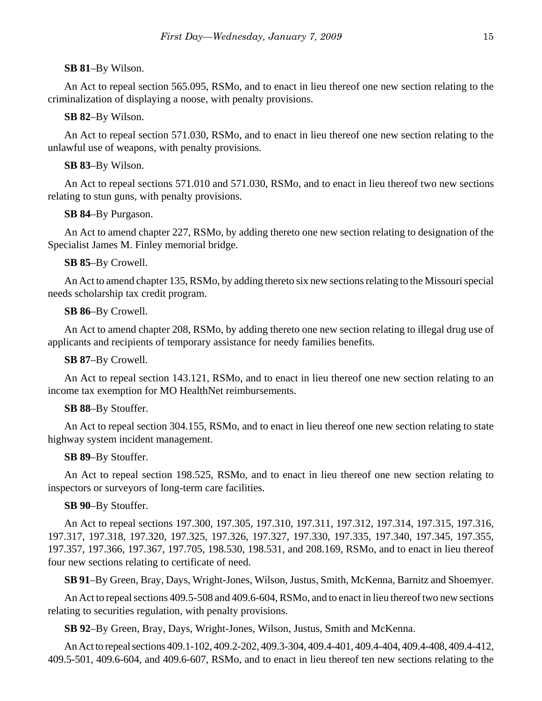#### **SB 81**–By Wilson.

An Act to repeal section 565.095, RSMo, and to enact in lieu thereof one new section relating to the criminalization of displaying a noose, with penalty provisions.

### **SB 82**–By Wilson.

An Act to repeal section 571.030, RSMo, and to enact in lieu thereof one new section relating to the unlawful use of weapons, with penalty provisions.

#### **SB 83**–By Wilson.

An Act to repeal sections 571.010 and 571.030, RSMo, and to enact in lieu thereof two new sections relating to stun guns, with penalty provisions.

### **SB 84**–By Purgason.

An Act to amend chapter 227, RSMo, by adding thereto one new section relating to designation of the Specialist James M. Finley memorial bridge.

### **SB 85**–By Crowell.

An Act to amend chapter 135, RSMo, by adding thereto six new sections relating to the Missouri special needs scholarship tax credit program.

### **SB 86**–By Crowell.

An Act to amend chapter 208, RSMo, by adding thereto one new section relating to illegal drug use of applicants and recipients of temporary assistance for needy families benefits.

### **SB 87**–By Crowell.

An Act to repeal section 143.121, RSMo, and to enact in lieu thereof one new section relating to an income tax exemption for MO HealthNet reimbursements.

#### **SB 88**–By Stouffer.

An Act to repeal section 304.155, RSMo, and to enact in lieu thereof one new section relating to state highway system incident management.

### **SB 89**–By Stouffer.

An Act to repeal section 198.525, RSMo, and to enact in lieu thereof one new section relating to inspectors or surveyors of long-term care facilities.

### **SB 90**–By Stouffer.

An Act to repeal sections 197.300, 197.305, 197.310, 197.311, 197.312, 197.314, 197.315, 197.316, 197.317, 197.318, 197.320, 197.325, 197.326, 197.327, 197.330, 197.335, 197.340, 197.345, 197.355, 197.357, 197.366, 197.367, 197.705, 198.530, 198.531, and 208.169, RSMo, and to enact in lieu thereof four new sections relating to certificate of need.

**SB 91**–By Green, Bray, Days, Wright-Jones, Wilson, Justus, Smith, McKenna, Barnitz and Shoemyer.

An Act to repeal sections 409.5-508 and 409.6-604, RSMo, and to enact in lieu thereof two new sections relating to securities regulation, with penalty provisions.

**SB 92**–By Green, Bray, Days, Wright-Jones, Wilson, Justus, Smith and McKenna.

An Act to repeal sections 409.1-102, 409.2-202, 409.3-304, 409.4-401, 409.4-404, 409.4-408, 409.4-412, 409.5-501, 409.6-604, and 409.6-607, RSMo, and to enact in lieu thereof ten new sections relating to the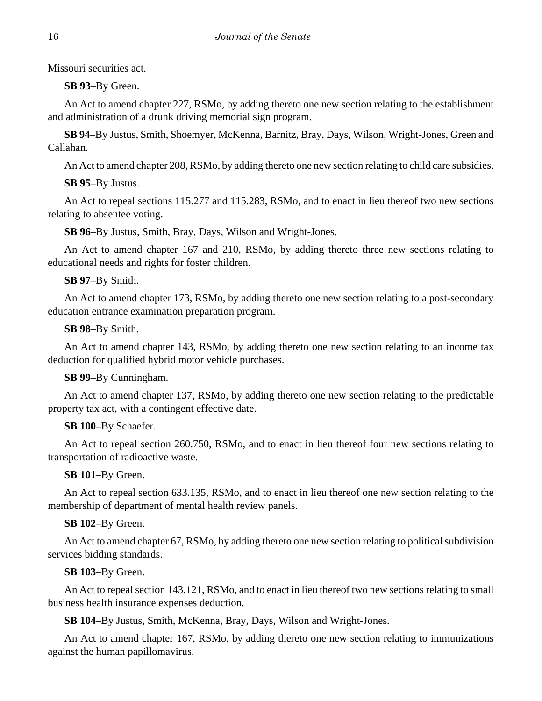Missouri securities act.

**SB 93**–By Green.

An Act to amend chapter 227, RSMo, by adding thereto one new section relating to the establishment and administration of a drunk driving memorial sign program.

**SB 94**–By Justus, Smith, Shoemyer, McKenna, Barnitz, Bray, Days, Wilson, Wright-Jones, Green and Callahan.

An Act to amend chapter 208, RSMo, by adding thereto one new section relating to child care subsidies.

# **SB 95**–By Justus.

An Act to repeal sections 115.277 and 115.283, RSMo, and to enact in lieu thereof two new sections relating to absentee voting.

**SB 96**–By Justus, Smith, Bray, Days, Wilson and Wright-Jones.

An Act to amend chapter 167 and 210, RSMo, by adding thereto three new sections relating to educational needs and rights for foster children.

# **SB 97**–By Smith.

An Act to amend chapter 173, RSMo, by adding thereto one new section relating to a post-secondary education entrance examination preparation program.

# **SB 98**–By Smith.

An Act to amend chapter 143, RSMo, by adding thereto one new section relating to an income tax deduction for qualified hybrid motor vehicle purchases.

# **SB 99**–By Cunningham.

An Act to amend chapter 137, RSMo, by adding thereto one new section relating to the predictable property tax act, with a contingent effective date.

# **SB 100**–By Schaefer.

An Act to repeal section 260.750, RSMo, and to enact in lieu thereof four new sections relating to transportation of radioactive waste.

# **SB 101**–By Green.

An Act to repeal section 633.135, RSMo, and to enact in lieu thereof one new section relating to the membership of department of mental health review panels.

# **SB 102**–By Green.

An Act to amend chapter 67, RSMo, by adding thereto one new section relating to political subdivision services bidding standards.

# **SB 103**–By Green.

An Act to repeal section 143.121, RSMo, and to enact in lieu thereof two new sections relating to small business health insurance expenses deduction.

**SB 104**–By Justus, Smith, McKenna, Bray, Days, Wilson and Wright-Jones.

An Act to amend chapter 167, RSMo, by adding thereto one new section relating to immunizations against the human papillomavirus.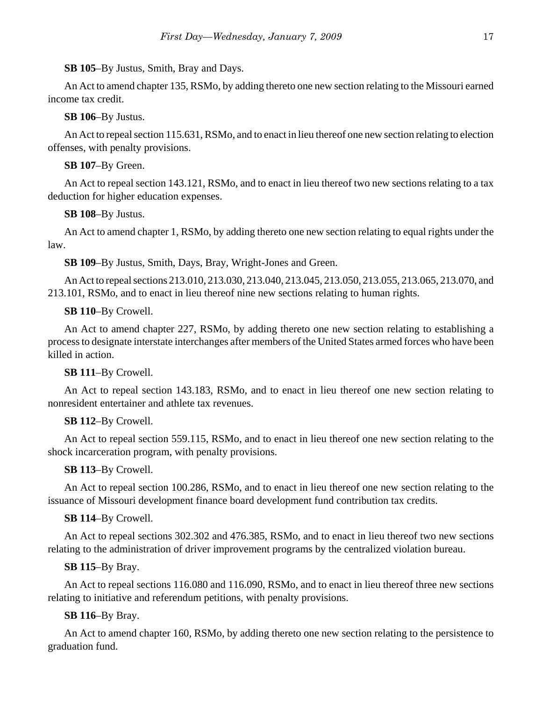### **SB 105**–By Justus, Smith, Bray and Days.

An Act to amend chapter 135, RSMo, by adding thereto one new section relating to the Missouri earned income tax credit.

### **SB 106**–By Justus.

An Act to repeal section 115.631, RSMo, and to enact in lieu thereof one new section relating to election offenses, with penalty provisions.

### **SB 107**–By Green.

An Act to repeal section 143.121, RSMo, and to enact in lieu thereof two new sections relating to a tax deduction for higher education expenses.

# **SB 108**–By Justus.

An Act to amend chapter 1, RSMo, by adding thereto one new section relating to equal rights under the law.

**SB 109**–By Justus, Smith, Days, Bray, Wright-Jones and Green.

An Act to repeal sections 213.010, 213.030, 213.040, 213.045, 213.050, 213.055, 213.065, 213.070, and 213.101, RSMo, and to enact in lieu thereof nine new sections relating to human rights.

# **SB 110**–By Crowell.

An Act to amend chapter 227, RSMo, by adding thereto one new section relating to establishing a process to designate interstate interchanges after members of the United States armed forces who have been killed in action.

### **SB 111**–By Crowell.

An Act to repeal section 143.183, RSMo, and to enact in lieu thereof one new section relating to nonresident entertainer and athlete tax revenues.

### **SB 112**–By Crowell.

An Act to repeal section 559.115, RSMo, and to enact in lieu thereof one new section relating to the shock incarceration program, with penalty provisions.

### **SB 113**–By Crowell.

An Act to repeal section 100.286, RSMo, and to enact in lieu thereof one new section relating to the issuance of Missouri development finance board development fund contribution tax credits.

### **SB 114**–By Crowell.

An Act to repeal sections 302.302 and 476.385, RSMo, and to enact in lieu thereof two new sections relating to the administration of driver improvement programs by the centralized violation bureau.

### **SB 115**–By Bray.

An Act to repeal sections 116.080 and 116.090, RSMo, and to enact in lieu thereof three new sections relating to initiative and referendum petitions, with penalty provisions.

### **SB 116**–By Bray.

An Act to amend chapter 160, RSMo, by adding thereto one new section relating to the persistence to graduation fund.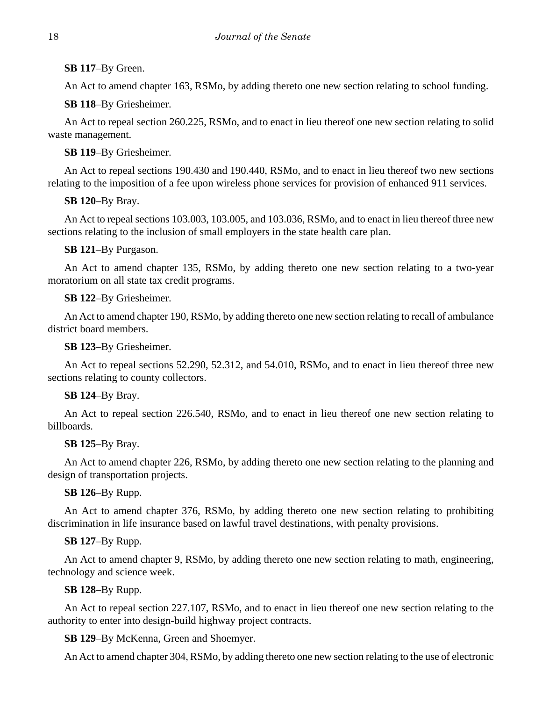# **SB 117**–By Green.

An Act to amend chapter 163, RSMo, by adding thereto one new section relating to school funding.

**SB 118**–By Griesheimer.

An Act to repeal section 260.225, RSMo, and to enact in lieu thereof one new section relating to solid waste management.

# **SB 119**–By Griesheimer.

An Act to repeal sections 190.430 and 190.440, RSMo, and to enact in lieu thereof two new sections relating to the imposition of a fee upon wireless phone services for provision of enhanced 911 services.

**SB 120**–By Bray.

An Act to repeal sections 103.003, 103.005, and 103.036, RSMo, and to enact in lieu thereof three new sections relating to the inclusion of small employers in the state health care plan.

# **SB 121**–By Purgason.

An Act to amend chapter 135, RSMo, by adding thereto one new section relating to a two-year moratorium on all state tax credit programs.

# **SB 122**–By Griesheimer.

An Act to amend chapter 190, RSMo, by adding thereto one new section relating to recall of ambulance district board members.

# **SB 123**–By Griesheimer.

An Act to repeal sections 52.290, 52.312, and 54.010, RSMo, and to enact in lieu thereof three new sections relating to county collectors.

# **SB 124**–By Bray.

An Act to repeal section 226.540, RSMo, and to enact in lieu thereof one new section relating to billboards.

# **SB 125**–By Bray.

An Act to amend chapter 226, RSMo, by adding thereto one new section relating to the planning and design of transportation projects.

# **SB 126**–By Rupp.

An Act to amend chapter 376, RSMo, by adding thereto one new section relating to prohibiting discrimination in life insurance based on lawful travel destinations, with penalty provisions.

# **SB 127**–By Rupp.

An Act to amend chapter 9, RSMo, by adding thereto one new section relating to math, engineering, technology and science week.

# **SB 128**–By Rupp.

An Act to repeal section 227.107, RSMo, and to enact in lieu thereof one new section relating to the authority to enter into design-build highway project contracts.

# **SB 129**–By McKenna, Green and Shoemyer.

An Act to amend chapter 304, RSMo, by adding thereto one new section relating to the use of electronic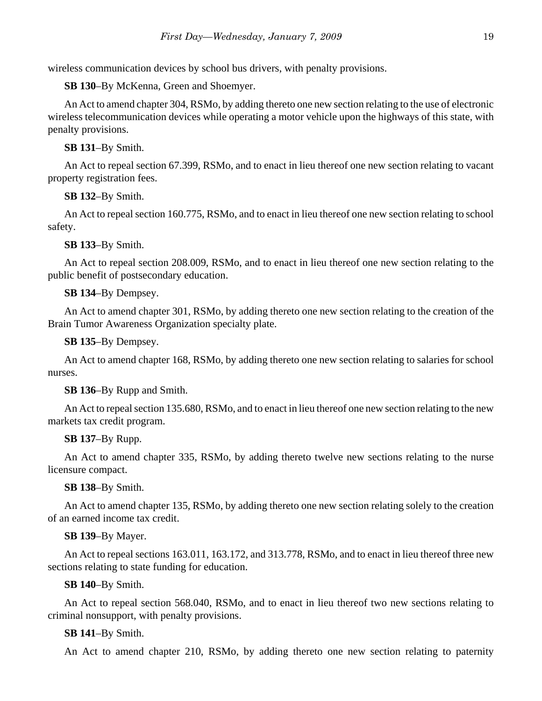wireless communication devices by school bus drivers, with penalty provisions.

**SB 130**–By McKenna, Green and Shoemyer.

An Act to amend chapter 304, RSMo, by adding thereto one new section relating to the use of electronic wireless telecommunication devices while operating a motor vehicle upon the highways of this state, with penalty provisions.

# **SB 131**–By Smith.

An Act to repeal section 67.399, RSMo, and to enact in lieu thereof one new section relating to vacant property registration fees.

# **SB 132**–By Smith.

An Act to repeal section 160.775, RSMo, and to enact in lieu thereof one new section relating to school safety.

# **SB 133**–By Smith.

An Act to repeal section 208.009, RSMo, and to enact in lieu thereof one new section relating to the public benefit of postsecondary education.

# **SB 134**–By Dempsey.

An Act to amend chapter 301, RSMo, by adding thereto one new section relating to the creation of the Brain Tumor Awareness Organization specialty plate.

**SB 135**–By Dempsey.

An Act to amend chapter 168, RSMo, by adding thereto one new section relating to salaries for school nurses.

# **SB 136**–By Rupp and Smith.

An Act to repeal section 135.680, RSMo, and to enact in lieu thereof one new section relating to the new markets tax credit program.

# **SB 137**–By Rupp.

An Act to amend chapter 335, RSMo, by adding thereto twelve new sections relating to the nurse licensure compact.

# **SB 138**–By Smith.

An Act to amend chapter 135, RSMo, by adding thereto one new section relating solely to the creation of an earned income tax credit.

# **SB 139**–By Mayer.

An Act to repeal sections 163.011, 163.172, and 313.778, RSMo, and to enact in lieu thereof three new sections relating to state funding for education.

# **SB 140**–By Smith.

An Act to repeal section 568.040, RSMo, and to enact in lieu thereof two new sections relating to criminal nonsupport, with penalty provisions.

# **SB 141**–By Smith.

An Act to amend chapter 210, RSMo, by adding thereto one new section relating to paternity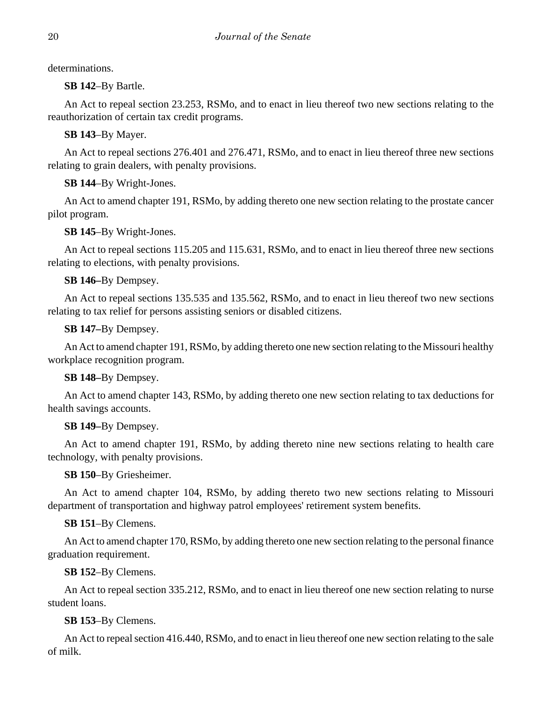determinations.

**SB 142**–By Bartle.

An Act to repeal section 23.253, RSMo, and to enact in lieu thereof two new sections relating to the reauthorization of certain tax credit programs.

**SB 143**–By Mayer.

An Act to repeal sections 276.401 and 276.471, RSMo, and to enact in lieu thereof three new sections relating to grain dealers, with penalty provisions.

**SB 144**–By Wright-Jones.

An Act to amend chapter 191, RSMo, by adding thereto one new section relating to the prostate cancer pilot program.

**SB 145**–By Wright-Jones.

An Act to repeal sections 115.205 and 115.631, RSMo, and to enact in lieu thereof three new sections relating to elections, with penalty provisions.

**SB 146–**By Dempsey.

An Act to repeal sections 135.535 and 135.562, RSMo, and to enact in lieu thereof two new sections relating to tax relief for persons assisting seniors or disabled citizens.

**SB 147–**By Dempsey.

An Act to amend chapter 191, RSMo, by adding thereto one new section relating to the Missouri healthy workplace recognition program.

**SB 148–**By Dempsey.

An Act to amend chapter 143, RSMo, by adding thereto one new section relating to tax deductions for health savings accounts.

# **SB 149–**By Dempsey.

An Act to amend chapter 191, RSMo, by adding thereto nine new sections relating to health care technology, with penalty provisions.

**SB 150**–By Griesheimer.

An Act to amend chapter 104, RSMo, by adding thereto two new sections relating to Missouri department of transportation and highway patrol employees' retirement system benefits.

**SB 151**–By Clemens.

An Act to amend chapter 170, RSMo, by adding thereto one new section relating to the personal finance graduation requirement.

**SB 152**–By Clemens.

An Act to repeal section 335.212, RSMo, and to enact in lieu thereof one new section relating to nurse student loans.

**SB 153**–By Clemens.

An Act to repeal section 416.440, RSMo, and to enact in lieu thereof one new section relating to the sale of milk.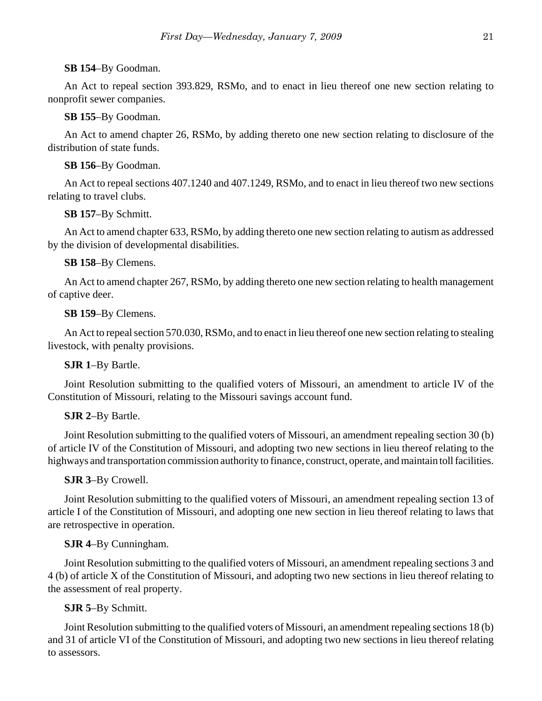**SB 154**–By Goodman.

An Act to repeal section 393.829, RSMo, and to enact in lieu thereof one new section relating to nonprofit sewer companies.

**SB 155**–By Goodman.

An Act to amend chapter 26, RSMo, by adding thereto one new section relating to disclosure of the distribution of state funds.

**SB 156**–By Goodman.

An Act to repeal sections 407.1240 and 407.1249, RSMo, and to enact in lieu thereof two new sections relating to travel clubs.

**SB 157**–By Schmitt.

An Act to amend chapter 633, RSMo, by adding thereto one new section relating to autism as addressed by the division of developmental disabilities.

**SB 158**–By Clemens.

An Act to amend chapter 267, RSMo, by adding thereto one new section relating to health management of captive deer.

**SB 159**–By Clemens.

An Act to repeal section 570.030, RSMo, and to enact in lieu thereof one new section relating to stealing livestock, with penalty provisions.

# **SJR 1**–By Bartle.

Joint Resolution submitting to the qualified voters of Missouri, an amendment to article IV of the Constitution of Missouri, relating to the Missouri savings account fund.

# **SJR 2**–By Bartle.

Joint Resolution submitting to the qualified voters of Missouri, an amendment repealing section 30 (b) of article IV of the Constitution of Missouri, and adopting two new sections in lieu thereof relating to the highways and transportation commission authority to finance, construct, operate, and maintain toll facilities.

**SJR 3**–By Crowell.

Joint Resolution submitting to the qualified voters of Missouri, an amendment repealing section 13 of article I of the Constitution of Missouri, and adopting one new section in lieu thereof relating to laws that are retrospective in operation.

# **SJR 4**–By Cunningham.

Joint Resolution submitting to the qualified voters of Missouri, an amendment repealing sections 3 and 4 (b) of article X of the Constitution of Missouri, and adopting two new sections in lieu thereof relating to the assessment of real property.

# **SJR 5**–By Schmitt.

Joint Resolution submitting to the qualified voters of Missouri, an amendment repealing sections 18 (b) and 31 of article VI of the Constitution of Missouri, and adopting two new sections in lieu thereof relating to assessors.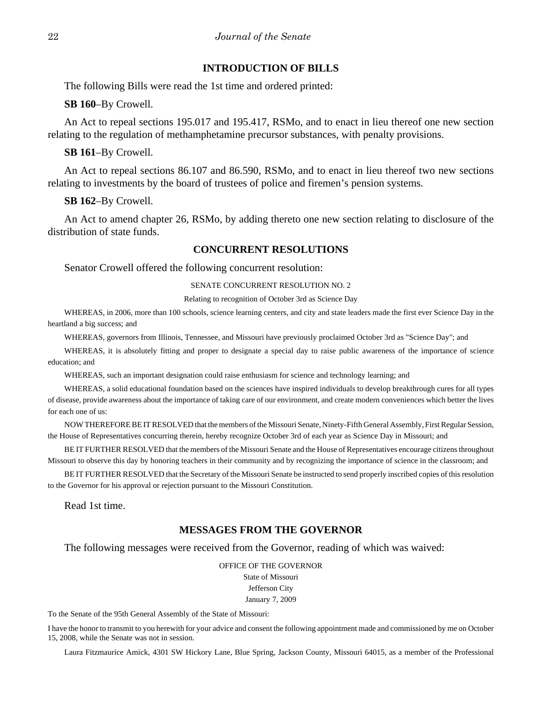# **INTRODUCTION OF BILLS**

The following Bills were read the 1st time and ordered printed:

**SB 160**–By Crowell.

An Act to repeal sections 195.017 and 195.417, RSMo, and to enact in lieu thereof one new section relating to the regulation of methamphetamine precursor substances, with penalty provisions.

**SB 161**–By Crowell.

An Act to repeal sections 86.107 and 86.590, RSMo, and to enact in lieu thereof two new sections relating to investments by the board of trustees of police and firemen's pension systems.

**SB 162**–By Crowell.

An Act to amend chapter 26, RSMo, by adding thereto one new section relating to disclosure of the distribution of state funds.

### **CONCURRENT RESOLUTIONS**

Senator Crowell offered the following concurrent resolution:

#### SENATE CONCURRENT RESOLUTION NO. 2

Relating to recognition of October 3rd as Science Day

WHEREAS, in 2006, more than 100 schools, science learning centers, and city and state leaders made the first ever Science Day in the heartland a big success; and

WHEREAS, governors from Illinois, Tennessee, and Missouri have previously proclaimed October 3rd as "Science Day"; and

WHEREAS, it is absolutely fitting and proper to designate a special day to raise public awareness of the importance of science education; and

WHEREAS, such an important designation could raise enthusiasm for science and technology learning; and

WHEREAS, a solid educational foundation based on the sciences have inspired individuals to develop breakthrough cures for all types of disease, provide awareness about the importance of taking care of our environment, and create modern conveniences which better the lives for each one of us:

NOW THEREFORE BE IT RESOLVED that the members of the Missouri Senate, Ninety-Fifth General Assembly, First Regular Session, the House of Representatives concurring therein, hereby recognize October 3rd of each year as Science Day in Missouri; and

BE IT FURTHER RESOLVED that the members of the Missouri Senate and the House of Representatives encourage citizens throughout Missouri to observe this day by honoring teachers in their community and by recognizing the importance of science in the classroom; and

BE IT FURTHER RESOLVED that the Secretary of the Missouri Senate be instructed to send properly inscribed copies of this resolution to the Governor for his approval or rejection pursuant to the Missouri Constitution.

Read 1st time.

# **MESSAGES FROM THE GOVERNOR**

The following messages were received from the Governor, reading of which was waived:

OFFICE OF THE GOVERNOR State of Missouri Jefferson City January 7, 2009

To the Senate of the 95th General Assembly of the State of Missouri:

I have the honor to transmit to you herewith for your advice and consent the following appointment made and commissioned by me on October 15, 2008, while the Senate was not in session.

Laura Fitzmaurice Amick, 4301 SW Hickory Lane, Blue Spring, Jackson County, Missouri 64015, as a member of the Professional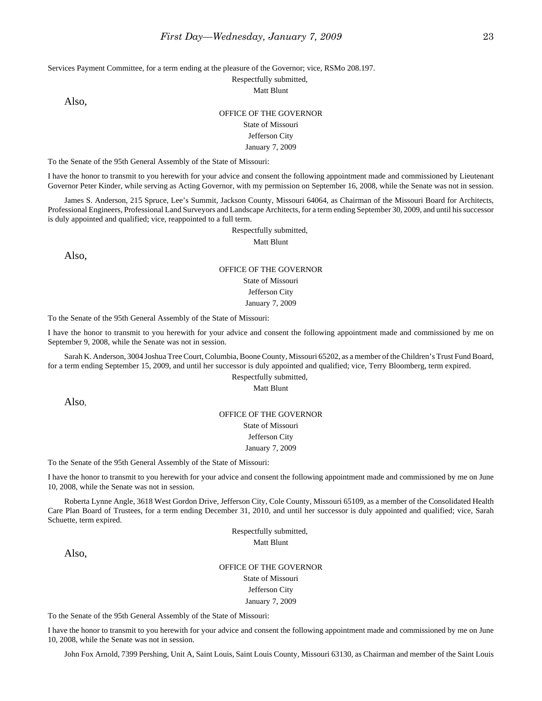Services Payment Committee, for a term ending at the pleasure of the Governor; vice, RSMo 208.197.

Respectfully submitted,

Matt Blunt

Also,

### OFFICE OF THE GOVERNOR State of Missouri Jefferson City

January 7, 2009

To the Senate of the 95th General Assembly of the State of Missouri:

I have the honor to transmit to you herewith for your advice and consent the following appointment made and commissioned by Lieutenant Governor Peter Kinder, while serving as Acting Governor, with my permission on September 16, 2008, while the Senate was not in session.

James S. Anderson, 215 Spruce, Lee's Summit, Jackson County, Missouri 64064, as Chairman of the Missouri Board for Architects, Professional Engineers, Professional Land Surveyors and Landscape Architects, for a term ending September 30, 2009, and until his successor is duly appointed and qualified; vice, reappointed to a full term.

Respectfully submitted,

Matt Blunt

Also,

#### OFFICE OF THE GOVERNOR

State of Missouri

Jefferson City

January 7, 2009

To the Senate of the 95th General Assembly of the State of Missouri:

I have the honor to transmit to you herewith for your advice and consent the following appointment made and commissioned by me on September 9, 2008, while the Senate was not in session.

Sarah K. Anderson, 3004 Joshua Tree Court, Columbia, Boone County, Missouri 65202, as a member of the Children's Trust Fund Board, for a term ending September 15, 2009, and until her successor is duly appointed and qualified; vice, Terry Bloomberg, term expired.

#### Respectfully submitted,

Matt Blunt

Also,

#### OFFICE OF THE GOVERNOR

State of Missouri

Jefferson City

### January 7, 2009

To the Senate of the 95th General Assembly of the State of Missouri:

I have the honor to transmit to you herewith for your advice and consent the following appointment made and commissioned by me on June 10, 2008, while the Senate was not in session.

Roberta Lynne Angle, 3618 West Gordon Drive, Jefferson City, Cole County, Missouri 65109, as a member of the Consolidated Health Care Plan Board of Trustees, for a term ending December 31, 2010, and until her successor is duly appointed and qualified; vice, Sarah Schuette, term expired.

Respectfully submitted,

Matt Blunt

Also,

#### OFFICE OF THE GOVERNOR

State of Missouri Jefferson City

#### January 7, 2009

To the Senate of the 95th General Assembly of the State of Missouri:

I have the honor to transmit to you herewith for your advice and consent the following appointment made and commissioned by me on June 10, 2008, while the Senate was not in session.

John Fox Arnold, 7399 Pershing, Unit A, Saint Louis, Saint Louis County, Missouri 63130, as Chairman and member of the Saint Louis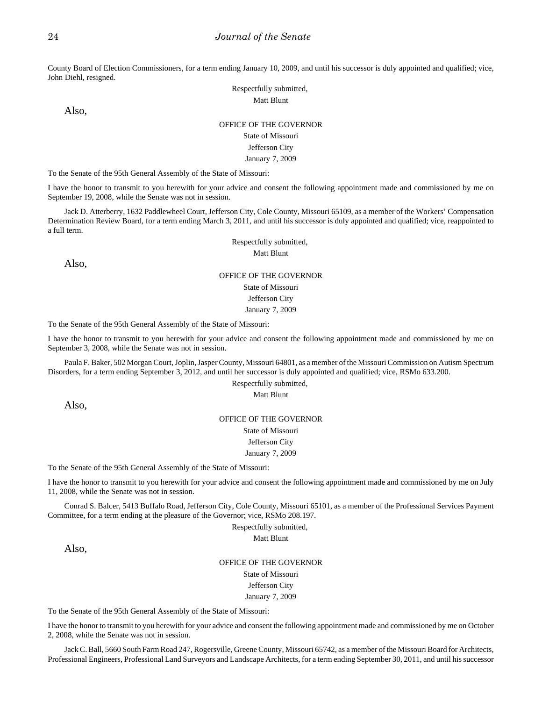County Board of Election Commissioners, for a term ending January 10, 2009, and until his successor is duly appointed and qualified; vice, John Diehl, resigned.

> Respectfully submitted, Matt Blunt

Also,

#### OFFICE OF THE GOVERNOR

### State of Missouri

#### Jefferson City

January 7, 2009

To the Senate of the 95th General Assembly of the State of Missouri:

I have the honor to transmit to you herewith for your advice and consent the following appointment made and commissioned by me on September 19, 2008, while the Senate was not in session.

Jack D. Atterberry, 1632 Paddlewheel Court, Jefferson City, Cole County, Missouri 65109, as a member of the Workers' Compensation Determination Review Board, for a term ending March 3, 2011, and until his successor is duly appointed and qualified; vice, reappointed to a full term.

> Respectfully submitted, Matt Blunt

Also,

#### OFFICE OF THE GOVERNOR

State of Missouri

Jefferson City

January 7, 2009

To the Senate of the 95th General Assembly of the State of Missouri:

I have the honor to transmit to you herewith for your advice and consent the following appointment made and commissioned by me on September 3, 2008, while the Senate was not in session.

Paula F. Baker, 502 Morgan Court, Joplin, Jasper County, Missouri 64801, as a member of the Missouri Commission on Autism Spectrum Disorders, for a term ending September 3, 2012, and until her successor is duly appointed and qualified; vice, RSMo 633.200.

> Respectfully submitted, Matt Blunt

Also,

### OFFICE OF THE GOVERNOR

State of Missouri

Jefferson City

#### January 7, 2009

To the Senate of the 95th General Assembly of the State of Missouri:

I have the honor to transmit to you herewith for your advice and consent the following appointment made and commissioned by me on July 11, 2008, while the Senate was not in session.

Conrad S. Balcer, 5413 Buffalo Road, Jefferson City, Cole County, Missouri 65101, as a member of the Professional Services Payment Committee, for a term ending at the pleasure of the Governor; vice, RSMo 208.197.

Respectfully submitted,

Matt Blunt

Also,

OFFICE OF THE GOVERNOR State of Missouri Jefferson City January 7, 2009

To the Senate of the 95th General Assembly of the State of Missouri:

I have the honor to transmit to you herewith for your advice and consent the following appointment made and commissioned by me on October 2, 2008, while the Senate was not in session.

Jack C. Ball, 5660 South Farm Road 247, Rogersville, Greene County, Missouri 65742, as a member of the Missouri Board for Architects, Professional Engineers, Professional Land Surveyors and Landscape Architects, for a term ending September 30, 2011, and until his successor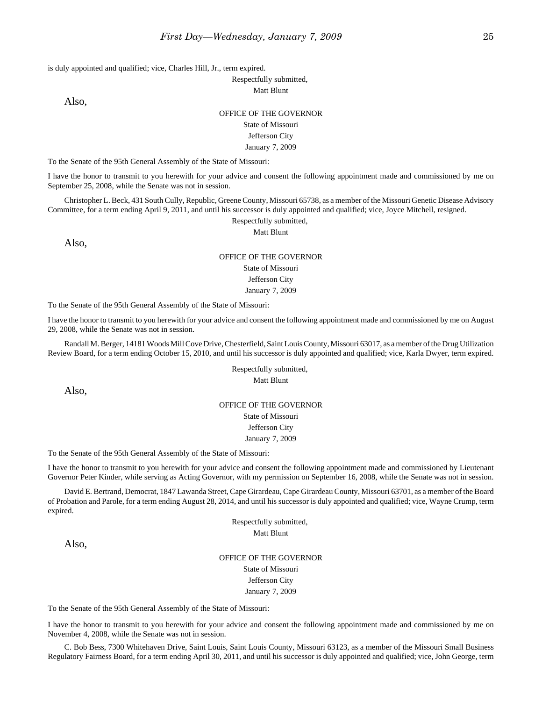is duly appointed and qualified; vice, Charles Hill, Jr., term expired.

Respectfully submitted, Matt Blunt

Also,

### OFFICE OF THE GOVERNOR State of Missouri Jefferson City January 7, 2009

To the Senate of the 95th General Assembly of the State of Missouri:

I have the honor to transmit to you herewith for your advice and consent the following appointment made and commissioned by me on September 25, 2008, while the Senate was not in session.

Christopher L. Beck, 431 South Cully, Republic, Greene County, Missouri 65738, as a member of the Missouri Genetic Disease Advisory Committee, for a term ending April 9, 2011, and until his successor is duly appointed and qualified; vice, Joyce Mitchell, resigned.

Respectfully submitted,

Matt Blunt

Also,

# OFFICE OF THE GOVERNOR

#### State of Missouri Jefferson City

January 7, 2009

To the Senate of the 95th General Assembly of the State of Missouri:

I have the honor to transmit to you herewith for your advice and consent the following appointment made and commissioned by me on August 29, 2008, while the Senate was not in session.

Randall M. Berger, 14181 Woods Mill Cove Drive, Chesterfield, Saint Louis County, Missouri 63017, as a member of the Drug Utilization Review Board, for a term ending October 15, 2010, and until his successor is duly appointed and qualified; vice, Karla Dwyer, term expired.

> Respectfully submitted, Matt Blunt

Also,

### OFFICE OF THE GOVERNOR

State of Missouri Jefferson City

January 7, 2009

To the Senate of the 95th General Assembly of the State of Missouri:

I have the honor to transmit to you herewith for your advice and consent the following appointment made and commissioned by Lieutenant Governor Peter Kinder, while serving as Acting Governor, with my permission on September 16, 2008, while the Senate was not in session.

David E. Bertrand, Democrat, 1847 Lawanda Street, Cape Girardeau, Cape Girardeau County, Missouri 63701, as a member of the Board of Probation and Parole, for a term ending August 28, 2014, and until his successor is duly appointed and qualified; vice, Wayne Crump, term expired.

> Respectfully submitted, Matt Blunt

Also,

OFFICE OF THE GOVERNOR State of Missouri Jefferson City January 7, 2009

To the Senate of the 95th General Assembly of the State of Missouri:

I have the honor to transmit to you herewith for your advice and consent the following appointment made and commissioned by me on November 4, 2008, while the Senate was not in session.

C. Bob Bess, 7300 Whitehaven Drive, Saint Louis, Saint Louis County, Missouri 63123, as a member of the Missouri Small Business Regulatory Fairness Board, for a term ending April 30, 2011, and until his successor is duly appointed and qualified; vice, John George, term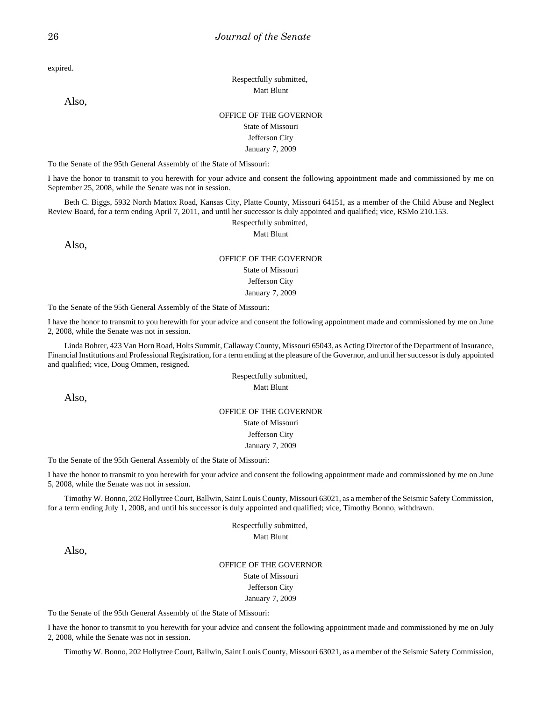expired.

Respectfully submitted, Matt Blunt

# Also,

### OFFICE OF THE GOVERNOR State of Missouri Jefferson City

January 7, 2009

To the Senate of the 95th General Assembly of the State of Missouri:

I have the honor to transmit to you herewith for your advice and consent the following appointment made and commissioned by me on September 25, 2008, while the Senate was not in session.

Beth C. Biggs, 5932 North Mattox Road, Kansas City, Platte County, Missouri 64151, as a member of the Child Abuse and Neglect Review Board, for a term ending April 7, 2011, and until her successor is duly appointed and qualified; vice, RSMo 210.153.

Respectfully submitted,

Matt Blunt

Also,

### OFFICE OF THE GOVERNOR State of Missouri Jefferson City January 7, 2009

To the Senate of the 95th General Assembly of the State of Missouri:

I have the honor to transmit to you herewith for your advice and consent the following appointment made and commissioned by me on June 2, 2008, while the Senate was not in session.

Linda Bohrer, 423 Van Horn Road, Holts Summit, Callaway County, Missouri 65043, as Acting Director of the Department of Insurance, Financial Institutions and Professional Registration, for a term ending at the pleasure of the Governor, and until her successor is duly appointed and qualified; vice, Doug Ommen, resigned.

> Respectfully submitted, Matt Blunt

Also,

#### OFFICE OF THE GOVERNOR

State of Missouri Jefferson City January 7, 2009

To the Senate of the 95th General Assembly of the State of Missouri:

I have the honor to transmit to you herewith for your advice and consent the following appointment made and commissioned by me on June 5, 2008, while the Senate was not in session.

Timothy W. Bonno, 202 Hollytree Court, Ballwin, Saint Louis County, Missouri 63021, as a member of the Seismic Safety Commission, for a term ending July 1, 2008, and until his successor is duly appointed and qualified; vice, Timothy Bonno, withdrawn.

> Respectfully submitted, Matt Blunt

Also,

OFFICE OF THE GOVERNOR State of Missouri Jefferson City January 7, 2009

To the Senate of the 95th General Assembly of the State of Missouri:

I have the honor to transmit to you herewith for your advice and consent the following appointment made and commissioned by me on July 2, 2008, while the Senate was not in session.

Timothy W. Bonno, 202 Hollytree Court, Ballwin, Saint Louis County, Missouri 63021, as a member of the Seismic Safety Commission,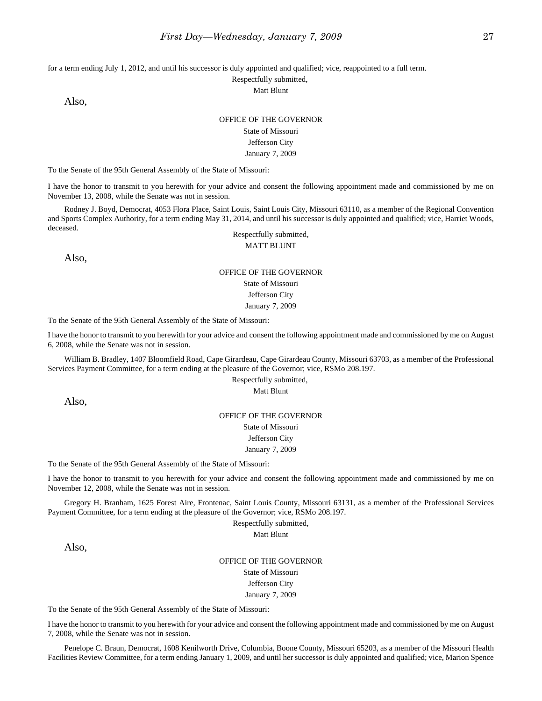for a term ending July 1, 2012, and until his successor is duly appointed and qualified; vice, reappointed to a full term.

Respectfully submitted,

Matt Blunt

Also,

#### OFFICE OF THE GOVERNOR

#### State of Missouri Jefferson City January 7, 2009

To the Senate of the 95th General Assembly of the State of Missouri:

I have the honor to transmit to you herewith for your advice and consent the following appointment made and commissioned by me on November 13, 2008, while the Senate was not in session.

Rodney J. Boyd, Democrat, 4053 Flora Place, Saint Louis, Saint Louis City, Missouri 63110, as a member of the Regional Convention and Sports Complex Authority, for a term ending May 31, 2014, and until his successor is duly appointed and qualified; vice, Harriet Woods, deceased.

Respectfully submitted, MATT BLUNT

Also,

#### OFFICE OF THE GOVERNOR

State of Missouri Jefferson City

January 7, 2009

To the Senate of the 95th General Assembly of the State of Missouri:

I have the honor to transmit to you herewith for your advice and consent the following appointment made and commissioned by me on August 6, 2008, while the Senate was not in session.

William B. Bradley, 1407 Bloomfield Road, Cape Girardeau, Cape Girardeau County, Missouri 63703, as a member of the Professional Services Payment Committee, for a term ending at the pleasure of the Governor; vice, RSMo 208.197.

Respectfully submitted,

#### Matt Blunt

Also,

#### OFFICE OF THE GOVERNOR

State of Missouri

Jefferson City January 7, 2009

To the Senate of the 95th General Assembly of the State of Missouri:

I have the honor to transmit to you herewith for your advice and consent the following appointment made and commissioned by me on November 12, 2008, while the Senate was not in session.

Gregory H. Branham, 1625 Forest Aire, Frontenac, Saint Louis County, Missouri 63131, as a member of the Professional Services Payment Committee, for a term ending at the pleasure of the Governor; vice, RSMo 208.197.

Respectfully submitted,

Matt Blunt

Also,

#### OFFICE OF THE GOVERNOR

State of Missouri

Jefferson City

January 7, 2009

To the Senate of the 95th General Assembly of the State of Missouri:

I have the honor to transmit to you herewith for your advice and consent the following appointment made and commissioned by me on August 7, 2008, while the Senate was not in session.

Penelope C. Braun, Democrat, 1608 Kenilworth Drive, Columbia, Boone County, Missouri 65203, as a member of the Missouri Health Facilities Review Committee, for a term ending January 1, 2009, and until her successor is duly appointed and qualified; vice, Marion Spence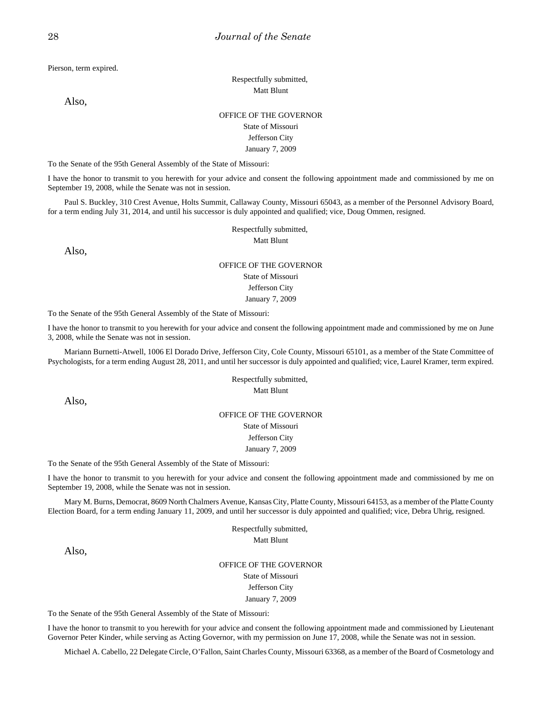Pierson, term expired.

Respectfully submitted, Matt Blunt

Also,

### OFFICE OF THE GOVERNOR State of Missouri Jefferson City January 7, 2009

To the Senate of the 95th General Assembly of the State of Missouri:

I have the honor to transmit to you herewith for your advice and consent the following appointment made and commissioned by me on September 19, 2008, while the Senate was not in session.

Paul S. Buckley, 310 Crest Avenue, Holts Summit, Callaway County, Missouri 65043, as a member of the Personnel Advisory Board, for a term ending July 31, 2014, and until his successor is duly appointed and qualified; vice, Doug Ommen, resigned.

Respectfully submitted,

Matt Blunt

Also,

# OFFICE OF THE GOVERNOR

State of Missouri Jefferson City

January 7, 2009

To the Senate of the 95th General Assembly of the State of Missouri:

I have the honor to transmit to you herewith for your advice and consent the following appointment made and commissioned by me on June 3, 2008, while the Senate was not in session.

Mariann Burnetti-Atwell, 1006 El Dorado Drive, Jefferson City, Cole County, Missouri 65101, as a member of the State Committee of Psychologists, for a term ending August 28, 2011, and until her successor is duly appointed and qualified; vice, Laurel Kramer, term expired.

> Respectfully submitted, Matt Blunt

Also,

### OFFICE OF THE GOVERNOR

State of Missouri Jefferson City

#### January 7, 2009

To the Senate of the 95th General Assembly of the State of Missouri:

I have the honor to transmit to you herewith for your advice and consent the following appointment made and commissioned by me on September 19, 2008, while the Senate was not in session.

Mary M. Burns, Democrat, 8609 North Chalmers Avenue, Kansas City, Platte County, Missouri 64153, as a member of the Platte County Election Board, for a term ending January 11, 2009, and until her successor is duly appointed and qualified; vice, Debra Uhrig, resigned.

> Respectfully submitted, Matt Blunt

Also,

OFFICE OF THE GOVERNOR State of Missouri Jefferson City January 7, 2009

To the Senate of the 95th General Assembly of the State of Missouri:

I have the honor to transmit to you herewith for your advice and consent the following appointment made and commissioned by Lieutenant Governor Peter Kinder, while serving as Acting Governor, with my permission on June 17, 2008, while the Senate was not in session.

Michael A. Cabello, 22 Delegate Circle, O'Fallon, Saint Charles County, Missouri 63368, as a member of the Board of Cosmetology and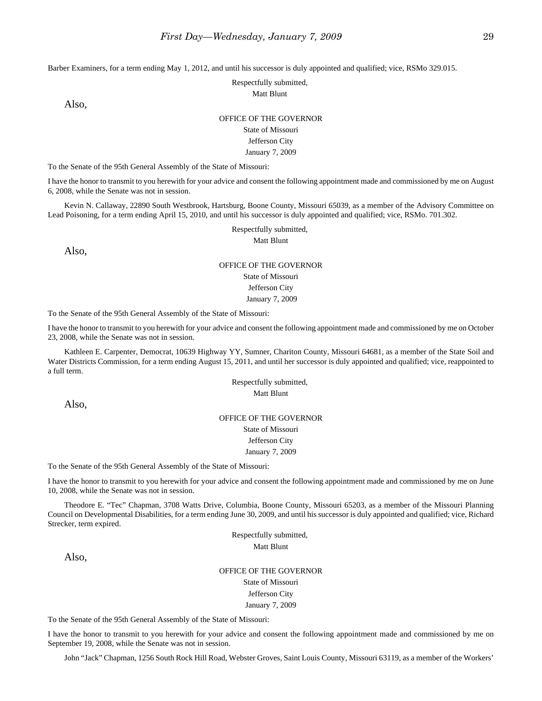Barber Examiners, for a term ending May 1, 2012, and until his successor is duly appointed and qualified; vice, RSMo 329.015.

Respectfully submitted,

Matt Blunt

Also,

#### OFFICE OF THE GOVERNOR

State of Missouri Jefferson City January 7, 2009

To the Senate of the 95th General Assembly of the State of Missouri:

I have the honor to transmit to you herewith for your advice and consent the following appointment made and commissioned by me on August 6, 2008, while the Senate was not in session.

Kevin N. Callaway, 22890 South Westbrook, Hartsburg, Boone County, Missouri 65039, as a member of the Advisory Committee on Lead Poisoning, for a term ending April 15, 2010, and until his successor is duly appointed and qualified; vice, RSMo. 701.302.

Respectfully submitted,

Matt Blunt

Also,

# OFFICE OF THE GOVERNOR

State of Missouri Jefferson City

January 7, 2009

To the Senate of the 95th General Assembly of the State of Missouri:

I have the honor to transmit to you herewith for your advice and consent the following appointment made and commissioned by me on October 23, 2008, while the Senate was not in session.

Kathleen E. Carpenter, Democrat, 10639 Highway YY, Sumner, Chariton County, Missouri 64681, as a member of the State Soil and Water Districts Commission, for a term ending August 15, 2011, and until her successor is duly appointed and qualified; vice, reappointed to a full term.

> Respectfully submitted, Matt Blunt

Also,

#### OFFICE OF THE GOVERNOR

State of Missouri Jefferson City

January 7, 2009

To the Senate of the 95th General Assembly of the State of Missouri:

I have the honor to transmit to you herewith for your advice and consent the following appointment made and commissioned by me on June 10, 2008, while the Senate was not in session.

Theodore E. "Tec" Chapman, 3708 Watts Drive, Columbia, Boone County, Missouri 65203, as a member of the Missouri Planning Council on Developmental Disabilities, for a term ending June 30, 2009, and until his successor is duly appointed and qualified; vice, Richard Strecker, term expired.

> Respectfully submitted, Matt Blunt

Also,

OFFICE OF THE GOVERNOR State of Missouri Jefferson City January 7, 2009

To the Senate of the 95th General Assembly of the State of Missouri:

I have the honor to transmit to you herewith for your advice and consent the following appointment made and commissioned by me on September 19, 2008, while the Senate was not in session.

John "Jack" Chapman, 1256 South Rock Hill Road, Webster Groves, Saint Louis County, Missouri 63119, as a member of the Workers'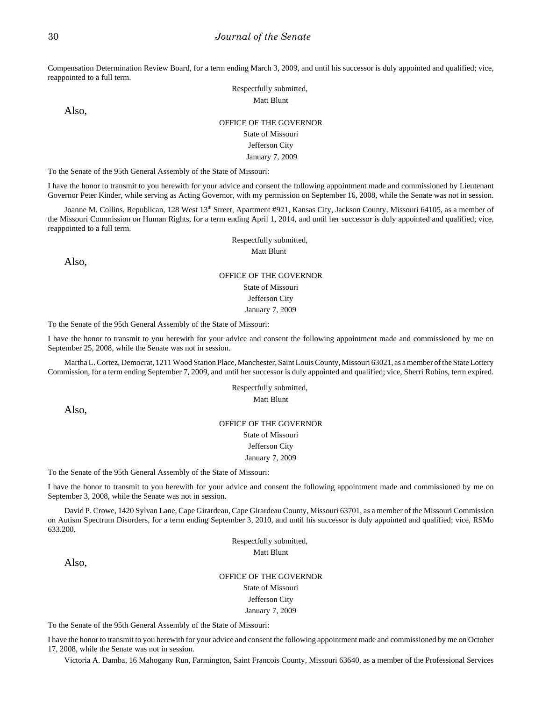Compensation Determination Review Board, for a term ending March 3, 2009, and until his successor is duly appointed and qualified; vice, reappointed to a full term.

> Respectfully submitted, Matt Blunt

Also,

### OFFICE OF THE GOVERNOR

#### State of Missouri

# Jefferson City

#### January 7, 2009

To the Senate of the 95th General Assembly of the State of Missouri:

I have the honor to transmit to you herewith for your advice and consent the following appointment made and commissioned by Lieutenant Governor Peter Kinder, while serving as Acting Governor, with my permission on September 16, 2008, while the Senate was not in session.

Joanne M. Collins, Republican, 128 West 13<sup>th</sup> Street, Apartment #921, Kansas City, Jackson County, Missouri 64105, as a member of the Missouri Commission on Human Rights, for a term ending April 1, 2014, and until her successor is duly appointed and qualified; vice, reappointed to a full term.

Respectfully submitted,

Matt Blunt

Also,

#### OFFICE OF THE GOVERNOR

State of Missouri

Jefferson City

January 7, 2009

To the Senate of the 95th General Assembly of the State of Missouri:

I have the honor to transmit to you herewith for your advice and consent the following appointment made and commissioned by me on September 25, 2008, while the Senate was not in session.

Martha L. Cortez, Democrat, 1211 Wood Station Place, Manchester, Saint Louis County, Missouri 63021, as a member of the State Lottery Commission, for a term ending September 7, 2009, and until her successor is duly appointed and qualified; vice, Sherri Robins, term expired.

> Respectfully submitted, Matt Blunt

Also,

#### OFFICE OF THE GOVERNOR State of Missouri

Jefferson City

#### January 7, 2009

To the Senate of the 95th General Assembly of the State of Missouri:

I have the honor to transmit to you herewith for your advice and consent the following appointment made and commissioned by me on September 3, 2008, while the Senate was not in session.

David P. Crowe, 1420 Sylvan Lane, Cape Girardeau, Cape Girardeau County, Missouri 63701, as a member of the Missouri Commission on Autism Spectrum Disorders, for a term ending September 3, 2010, and until his successor is duly appointed and qualified; vice, RSMo 633.200.

> Respectfully submitted, Matt Blunt

Also,

OFFICE OF THE GOVERNOR

State of Missouri Jefferson City

January 7, 2009

To the Senate of the 95th General Assembly of the State of Missouri:

I have the honor to transmit to you herewith for your advice and consent the following appointment made and commissioned by me on October 17, 2008, while the Senate was not in session.

Victoria A. Damba, 16 Mahogany Run, Farmington, Saint Francois County, Missouri 63640, as a member of the Professional Services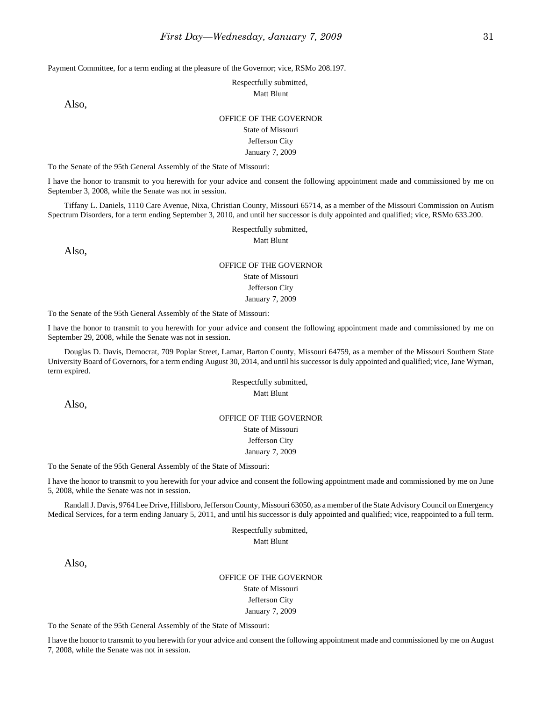Payment Committee, for a term ending at the pleasure of the Governor; vice, RSMo 208.197.

Respectfully submitted,

Matt Blunt

Also,

#### OFFICE OF THE GOVERNOR

State of Missouri Jefferson City January 7, 2009

To the Senate of the 95th General Assembly of the State of Missouri:

I have the honor to transmit to you herewith for your advice and consent the following appointment made and commissioned by me on September 3, 2008, while the Senate was not in session.

Tiffany L. Daniels, 1110 Care Avenue, Nixa, Christian County, Missouri 65714, as a member of the Missouri Commission on Autism Spectrum Disorders, for a term ending September 3, 2010, and until her successor is duly appointed and qualified; vice, RSMo 633.200.

Respectfully submitted,

Matt Blunt

Also,

# OFFICE OF THE GOVERNOR

State of Missouri Jefferson City

January 7, 2009

To the Senate of the 95th General Assembly of the State of Missouri:

I have the honor to transmit to you herewith for your advice and consent the following appointment made and commissioned by me on September 29, 2008, while the Senate was not in session.

Douglas D. Davis, Democrat, 709 Poplar Street, Lamar, Barton County, Missouri 64759, as a member of the Missouri Southern State University Board of Governors, for a term ending August 30, 2014, and until his successor is duly appointed and qualified; vice, Jane Wyman, term expired.

> Respectfully submitted, Matt Blunt

Also,

#### OFFICE OF THE GOVERNOR

State of Missouri Jefferson City January 7, 2009

To the Senate of the 95th General Assembly of the State of Missouri:

I have the honor to transmit to you herewith for your advice and consent the following appointment made and commissioned by me on June 5, 2008, while the Senate was not in session.

Randall J. Davis, 9764 Lee Drive, Hillsboro, Jefferson County, Missouri 63050, as a member of the State Advisory Council on Emergency Medical Services, for a term ending January 5, 2011, and until his successor is duly appointed and qualified; vice, reappointed to a full term.

> Respectfully submitted, Matt Blunt

Also,

OFFICE OF THE GOVERNOR State of Missouri Jefferson City January 7, 2009

To the Senate of the 95th General Assembly of the State of Missouri:

I have the honor to transmit to you herewith for your advice and consent the following appointment made and commissioned by me on August 7, 2008, while the Senate was not in session.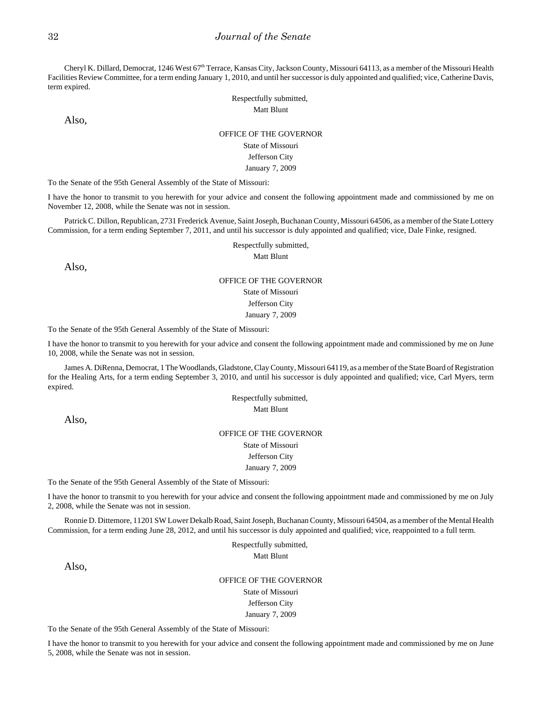Cheryl K. Dillard, Democrat, 1246 West 67th Terrace, Kansas City, Jackson County, Missouri 64113, as a member of the Missouri Health Facilities Review Committee, for a term ending January 1, 2010, and until her successor is duly appointed and qualified; vice, Catherine Davis, term expired.

> Respectfully submitted, Matt Blunt

Also,

#### OFFICE OF THE GOVERNOR

State of Missouri Jefferson City

January 7, 2009

To the Senate of the 95th General Assembly of the State of Missouri:

I have the honor to transmit to you herewith for your advice and consent the following appointment made and commissioned by me on November 12, 2008, while the Senate was not in session.

Patrick C. Dillon, Republican, 2731 Frederick Avenue, Saint Joseph, Buchanan County, Missouri 64506, as a member of the State Lottery Commission, for a term ending September 7, 2011, and until his successor is duly appointed and qualified; vice, Dale Finke, resigned.

Respectfully submitted,

Matt Blunt

Also,

# OFFICE OF THE GOVERNOR State of Missouri Jefferson City January 7, 2009

To the Senate of the 95th General Assembly of the State of Missouri:

I have the honor to transmit to you herewith for your advice and consent the following appointment made and commissioned by me on June 10, 2008, while the Senate was not in session.

James A. DiRenna, Democrat, 1 The Woodlands, Gladstone, Clay County, Missouri 64119, as a member of the State Board of Registration for the Healing Arts, for a term ending September 3, 2010, and until his successor is duly appointed and qualified; vice, Carl Myers, term expired.

> Respectfully submitted, Matt Blunt

Also,

# OFFICE OF THE GOVERNOR State of Missouri Jefferson City

January 7, 2009

To the Senate of the 95th General Assembly of the State of Missouri:

I have the honor to transmit to you herewith for your advice and consent the following appointment made and commissioned by me on July 2, 2008, while the Senate was not in session.

Ronnie D. Dittemore, 11201 SW Lower Dekalb Road, Saint Joseph, Buchanan County, Missouri 64504, as a member of the Mental Health Commission, for a term ending June 28, 2012, and until his successor is duly appointed and qualified; vice, reappointed to a full term.

> Respectfully submitted, Matt Blunt

Also,

OFFICE OF THE GOVERNOR State of Missouri Jefferson City January 7, 2009

To the Senate of the 95th General Assembly of the State of Missouri:

I have the honor to transmit to you herewith for your advice and consent the following appointment made and commissioned by me on June 5, 2008, while the Senate was not in session.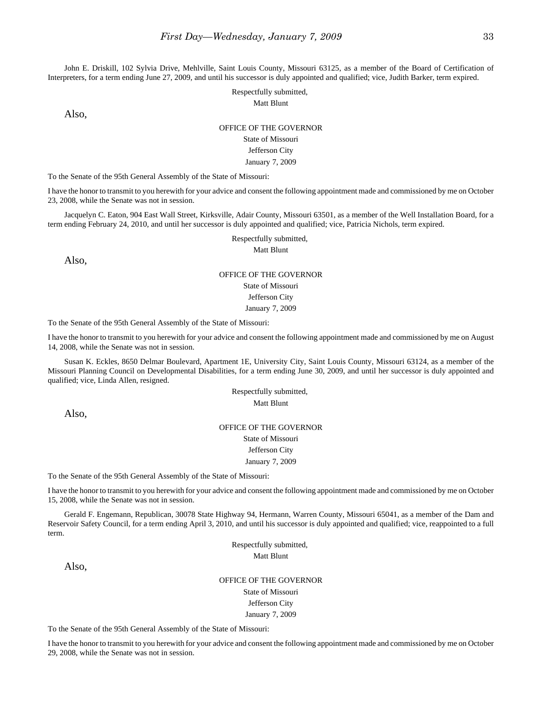John E. Driskill, 102 Sylvia Drive, Mehlville, Saint Louis County, Missouri 63125, as a member of the Board of Certification of Interpreters, for a term ending June 27, 2009, and until his successor is duly appointed and qualified; vice, Judith Barker, term expired.

> Respectfully submitted, Matt Blunt

Also,

#### OFFICE OF THE GOVERNOR

#### State of Missouri

#### Jefferson City

#### January 7, 2009

To the Senate of the 95th General Assembly of the State of Missouri:

I have the honor to transmit to you herewith for your advice and consent the following appointment made and commissioned by me on October 23, 2008, while the Senate was not in session.

Jacquelyn C. Eaton, 904 East Wall Street, Kirksville, Adair County, Missouri 63501, as a member of the Well Installation Board, for a term ending February 24, 2010, and until her successor is duly appointed and qualified; vice, Patricia Nichols, term expired.

Respectfully submitted,

Matt Blunt

Also,

#### OFFICE OF THE GOVERNOR

State of Missouri

Jefferson City

January 7, 2009

To the Senate of the 95th General Assembly of the State of Missouri:

I have the honor to transmit to you herewith for your advice and consent the following appointment made and commissioned by me on August 14, 2008, while the Senate was not in session.

Susan K. Eckles, 8650 Delmar Boulevard, Apartment 1E, University City, Saint Louis County, Missouri 63124, as a member of the Missouri Planning Council on Developmental Disabilities, for a term ending June 30, 2009, and until her successor is duly appointed and qualified; vice, Linda Allen, resigned.

> Respectfully submitted, Matt Blunt

Also,

#### OFFICE OF THE GOVERNOR State of Missouri

Jefferson City

#### January 7, 2009

To the Senate of the 95th General Assembly of the State of Missouri:

I have the honor to transmit to you herewith for your advice and consent the following appointment made and commissioned by me on October 15, 2008, while the Senate was not in session.

Gerald F. Engemann, Republican, 30078 State Highway 94, Hermann, Warren County, Missouri 65041, as a member of the Dam and Reservoir Safety Council, for a term ending April 3, 2010, and until his successor is duly appointed and qualified; vice, reappointed to a full term.

> Respectfully submitted, Matt Blunt

Also,

OFFICE OF THE GOVERNOR State of Missouri Jefferson City

January 7, 2009

To the Senate of the 95th General Assembly of the State of Missouri:

I have the honor to transmit to you herewith for your advice and consent the following appointment made and commissioned by me on October 29, 2008, while the Senate was not in session.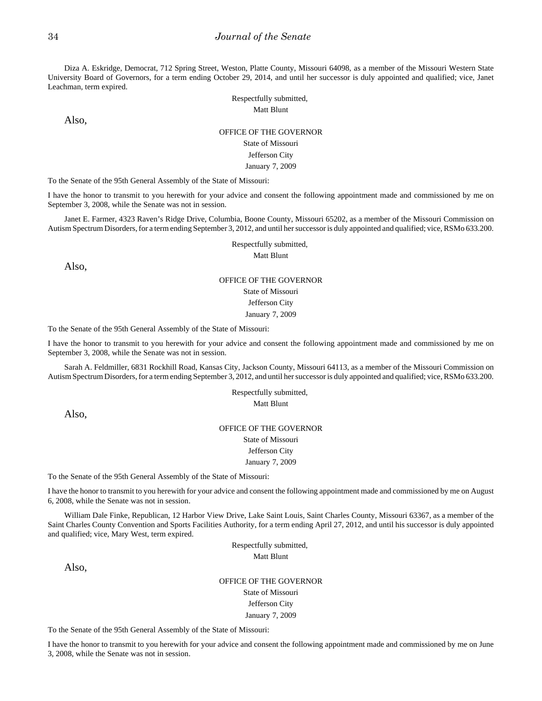Diza A. Eskridge, Democrat, 712 Spring Street, Weston, Platte County, Missouri 64098, as a member of the Missouri Western State University Board of Governors, for a term ending October 29, 2014, and until her successor is duly appointed and qualified; vice, Janet Leachman, term expired.

> Respectfully submitted, Matt Blunt

Also,

### OFFICE OF THE GOVERNOR State of Missouri Jefferson City January 7, 2009

To the Senate of the 95th General Assembly of the State of Missouri:

I have the honor to transmit to you herewith for your advice and consent the following appointment made and commissioned by me on September 3, 2008, while the Senate was not in session.

Janet E. Farmer, 4323 Raven's Ridge Drive, Columbia, Boone County, Missouri 65202, as a member of the Missouri Commission on Autism Spectrum Disorders, for a term ending September 3, 2012, and until her successor is duly appointed and qualified; vice, RSMo 633.200.

> Respectfully submitted, Matt Blunt

# Also,

# OFFICE OF THE GOVERNOR State of Missouri Jefferson City January 7, 2009

To the Senate of the 95th General Assembly of the State of Missouri:

I have the honor to transmit to you herewith for your advice and consent the following appointment made and commissioned by me on September 3, 2008, while the Senate was not in session.

Sarah A. Feldmiller, 6831 Rockhill Road, Kansas City, Jackson County, Missouri 64113, as a member of the Missouri Commission on Autism Spectrum Disorders, for a term ending September 3, 2012, and until her successor is duly appointed and qualified; vice, RSMo 633.200.

> Respectfully submitted, Matt Blunt

Also,

# OFFICE OF THE GOVERNOR State of Missouri

Jefferson City January 7, 2009

To the Senate of the 95th General Assembly of the State of Missouri:

I have the honor to transmit to you herewith for your advice and consent the following appointment made and commissioned by me on August 6, 2008, while the Senate was not in session.

William Dale Finke, Republican, 12 Harbor View Drive, Lake Saint Louis, Saint Charles County, Missouri 63367, as a member of the Saint Charles County Convention and Sports Facilities Authority, for a term ending April 27, 2012, and until his successor is duly appointed and qualified; vice, Mary West, term expired.

> Respectfully submitted, Matt Blunt

Also,

OFFICE OF THE GOVERNOR State of Missouri Jefferson City January 7, 2009

To the Senate of the 95th General Assembly of the State of Missouri:

I have the honor to transmit to you herewith for your advice and consent the following appointment made and commissioned by me on June 3, 2008, while the Senate was not in session.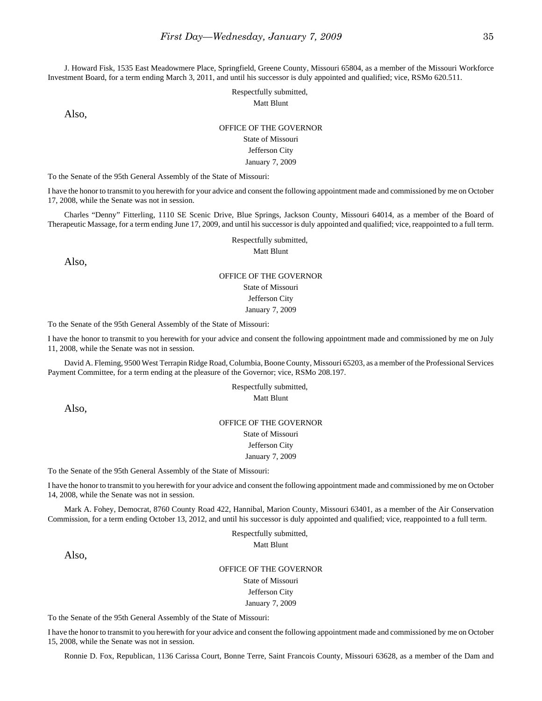J. Howard Fisk, 1535 East Meadowmere Place, Springfield, Greene County, Missouri 65804, as a member of the Missouri Workforce Investment Board, for a term ending March 3, 2011, and until his successor is duly appointed and qualified; vice, RSMo 620.511.

> Respectfully submitted, Matt Blunt

Also,

### OFFICE OF THE GOVERNOR

### State of Missouri

### Jefferson City

#### January 7, 2009

To the Senate of the 95th General Assembly of the State of Missouri:

I have the honor to transmit to you herewith for your advice and consent the following appointment made and commissioned by me on October 17, 2008, while the Senate was not in session.

Charles "Denny" Fitterling, 1110 SE Scenic Drive, Blue Springs, Jackson County, Missouri 64014, as a member of the Board of Therapeutic Massage, for a term ending June 17, 2009, and until his successor is duly appointed and qualified; vice, reappointed to a full term.

Respectfully submitted,

Matt Blunt

Also,

### OFFICE OF THE GOVERNOR State of Missouri Jefferson City January 7, 2009

To the Senate of the 95th General Assembly of the State of Missouri:

I have the honor to transmit to you herewith for your advice and consent the following appointment made and commissioned by me on July 11, 2008, while the Senate was not in session.

David A. Fleming, 9500 West Terrapin Ridge Road, Columbia, Boone County, Missouri 65203, as a member of the Professional Services Payment Committee, for a term ending at the pleasure of the Governor; vice, RSMo 208.197.

> Respectfully submitted, Matt Blunt

Also,

# OFFICE OF THE GOVERNOR State of Missouri Jefferson City

January 7, 2009

To the Senate of the 95th General Assembly of the State of Missouri:

I have the honor to transmit to you herewith for your advice and consent the following appointment made and commissioned by me on October 14, 2008, while the Senate was not in session.

Mark A. Fohey, Democrat, 8760 County Road 422, Hannibal, Marion County, Missouri 63401, as a member of the Air Conservation Commission, for a term ending October 13, 2012, and until his successor is duly appointed and qualified; vice, reappointed to a full term.

> Respectfully submitted, Matt Blunt

Also,

OFFICE OF THE GOVERNOR State of Missouri Jefferson City January 7, 2009

To the Senate of the 95th General Assembly of the State of Missouri:

I have the honor to transmit to you herewith for your advice and consent the following appointment made and commissioned by me on October 15, 2008, while the Senate was not in session.

Ronnie D. Fox, Republican, 1136 Carissa Court, Bonne Terre, Saint Francois County, Missouri 63628, as a member of the Dam and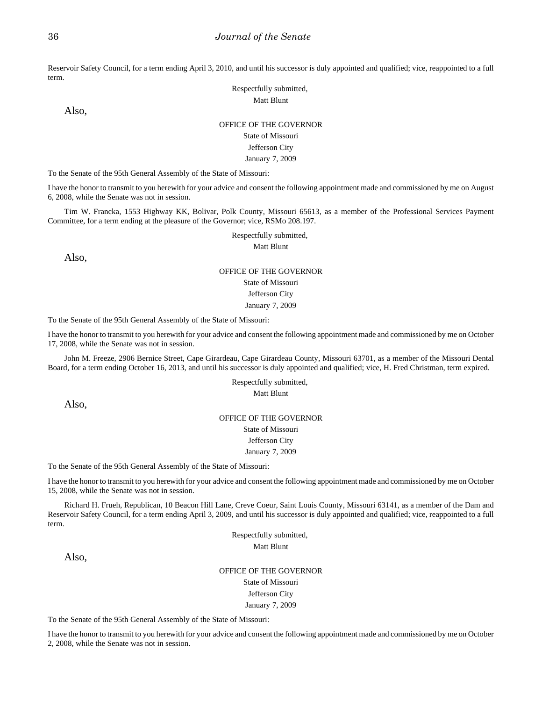Reservoir Safety Council, for a term ending April 3, 2010, and until his successor is duly appointed and qualified; vice, reappointed to a full term.

> Respectfully submitted, Matt Blunt

Also,

#### OFFICE OF THE GOVERNOR

### State of Missouri

# Jefferson City

January 7, 2009

To the Senate of the 95th General Assembly of the State of Missouri:

I have the honor to transmit to you herewith for your advice and consent the following appointment made and commissioned by me on August 6, 2008, while the Senate was not in session.

Tim W. Francka, 1553 Highway KK, Bolivar, Polk County, Missouri 65613, as a member of the Professional Services Payment Committee, for a term ending at the pleasure of the Governor; vice, RSMo 208.197.

> Respectfully submitted, Matt Blunt

Also,

#### OFFICE OF THE GOVERNOR State of Missouri Jefferson City

January 7, 2009

To the Senate of the 95th General Assembly of the State of Missouri:

I have the honor to transmit to you herewith for your advice and consent the following appointment made and commissioned by me on October 17, 2008, while the Senate was not in session.

John M. Freeze, 2906 Bernice Street, Cape Girardeau, Cape Girardeau County, Missouri 63701, as a member of the Missouri Dental Board, for a term ending October 16, 2013, and until his successor is duly appointed and qualified; vice, H. Fred Christman, term expired.

> Respectfully submitted, Matt Blunt

Also,

#### OFFICE OF THE GOVERNOR

State of Missouri Jefferson City

January 7, 2009

To the Senate of the 95th General Assembly of the State of Missouri:

I have the honor to transmit to you herewith for your advice and consent the following appointment made and commissioned by me on October 15, 2008, while the Senate was not in session.

Richard H. Frueh, Republican, 10 Beacon Hill Lane, Creve Coeur, Saint Louis County, Missouri 63141, as a member of the Dam and Reservoir Safety Council, for a term ending April 3, 2009, and until his successor is duly appointed and qualified; vice, reappointed to a full term.

> Respectfully submitted, Matt Blunt

Also,

OFFICE OF THE GOVERNOR State of Missouri Jefferson City January 7, 2009

To the Senate of the 95th General Assembly of the State of Missouri:

I have the honor to transmit to you herewith for your advice and consent the following appointment made and commissioned by me on October 2, 2008, while the Senate was not in session.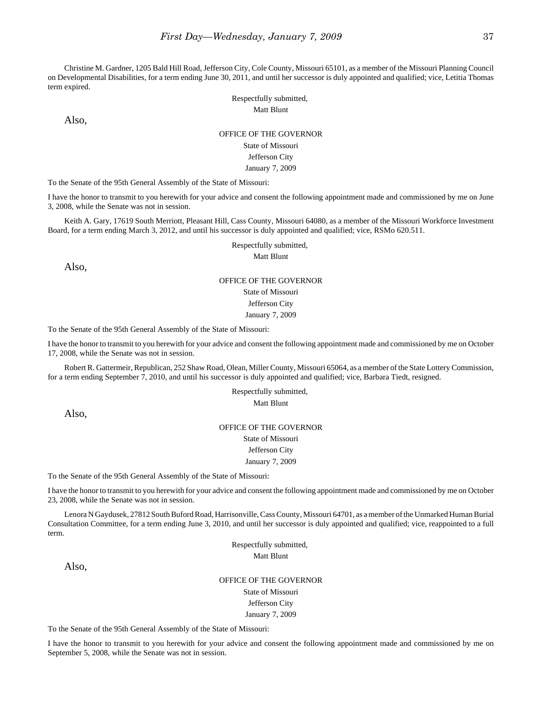Christine M. Gardner, 1205 Bald Hill Road, Jefferson City, Cole County, Missouri 65101, as a member of the Missouri Planning Council on Developmental Disabilities, for a term ending June 30, 2011, and until her successor is duly appointed and qualified; vice, Letitia Thomas term expired.

Respectfully submitted,

Also,

# Matt Blunt OFFICE OF THE GOVERNOR

State of Missouri Jefferson City January 7, 2009

To the Senate of the 95th General Assembly of the State of Missouri:

I have the honor to transmit to you herewith for your advice and consent the following appointment made and commissioned by me on June 3, 2008, while the Senate was not in session.

Keith A. Gary, 17619 South Merriott, Pleasant Hill, Cass County, Missouri 64080, as a member of the Missouri Workforce Investment Board, for a term ending March 3, 2012, and until his successor is duly appointed and qualified; vice, RSMo 620.511.

Respectfully submitted,

Matt Blunt

Also,

## OFFICE OF THE GOVERNOR State of Missouri Jefferson City January 7, 2009

To the Senate of the 95th General Assembly of the State of Missouri:

I have the honor to transmit to you herewith for your advice and consent the following appointment made and commissioned by me on October 17, 2008, while the Senate was not in session.

Robert R. Gattermeir, Republican, 252 Shaw Road, Olean, Miller County, Missouri 65064, as a member of the State Lottery Commission, for a term ending September 7, 2010, and until his successor is duly appointed and qualified; vice, Barbara Tiedt, resigned.

> Respectfully submitted, Matt Blunt

Also,

### OFFICE OF THE GOVERNOR State of Missouri Jefferson City

January 7, 2009

To the Senate of the 95th General Assembly of the State of Missouri:

I have the honor to transmit to you herewith for your advice and consent the following appointment made and commissioned by me on October 23, 2008, while the Senate was not in session.

Lenora N Gaydusek, 27812 South Buford Road, Harrisonville, Cass County, Missouri 64701, as a member of the Unmarked Human Burial Consultation Committee, for a term ending June 3, 2010, and until her successor is duly appointed and qualified; vice, reappointed to a full term.

> Respectfully submitted, Matt Blunt

Also,

OFFICE OF THE GOVERNOR State of Missouri Jefferson City

January 7, 2009

To the Senate of the 95th General Assembly of the State of Missouri:

I have the honor to transmit to you herewith for your advice and consent the following appointment made and commissioned by me on September 5, 2008, while the Senate was not in session.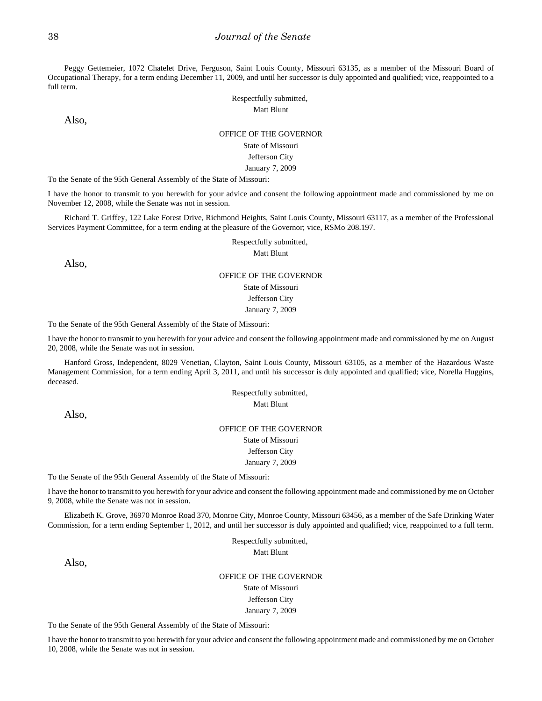Peggy Gettemeier, 1072 Chatelet Drive, Ferguson, Saint Louis County, Missouri 63135, as a member of the Missouri Board of Occupational Therapy, for a term ending December 11, 2009, and until her successor is duly appointed and qualified; vice, reappointed to a full term.

> Respectfully submitted, Matt Blunt

Also,

#### OFFICE OF THE GOVERNOR

State of Missouri Jefferson City January 7, 2009

To the Senate of the 95th General Assembly of the State of Missouri:

I have the honor to transmit to you herewith for your advice and consent the following appointment made and commissioned by me on November 12, 2008, while the Senate was not in session.

Richard T. Griffey, 122 Lake Forest Drive, Richmond Heights, Saint Louis County, Missouri 63117, as a member of the Professional Services Payment Committee, for a term ending at the pleasure of the Governor; vice, RSMo 208.197.

Respectfully submitted,

Matt Blunt

Also,

#### OFFICE OF THE GOVERNOR

State of Missouri

Jefferson City

January 7, 2009

To the Senate of the 95th General Assembly of the State of Missouri:

I have the honor to transmit to you herewith for your advice and consent the following appointment made and commissioned by me on August 20, 2008, while the Senate was not in session.

Hanford Gross, Independent, 8029 Venetian, Clayton, Saint Louis County, Missouri 63105, as a member of the Hazardous Waste Management Commission, for a term ending April 3, 2011, and until his successor is duly appointed and qualified; vice, Norella Huggins, deceased.

> Respectfully submitted, Matt Blunt

Also,

### OFFICE OF THE GOVERNOR State of Missouri Jefferson City

January 7, 2009

To the Senate of the 95th General Assembly of the State of Missouri:

I have the honor to transmit to you herewith for your advice and consent the following appointment made and commissioned by me on October 9, 2008, while the Senate was not in session.

Elizabeth K. Grove, 36970 Monroe Road 370, Monroe City, Monroe County, Missouri 63456, as a member of the Safe Drinking Water Commission, for a term ending September 1, 2012, and until her successor is duly appointed and qualified; vice, reappointed to a full term.

> Respectfully submitted, Matt Blunt

Also,

OFFICE OF THE GOVERNOR State of Missouri Jefferson City January 7, 2009

To the Senate of the 95th General Assembly of the State of Missouri:

I have the honor to transmit to you herewith for your advice and consent the following appointment made and commissioned by me on October 10, 2008, while the Senate was not in session.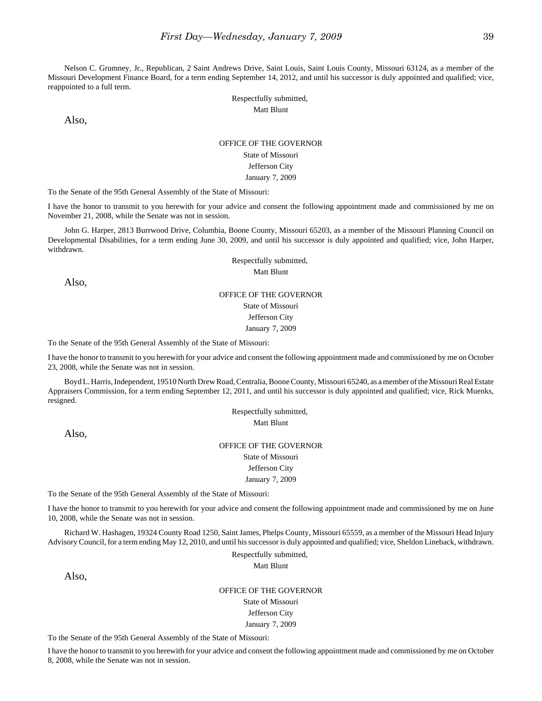Nelson C. Grumney, Jr., Republican, 2 Saint Andrews Drive, Saint Louis, Saint Louis County, Missouri 63124, as a member of the Missouri Development Finance Board, for a term ending September 14, 2012, and until his successor is duly appointed and qualified; vice, reappointed to a full term.

> Respectfully submitted, Matt Blunt

Also,

#### OFFICE OF THE GOVERNOR

State of Missouri

Jefferson City January 7, 2009

To the Senate of the 95th General Assembly of the State of Missouri:

I have the honor to transmit to you herewith for your advice and consent the following appointment made and commissioned by me on November 21, 2008, while the Senate was not in session.

John G. Harper, 2813 Burrwood Drive, Columbia, Boone County, Missouri 65203, as a member of the Missouri Planning Council on Developmental Disabilities, for a term ending June 30, 2009, and until his successor is duly appointed and qualified; vice, John Harper, withdrawn.

> Respectfully submitted, Matt Blunt

Also,

### OFFICE OF THE GOVERNOR

State of Missouri Jefferson City January 7, 2009

To the Senate of the 95th General Assembly of the State of Missouri:

I have the honor to transmit to you herewith for your advice and consent the following appointment made and commissioned by me on October 23, 2008, while the Senate was not in session.

Boyd L. Harris, Independent, 19510 North Drew Road, Centralia, Boone County, Missouri 65240, as a member of the Missouri Real Estate Appraisers Commission, for a term ending September 12, 2011, and until his successor is duly appointed and qualified; vice, Rick Muenks, resigned.

> Respectfully submitted, Matt Blunt

Also,

### OFFICE OF THE GOVERNOR

State of Missouri Jefferson City

January 7, 2009

To the Senate of the 95th General Assembly of the State of Missouri:

I have the honor to transmit to you herewith for your advice and consent the following appointment made and commissioned by me on June 10, 2008, while the Senate was not in session.

Richard W. Hashagen, 19324 County Road 1250, Saint James, Phelps County, Missouri 65559, as a member of the Missouri Head Injury Advisory Council, for a term ending May 12, 2010, and until his successor is duly appointed and qualified; vice, Sheldon Lineback, withdrawn.

> Respectfully submitted, Matt Blunt

Also,

#### OFFICE OF THE GOVERNOR

State of Missouri Jefferson City January 7, 2009

To the Senate of the 95th General Assembly of the State of Missouri:

I have the honor to transmit to you herewith for your advice and consent the following appointment made and commissioned by me on October 8, 2008, while the Senate was not in session.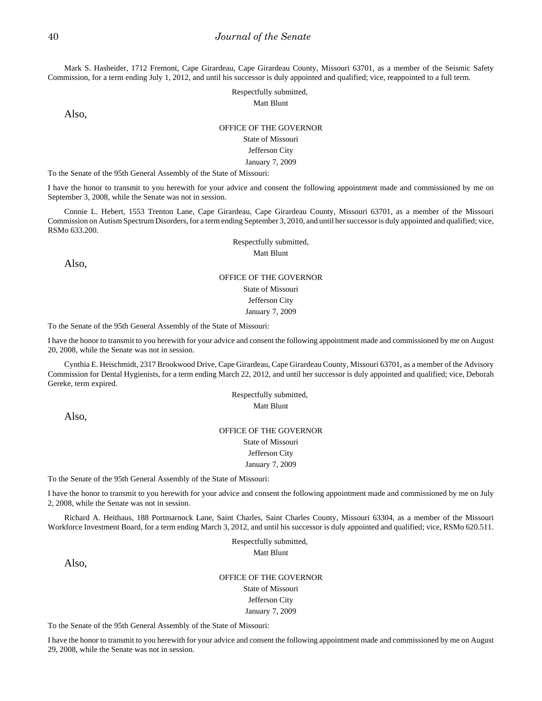Mark S. Hasheider, 1712 Fremont, Cape Girardeau, Cape Girardeau County, Missouri 63701, as a member of the Seismic Safety Commission, for a term ending July 1, 2012, and until his successor is duly appointed and qualified; vice, reappointed to a full term.

> Respectfully submitted, Matt Blunt

Also,

#### OFFICE OF THE GOVERNOR

State of Missouri

#### Jefferson City

#### January 7, 2009

To the Senate of the 95th General Assembly of the State of Missouri:

I have the honor to transmit to you herewith for your advice and consent the following appointment made and commissioned by me on September 3, 2008, while the Senate was not in session.

Connie L. Hebert, 1553 Trenton Lane, Cape Girardeau, Cape Girardeau County, Missouri 63701, as a member of the Missouri Commission on Autism Spectrum Disorders, for a term ending September 3, 2010, and until her successor is duly appointed and qualified; vice, RSMo 633.200.

> Respectfully submitted, Matt Blunt

Also,

## OFFICE OF THE GOVERNOR State of Missouri Jefferson City January 7, 2009

To the Senate of the 95th General Assembly of the State of Missouri:

I have the honor to transmit to you herewith for your advice and consent the following appointment made and commissioned by me on August 20, 2008, while the Senate was not in session.

Cynthia E. Heischmidt, 2317 Brookwood Drive, Cape Girardeau, Cape Girardeau County, Missouri 63701, as a member of the Advisory Commission for Dental Hygienists, for a term ending March 22, 2012, and until her successor is duly appointed and qualified; vice, Deborah Gereke, term expired.

> Respectfully submitted, Matt Blunt

Also,

### OFFICE OF THE GOVERNOR

State of Missouri Jefferson City

January 7, 2009

To the Senate of the 95th General Assembly of the State of Missouri:

I have the honor to transmit to you herewith for your advice and consent the following appointment made and commissioned by me on July 2, 2008, while the Senate was not in session.

Richard A. Heithaus, 188 Portmarnock Lane, Saint Charles, Saint Charles County, Missouri 63304, as a member of the Missouri Workforce Investment Board, for a term ending March 3, 2012, and until his successor is duly appointed and qualified; vice, RSMo 620.511.

> Respectfully submitted, Matt Blunt

Also,

OFFICE OF THE GOVERNOR State of Missouri Jefferson City January 7, 2009

To the Senate of the 95th General Assembly of the State of Missouri:

I have the honor to transmit to you herewith for your advice and consent the following appointment made and commissioned by me on August 29, 2008, while the Senate was not in session.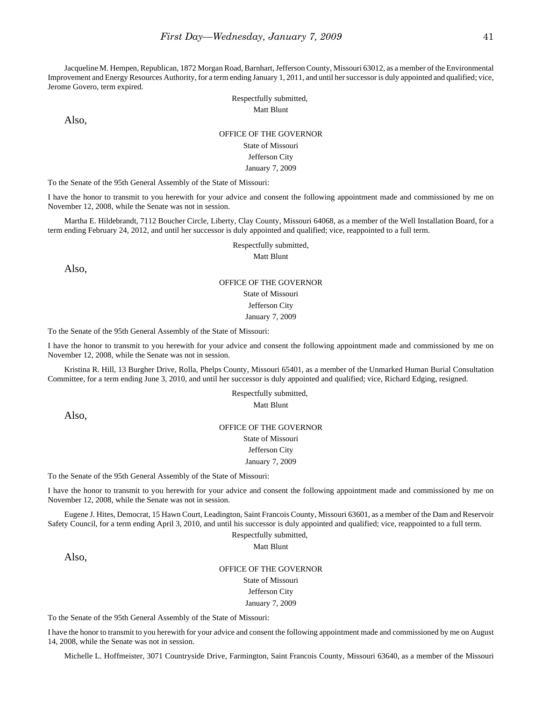Jacqueline M. Hempen, Republican, 1872 Morgan Road, Barnhart, Jefferson County, Missouri 63012, as a member of the Environmental Improvement and Energy Resources Authority, for a term ending January 1, 2011, and until her successor is duly appointed and qualified; vice, Jerome Govero, term expired.

> Respectfully submitted, Matt Blunt

Also,

### OFFICE OF THE GOVERNOR

State of Missouri Jefferson City

January 7, 2009

To the Senate of the 95th General Assembly of the State of Missouri:

I have the honor to transmit to you herewith for your advice and consent the following appointment made and commissioned by me on November 12, 2008, while the Senate was not in session.

Martha E. Hildebrandt, 7112 Boucher Circle, Liberty, Clay County, Missouri 64068, as a member of the Well Installation Board, for a term ending February 24, 2012, and until her successor is duly appointed and qualified; vice, reappointed to a full term.

Respectfully submitted,

Matt Blunt

Also,

#### OFFICE OF THE GOVERNOR State of Missouri

Jefferson City

January 7, 2009

To the Senate of the 95th General Assembly of the State of Missouri:

I have the honor to transmit to you herewith for your advice and consent the following appointment made and commissioned by me on November 12, 2008, while the Senate was not in session.

Kristina R. Hill, 13 Burgher Drive, Rolla, Phelps County, Missouri 65401, as a member of the Unmarked Human Burial Consultation Committee, for a term ending June 3, 2010, and until her successor is duly appointed and qualified; vice, Richard Edging, resigned.

> Respectfully submitted, Matt Blunt

Also,

OFFICE OF THE GOVERNOR State of Missouri Jefferson City January 7, 2009

To the Senate of the 95th General Assembly of the State of Missouri:

I have the honor to transmit to you herewith for your advice and consent the following appointment made and commissioned by me on November 12, 2008, while the Senate was not in session.

Eugene J. Hites, Democrat, 15 Hawn Court, Leadington, Saint Francois County, Missouri 63601, as a member of the Dam and Reservoir Safety Council, for a term ending April 3, 2010, and until his successor is duly appointed and qualified; vice, reappointed to a full term.

Respectfully submitted,

Matt Blunt

Also,

OFFICE OF THE GOVERNOR

State of Missouri

Jefferson City

January 7, 2009

To the Senate of the 95th General Assembly of the State of Missouri:

I have the honor to transmit to you herewith for your advice and consent the following appointment made and commissioned by me on August 14, 2008, while the Senate was not in session.

Michelle L. Hoffmeister, 3071 Countryside Drive, Farmington, Saint Francois County, Missouri 63640, as a member of the Missouri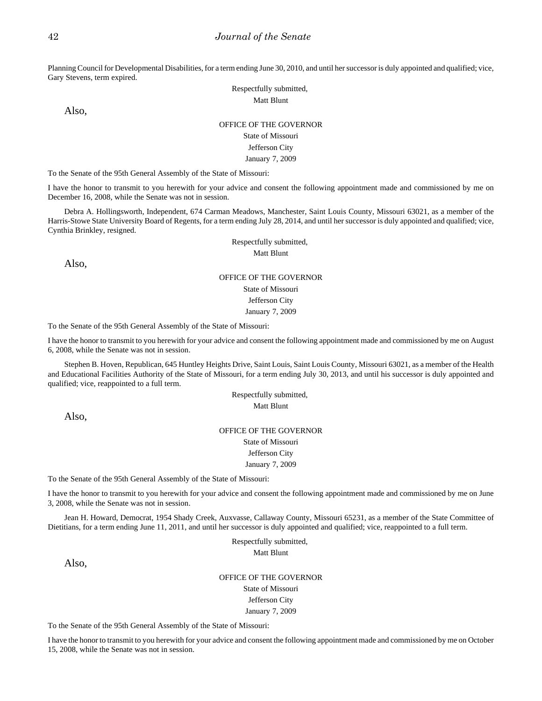Planning Council for Developmental Disabilities, for a term ending June 30, 2010, and until her successor is duly appointed and qualified; vice, Gary Stevens, term expired.

> Respectfully submitted, Matt Blunt

Also,

### OFFICE OF THE GOVERNOR

## State of Missouri

### Jefferson City

January 7, 2009

To the Senate of the 95th General Assembly of the State of Missouri:

I have the honor to transmit to you herewith for your advice and consent the following appointment made and commissioned by me on December 16, 2008, while the Senate was not in session.

Debra A. Hollingsworth, Independent, 674 Carman Meadows, Manchester, Saint Louis County, Missouri 63021, as a member of the Harris-Stowe State University Board of Regents, for a term ending July 28, 2014, and until her successor is duly appointed and qualified; vice, Cynthia Brinkley, resigned.

> Respectfully submitted, Matt Blunt

Also,

## OFFICE OF THE GOVERNOR State of Missouri Jefferson City January 7, 2009

To the Senate of the 95th General Assembly of the State of Missouri:

I have the honor to transmit to you herewith for your advice and consent the following appointment made and commissioned by me on August 6, 2008, while the Senate was not in session.

Stephen B. Hoven, Republican, 645 Huntley Heights Drive, Saint Louis, Saint Louis County, Missouri 63021, as a member of the Health and Educational Facilities Authority of the State of Missouri, for a term ending July 30, 2013, and until his successor is duly appointed and qualified; vice, reappointed to a full term.

> Respectfully submitted, Matt Blunt

Also,

### OFFICE OF THE GOVERNOR

State of Missouri

Jefferson City January 7, 2009

To the Senate of the 95th General Assembly of the State of Missouri:

I have the honor to transmit to you herewith for your advice and consent the following appointment made and commissioned by me on June 3, 2008, while the Senate was not in session.

Jean H. Howard, Democrat, 1954 Shady Creek, Auxvasse, Callaway County, Missouri 65231, as a member of the State Committee of Dietitians, for a term ending June 11, 2011, and until her successor is duly appointed and qualified; vice, reappointed to a full term.

> Respectfully submitted, Matt Blunt

Also,

OFFICE OF THE GOVERNOR State of Missouri Jefferson City January 7, 2009

To the Senate of the 95th General Assembly of the State of Missouri:

I have the honor to transmit to you herewith for your advice and consent the following appointment made and commissioned by me on October 15, 2008, while the Senate was not in session.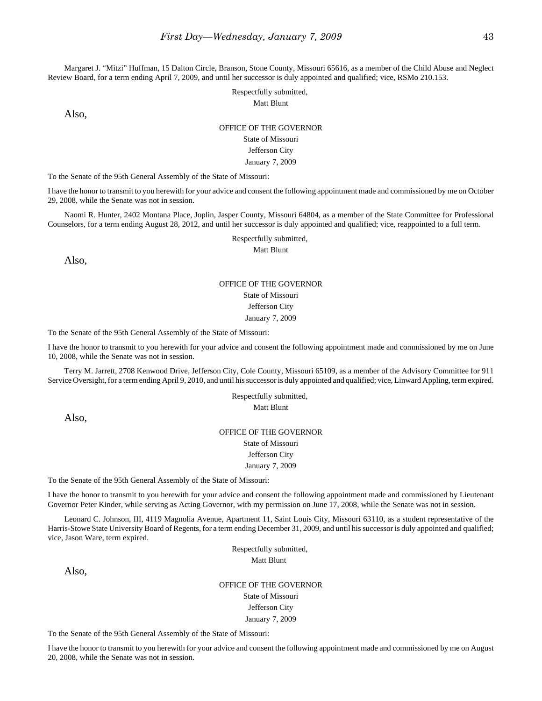Margaret J. "Mitzi" Huffman, 15 Dalton Circle, Branson, Stone County, Missouri 65616, as a member of the Child Abuse and Neglect Review Board, for a term ending April 7, 2009, and until her successor is duly appointed and qualified; vice, RSMo 210.153.

> Respectfully submitted, Matt Blunt

Also,

#### OFFICE OF THE GOVERNOR

### State of Missouri

### Jefferson City

#### January 7, 2009

To the Senate of the 95th General Assembly of the State of Missouri:

I have the honor to transmit to you herewith for your advice and consent the following appointment made and commissioned by me on October 29, 2008, while the Senate was not in session.

Naomi R. Hunter, 2402 Montana Place, Joplin, Jasper County, Missouri 64804, as a member of the State Committee for Professional Counselors, for a term ending August 28, 2012, and until her successor is duly appointed and qualified; vice, reappointed to a full term.

Respectfully submitted,

Matt Blunt

Also,

## OFFICE OF THE GOVERNOR State of Missouri Jefferson City January 7, 2009

To the Senate of the 95th General Assembly of the State of Missouri:

I have the honor to transmit to you herewith for your advice and consent the following appointment made and commissioned by me on June 10, 2008, while the Senate was not in session.

Terry M. Jarrett, 2708 Kenwood Drive, Jefferson City, Cole County, Missouri 65109, as a member of the Advisory Committee for 911 Service Oversight, for a term ending April 9, 2010, and until his successor is duly appointed and qualified; vice, Linward Appling, term expired.

> Respectfully submitted, Matt Blunt

Also,

## OFFICE OF THE GOVERNOR State of Missouri Jefferson City

January 7, 2009

To the Senate of the 95th General Assembly of the State of Missouri:

I have the honor to transmit to you herewith for your advice and consent the following appointment made and commissioned by Lieutenant Governor Peter Kinder, while serving as Acting Governor, with my permission on June 17, 2008, while the Senate was not in session.

Leonard C. Johnson, III, 4119 Magnolia Avenue, Apartment 11, Saint Louis City, Missouri 63110, as a student representative of the Harris-Stowe State University Board of Regents, for a term ending December 31, 2009, and until his successor is duly appointed and qualified; vice, Jason Ware, term expired.

> Respectfully submitted, Matt Blunt

Also,

OFFICE OF THE GOVERNOR State of Missouri Jefferson City January 7, 2009

To the Senate of the 95th General Assembly of the State of Missouri:

I have the honor to transmit to you herewith for your advice and consent the following appointment made and commissioned by me on August 20, 2008, while the Senate was not in session.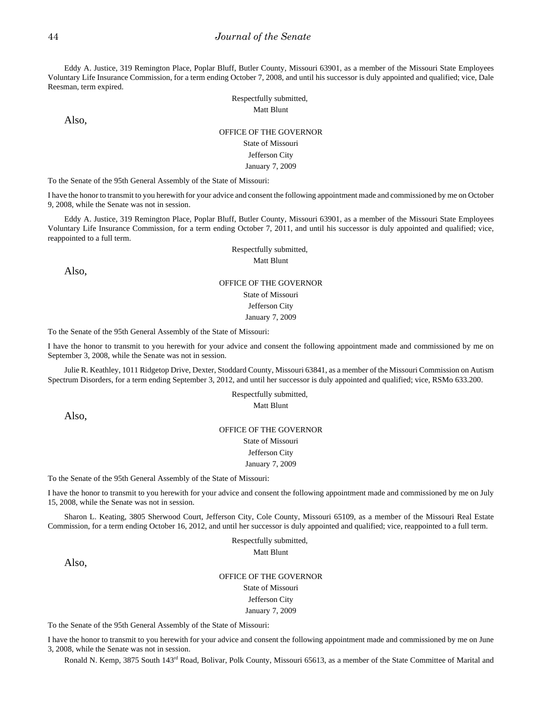Eddy A. Justice, 319 Remington Place, Poplar Bluff, Butler County, Missouri 63901, as a member of the Missouri State Employees Voluntary Life Insurance Commission, for a term ending October 7, 2008, and until his successor is duly appointed and qualified; vice, Dale Reesman, term expired.

> Respectfully submitted, Matt Blunt

Also,

## OFFICE OF THE GOVERNOR State of Missouri Jefferson City January 7, 2009

To the Senate of the 95th General Assembly of the State of Missouri:

I have the honor to transmit to you herewith for your advice and consent the following appointment made and commissioned by me on October 9, 2008, while the Senate was not in session.

Eddy A. Justice, 319 Remington Place, Poplar Bluff, Butler County, Missouri 63901, as a member of the Missouri State Employees Voluntary Life Insurance Commission, for a term ending October 7, 2011, and until his successor is duly appointed and qualified; vice, reappointed to a full term.

> Respectfully submitted, Matt Blunt

Also,

## OFFICE OF THE GOVERNOR State of Missouri Jefferson City January 7, 2009

To the Senate of the 95th General Assembly of the State of Missouri:

I have the honor to transmit to you herewith for your advice and consent the following appointment made and commissioned by me on September 3, 2008, while the Senate was not in session.

Julie R. Keathley, 1011 Ridgetop Drive, Dexter, Stoddard County, Missouri 63841, as a member of the Missouri Commission on Autism Spectrum Disorders, for a term ending September 3, 2012, and until her successor is duly appointed and qualified; vice, RSMo 633.200.

> Respectfully submitted, Matt Blunt

Also,

OFFICE OF THE GOVERNOR State of Missouri Jefferson City January 7, 2009

To the Senate of the 95th General Assembly of the State of Missouri:

I have the honor to transmit to you herewith for your advice and consent the following appointment made and commissioned by me on July 15, 2008, while the Senate was not in session.

Sharon L. Keating, 3805 Sherwood Court, Jefferson City, Cole County, Missouri 65109, as a member of the Missouri Real Estate Commission, for a term ending October 16, 2012, and until her successor is duly appointed and qualified; vice, reappointed to a full term.

> Respectfully submitted, Matt Blunt

Also,

OFFICE OF THE GOVERNOR State of Missouri Jefferson City January 7, 2009

To the Senate of the 95th General Assembly of the State of Missouri:

I have the honor to transmit to you herewith for your advice and consent the following appointment made and commissioned by me on June 3, 2008, while the Senate was not in session.

Ronald N. Kemp, 3875 South 143rd Road, Bolivar, Polk County, Missouri 65613, as a member of the State Committee of Marital and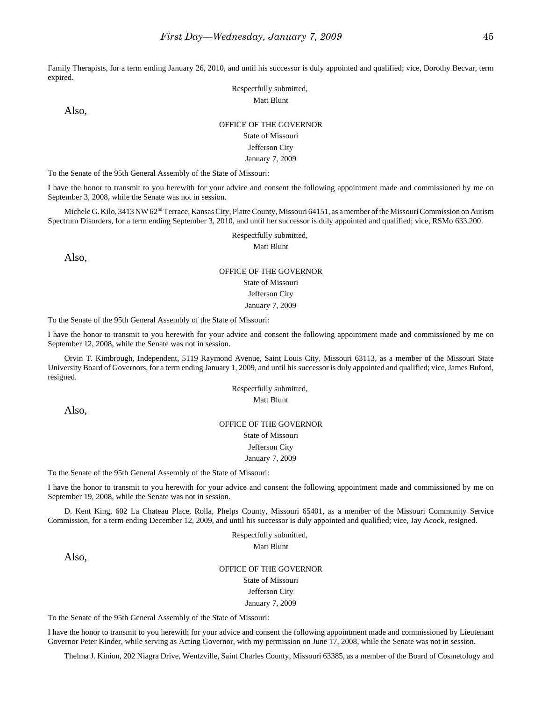Family Therapists, for a term ending January 26, 2010, and until his successor is duly appointed and qualified; vice, Dorothy Becvar, term expired.

> Respectfully submitted, Matt Blunt

Also,

### OFFICE OF THE GOVERNOR

## State of Missouri

## Jefferson City

January 7, 2009

To the Senate of the 95th General Assembly of the State of Missouri:

I have the honor to transmit to you herewith for your advice and consent the following appointment made and commissioned by me on September 3, 2008, while the Senate was not in session.

Michele G. Kilo, 3413 NW 62<sup>nd</sup> Terrace, Kansas City, Platte County, Missouri 64151, as a member of the Missouri Commission on Autism Spectrum Disorders, for a term ending September 3, 2010, and until her successor is duly appointed and qualified; vice, RSMo 633.200.

> Respectfully submitted, Matt Blunt

Also,

# OFFICE OF THE GOVERNOR

## State of Missouri

Jefferson City

January 7, 2009

To the Senate of the 95th General Assembly of the State of Missouri:

I have the honor to transmit to you herewith for your advice and consent the following appointment made and commissioned by me on September 12, 2008, while the Senate was not in session.

Orvin T. Kimbrough, Independent, 5119 Raymond Avenue, Saint Louis City, Missouri 63113, as a member of the Missouri State University Board of Governors, for a term ending January 1, 2009, and until his successor is duly appointed and qualified; vice, James Buford, resigned.

> Respectfully submitted, Matt Blunt

Also,

### OFFICE OF THE GOVERNOR State of Missouri Jefferson City January 7, 2009

To the Senate of the 95th General Assembly of the State of Missouri:

I have the honor to transmit to you herewith for your advice and consent the following appointment made and commissioned by me on September 19, 2008, while the Senate was not in session.

D. Kent King, 602 La Chateau Place, Rolla, Phelps County, Missouri 65401, as a member of the Missouri Community Service Commission, for a term ending December 12, 2009, and until his successor is duly appointed and qualified; vice, Jay Acock, resigned.

> Respectfully submitted, Matt Blunt

Also,

OFFICE OF THE GOVERNOR

State of Missouri Jefferson City

January 7, 2009

To the Senate of the 95th General Assembly of the State of Missouri:

I have the honor to transmit to you herewith for your advice and consent the following appointment made and commissioned by Lieutenant Governor Peter Kinder, while serving as Acting Governor, with my permission on June 17, 2008, while the Senate was not in session.

Thelma J. Kinion, 202 Niagra Drive, Wentzville, Saint Charles County, Missouri 63385, as a member of the Board of Cosmetology and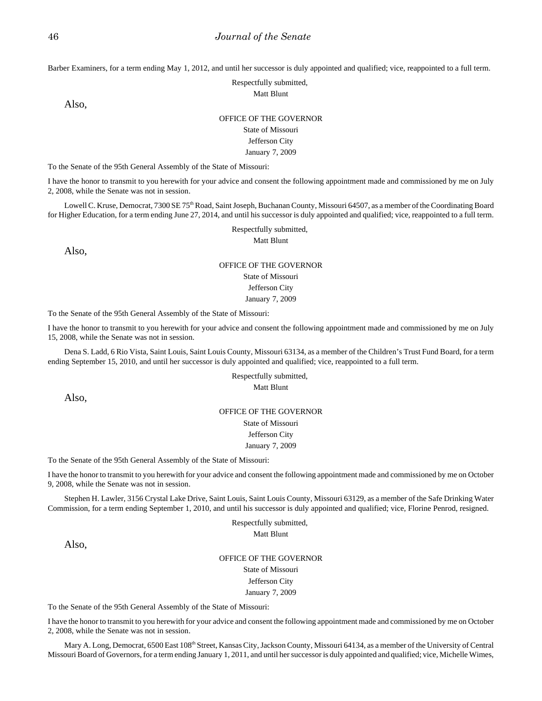Barber Examiners, for a term ending May 1, 2012, and until her successor is duly appointed and qualified; vice, reappointed to a full term.

Respectfully submitted,

Matt Blunt

Also,

#### OFFICE OF THE GOVERNOR

State of Missouri Jefferson City

January 7, 2009

To the Senate of the 95th General Assembly of the State of Missouri:

I have the honor to transmit to you herewith for your advice and consent the following appointment made and commissioned by me on July 2, 2008, while the Senate was not in session.

Lowell C. Kruse, Democrat, 7300 SE 75<sup>th</sup> Road, Saint Joseph, Buchanan County, Missouri 64507, as a member of the Coordinating Board for Higher Education, for a term ending June 27, 2014, and until his successor is duly appointed and qualified; vice, reappointed to a full term.

Respectfully submitted,

Matt Blunt

Also,

## OFFICE OF THE GOVERNOR

State of Missouri Jefferson City

January 7, 2009

To the Senate of the 95th General Assembly of the State of Missouri:

I have the honor to transmit to you herewith for your advice and consent the following appointment made and commissioned by me on July 15, 2008, while the Senate was not in session.

Dena S. Ladd, 6 Rio Vista, Saint Louis, Saint Louis County, Missouri 63134, as a member of the Children's Trust Fund Board, for a term ending September 15, 2010, and until her successor is duly appointed and qualified; vice, reappointed to a full term.

#### Respectfully submitted, Matt Blunt

Also,

### OFFICE OF THE GOVERNOR

State of Missouri Jefferson City

#### January 7, 2009

To the Senate of the 95th General Assembly of the State of Missouri:

I have the honor to transmit to you herewith for your advice and consent the following appointment made and commissioned by me on October 9, 2008, while the Senate was not in session.

Stephen H. Lawler, 3156 Crystal Lake Drive, Saint Louis, Saint Louis County, Missouri 63129, as a member of the Safe Drinking Water Commission, for a term ending September 1, 2010, and until his successor is duly appointed and qualified; vice, Florine Penrod, resigned.

Respectfully submitted,

Matt Blunt

Also,

### OFFICE OF THE GOVERNOR State of Missouri Jefferson City January 7, 2009

To the Senate of the 95th General Assembly of the State of Missouri:

I have the honor to transmit to you herewith for your advice and consent the following appointment made and commissioned by me on October 2, 2008, while the Senate was not in session.

Mary A. Long, Democrat, 6500 East 108<sup>th</sup> Street, Kansas City, Jackson County, Missouri 64134, as a member of the University of Central Missouri Board of Governors, for a term ending January 1, 2011, and until her successor is duly appointed and qualified; vice, Michelle Wimes,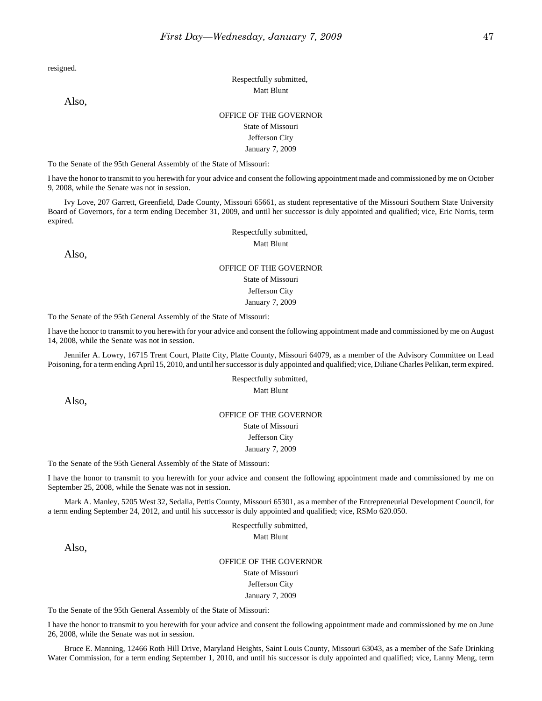resigned.

Also,

## Respectfully submitted, Matt Blunt

### OFFICE OF THE GOVERNOR State of Missouri

## Jefferson City

January 7, 2009

To the Senate of the 95th General Assembly of the State of Missouri:

I have the honor to transmit to you herewith for your advice and consent the following appointment made and commissioned by me on October 9, 2008, while the Senate was not in session.

Ivy Love, 207 Garrett, Greenfield, Dade County, Missouri 65661, as student representative of the Missouri Southern State University Board of Governors, for a term ending December 31, 2009, and until her successor is duly appointed and qualified; vice, Eric Norris, term expired.

> Respectfully submitted, Matt Blunt

Also,

## OFFICE OF THE GOVERNOR

State of Missouri

Jefferson City January 7, 2009

To the Senate of the 95th General Assembly of the State of Missouri:

I have the honor to transmit to you herewith for your advice and consent the following appointment made and commissioned by me on August 14, 2008, while the Senate was not in session.

Jennifer A. Lowry, 16715 Trent Court, Platte City, Platte County, Missouri 64079, as a member of the Advisory Committee on Lead Poisoning, for a term ending April 15, 2010, and until her successor is duly appointed and qualified; vice, Diliane Charles Pelikan, term expired.

> Respectfully submitted, Matt Blunt

Also,

### OFFICE OF THE GOVERNOR

State of Missouri Jefferson City

January 7, 2009

To the Senate of the 95th General Assembly of the State of Missouri:

I have the honor to transmit to you herewith for your advice and consent the following appointment made and commissioned by me on September 25, 2008, while the Senate was not in session.

Mark A. Manley, 5205 West 32, Sedalia, Pettis County, Missouri 65301, as a member of the Entrepreneurial Development Council, for a term ending September 24, 2012, and until his successor is duly appointed and qualified; vice, RSMo 620.050.

> Respectfully submitted, Matt Blunt

Also,

OFFICE OF THE GOVERNOR State of Missouri

Jefferson City January 7, 2009

To the Senate of the 95th General Assembly of the State of Missouri:

I have the honor to transmit to you herewith for your advice and consent the following appointment made and commissioned by me on June 26, 2008, while the Senate was not in session.

Bruce E. Manning, 12466 Roth Hill Drive, Maryland Heights, Saint Louis County, Missouri 63043, as a member of the Safe Drinking Water Commission, for a term ending September 1, 2010, and until his successor is duly appointed and qualified; vice, Lanny Meng, term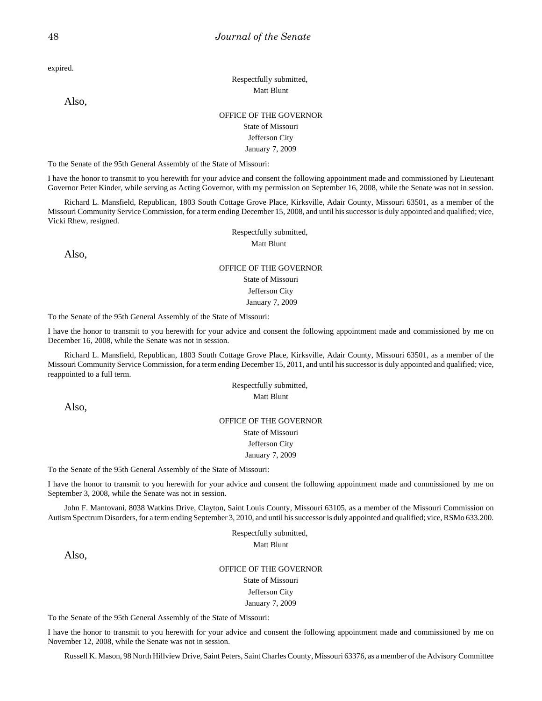expired.

Also,

## Respectfully submitted, Matt Blunt

## OFFICE OF THE GOVERNOR State of Missouri Jefferson City

January 7, 2009

To the Senate of the 95th General Assembly of the State of Missouri:

I have the honor to transmit to you herewith for your advice and consent the following appointment made and commissioned by Lieutenant Governor Peter Kinder, while serving as Acting Governor, with my permission on September 16, 2008, while the Senate was not in session.

Richard L. Mansfield, Republican, 1803 South Cottage Grove Place, Kirksville, Adair County, Missouri 63501, as a member of the Missouri Community Service Commission, for a term ending December 15, 2008, and until his successor is duly appointed and qualified; vice, Vicki Rhew, resigned.

> Respectfully submitted, Matt Blunt

Also,

## OFFICE OF THE GOVERNOR

State of Missouri

Jefferson City January 7, 2009

To the Senate of the 95th General Assembly of the State of Missouri:

I have the honor to transmit to you herewith for your advice and consent the following appointment made and commissioned by me on December 16, 2008, while the Senate was not in session.

Richard L. Mansfield, Republican, 1803 South Cottage Grove Place, Kirksville, Adair County, Missouri 63501, as a member of the Missouri Community Service Commission, for a term ending December 15, 2011, and until his successor is duly appointed and qualified; vice, reappointed to a full term.

> Respectfully submitted, Matt Blunt

Also,

#### OFFICE OF THE GOVERNOR

State of Missouri

Jefferson City

January 7, 2009

To the Senate of the 95th General Assembly of the State of Missouri:

I have the honor to transmit to you herewith for your advice and consent the following appointment made and commissioned by me on September 3, 2008, while the Senate was not in session.

John F. Mantovani, 8038 Watkins Drive, Clayton, Saint Louis County, Missouri 63105, as a member of the Missouri Commission on Autism Spectrum Disorders, for a term ending September 3, 2010, and until his successor is duly appointed and qualified; vice, RSMo 633.200.

> Respectfully submitted, Matt Blunt

Also,

OFFICE OF THE GOVERNOR

State of Missouri Jefferson City

January 7, 2009

To the Senate of the 95th General Assembly of the State of Missouri:

I have the honor to transmit to you herewith for your advice and consent the following appointment made and commissioned by me on November 12, 2008, while the Senate was not in session.

Russell K. Mason, 98 North Hillview Drive, Saint Peters, Saint Charles County, Missouri 63376, as a member of the Advisory Committee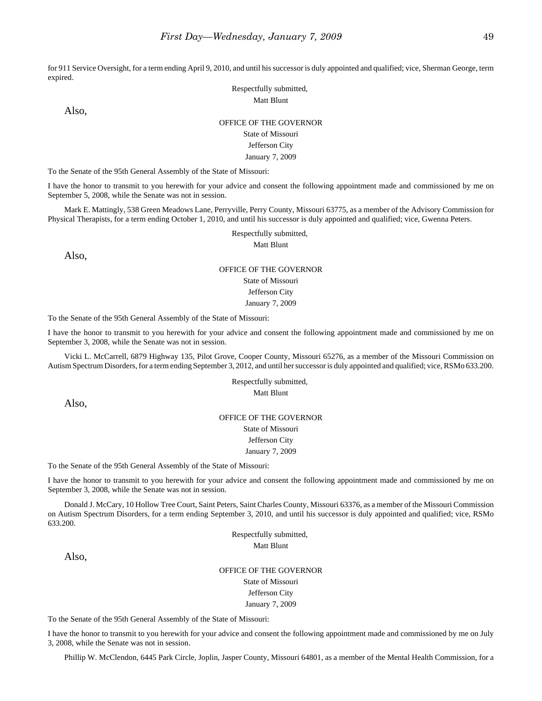for 911 Service Oversight, for a term ending April 9, 2010, and until his successor is duly appointed and qualified; vice, Sherman George, term expired.

> Respectfully submitted, Matt Blunt

Also,

### OFFICE OF THE GOVERNOR

State of Missouri

### Jefferson City January 7, 2009

To the Senate of the 95th General Assembly of the State of Missouri:

I have the honor to transmit to you herewith for your advice and consent the following appointment made and commissioned by me on September 5, 2008, while the Senate was not in session.

Mark E. Mattingly, 538 Green Meadows Lane, Perryville, Perry County, Missouri 63775, as a member of the Advisory Commission for Physical Therapists, for a term ending October 1, 2010, and until his successor is duly appointed and qualified; vice, Gwenna Peters.

Respectfully submitted,

Matt Blunt

Also,

#### OFFICE OF THE GOVERNOR

State of Missouri

Jefferson City January 7, 2009

To the Senate of the 95th General Assembly of the State of Missouri:

I have the honor to transmit to you herewith for your advice and consent the following appointment made and commissioned by me on September 3, 2008, while the Senate was not in session.

Vicki L. McCarrell, 6879 Highway 135, Pilot Grove, Cooper County, Missouri 65276, as a member of the Missouri Commission on Autism Spectrum Disorders, for a term ending September 3, 2012, and until her successor is duly appointed and qualified; vice, RSMo 633.200.

> Respectfully submitted, Matt Blunt

Also,

#### OFFICE OF THE GOVERNOR

State of Missouri Jefferson City

January 7, 2009

To the Senate of the 95th General Assembly of the State of Missouri:

I have the honor to transmit to you herewith for your advice and consent the following appointment made and commissioned by me on September 3, 2008, while the Senate was not in session.

Donald J. McCary, 10 Hollow Tree Court, Saint Peters, Saint Charles County, Missouri 63376, as a member of the Missouri Commission on Autism Spectrum Disorders, for a term ending September 3, 2010, and until his successor is duly appointed and qualified; vice, RSMo 633.200.

> Respectfully submitted, Matt Blunt

Also,

OFFICE OF THE GOVERNOR State of Missouri Jefferson City January 7, 2009

To the Senate of the 95th General Assembly of the State of Missouri:

I have the honor to transmit to you herewith for your advice and consent the following appointment made and commissioned by me on July 3, 2008, while the Senate was not in session.

Phillip W. McClendon, 6445 Park Circle, Joplin, Jasper County, Missouri 64801, as a member of the Mental Health Commission, for a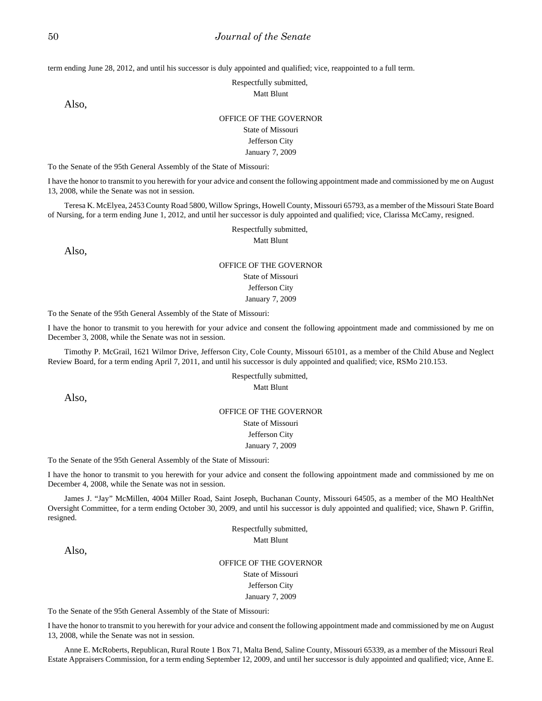term ending June 28, 2012, and until his successor is duly appointed and qualified; vice, reappointed to a full term.

Respectfully submitted,

Matt Blunt

Also,

#### OFFICE OF THE GOVERNOR

State of Missouri Jefferson City

January 7, 2009

To the Senate of the 95th General Assembly of the State of Missouri:

I have the honor to transmit to you herewith for your advice and consent the following appointment made and commissioned by me on August 13, 2008, while the Senate was not in session.

Teresa K. McElyea, 2453 County Road 5800, Willow Springs, Howell County, Missouri 65793, as a member of the Missouri State Board of Nursing, for a term ending June 1, 2012, and until her successor is duly appointed and qualified; vice, Clarissa McCamy, resigned.

Respectfully submitted,

Matt Blunt

Also,

#### OFFICE OF THE GOVERNOR State of Missouri

Jefferson City

January 7, 2009

To the Senate of the 95th General Assembly of the State of Missouri:

I have the honor to transmit to you herewith for your advice and consent the following appointment made and commissioned by me on December 3, 2008, while the Senate was not in session.

Timothy P. McGrail, 1621 Wilmor Drive, Jefferson City, Cole County, Missouri 65101, as a member of the Child Abuse and Neglect Review Board, for a term ending April 7, 2011, and until his successor is duly appointed and qualified; vice, RSMo 210.153.

#### Respectfully submitted, Matt Blunt

Also,

### OFFICE OF THE GOVERNOR

State of Missouri Jefferson City

#### January 7, 2009

To the Senate of the 95th General Assembly of the State of Missouri:

I have the honor to transmit to you herewith for your advice and consent the following appointment made and commissioned by me on December 4, 2008, while the Senate was not in session.

James J. "Jay" McMillen, 4004 Miller Road, Saint Joseph, Buchanan County, Missouri 64505, as a member of the MO HealthNet Oversight Committee, for a term ending October 30, 2009, and until his successor is duly appointed and qualified; vice, Shawn P. Griffin, resigned.

> Respectfully submitted, Matt Blunt

Also,

OFFICE OF THE GOVERNOR State of Missouri Jefferson City January 7, 2009

To the Senate of the 95th General Assembly of the State of Missouri:

I have the honor to transmit to you herewith for your advice and consent the following appointment made and commissioned by me on August 13, 2008, while the Senate was not in session.

Anne E. McRoberts, Republican, Rural Route 1 Box 71, Malta Bend, Saline County, Missouri 65339, as a member of the Missouri Real Estate Appraisers Commission, for a term ending September 12, 2009, and until her successor is duly appointed and qualified; vice, Anne E.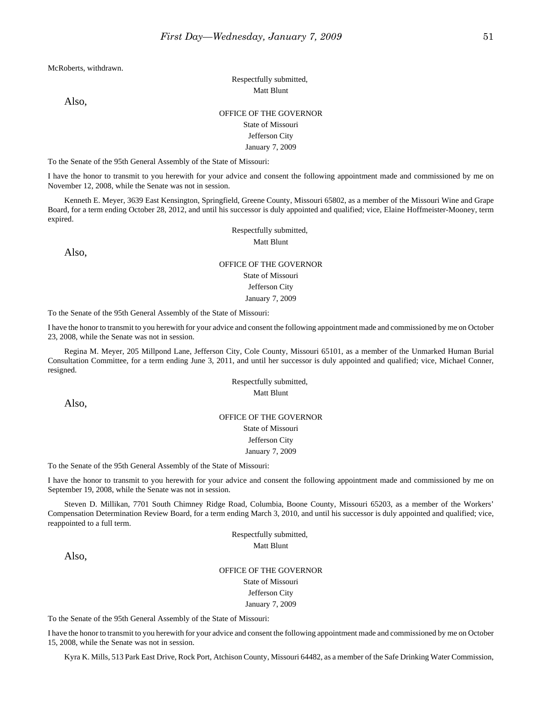McRoberts, withdrawn.

Respectfully submitted, Matt Blunt

Also,

### OFFICE OF THE GOVERNOR State of Missouri

# Jefferson City

### January 7, 2009

To the Senate of the 95th General Assembly of the State of Missouri:

I have the honor to transmit to you herewith for your advice and consent the following appointment made and commissioned by me on November 12, 2008, while the Senate was not in session.

Kenneth E. Meyer, 3639 East Kensington, Springfield, Greene County, Missouri 65802, as a member of the Missouri Wine and Grape Board, for a term ending October 28, 2012, and until his successor is duly appointed and qualified; vice, Elaine Hoffmeister-Mooney, term expired.

Respectfully submitted,

Matt Blunt

Also,

## OFFICE OF THE GOVERNOR State of Missouri Jefferson City January 7, 2009

To the Senate of the 95th General Assembly of the State of Missouri:

I have the honor to transmit to you herewith for your advice and consent the following appointment made and commissioned by me on October 23, 2008, while the Senate was not in session.

Regina M. Meyer, 205 Millpond Lane, Jefferson City, Cole County, Missouri 65101, as a member of the Unmarked Human Burial Consultation Committee, for a term ending June 3, 2011, and until her successor is duly appointed and qualified; vice, Michael Conner, resigned.

> Respectfully submitted, Matt Blunt

Also,

### OFFICE OF THE GOVERNOR

State of Missouri Jefferson City

January 7, 2009

To the Senate of the 95th General Assembly of the State of Missouri:

I have the honor to transmit to you herewith for your advice and consent the following appointment made and commissioned by me on September 19, 2008, while the Senate was not in session.

Steven D. Millikan, 7701 South Chimney Ridge Road, Columbia, Boone County, Missouri 65203, as a member of the Workers' Compensation Determination Review Board, for a term ending March 3, 2010, and until his successor is duly appointed and qualified; vice, reappointed to a full term.

> Respectfully submitted, Matt Blunt

Also,

OFFICE OF THE GOVERNOR State of Missouri Jefferson City January 7, 2009

To the Senate of the 95th General Assembly of the State of Missouri:

I have the honor to transmit to you herewith for your advice and consent the following appointment made and commissioned by me on October 15, 2008, while the Senate was not in session.

Kyra K. Mills, 513 Park East Drive, Rock Port, Atchison County, Missouri 64482, as a member of the Safe Drinking Water Commission,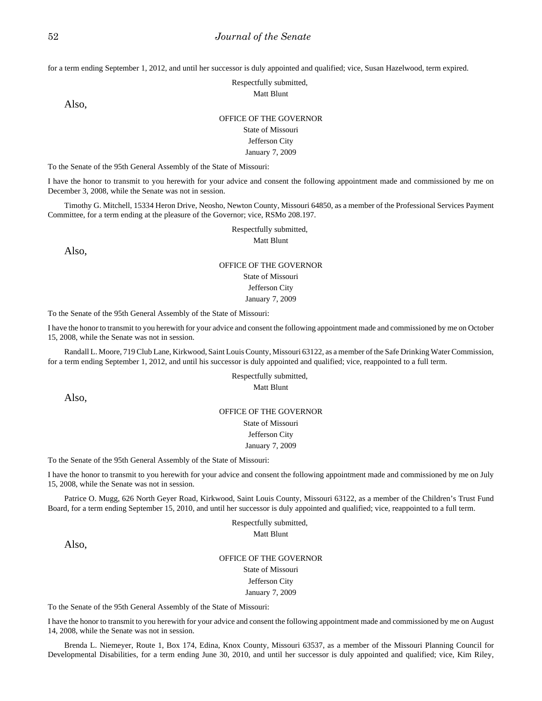for a term ending September 1, 2012, and until her successor is duly appointed and qualified; vice, Susan Hazelwood, term expired.

Respectfully submitted,

Matt Blunt

Also,

#### OFFICE OF THE GOVERNOR

State of Missouri Jefferson City January 7, 2009

To the Senate of the 95th General Assembly of the State of Missouri:

I have the honor to transmit to you herewith for your advice and consent the following appointment made and commissioned by me on December 3, 2008, while the Senate was not in session.

Timothy G. Mitchell, 15334 Heron Drive, Neosho, Newton County, Missouri 64850, as a member of the Professional Services Payment Committee, for a term ending at the pleasure of the Governor; vice, RSMo 208.197.

## Respectfully submitted,

Matt Blunt

Also,

### OFFICE OF THE GOVERNOR

State of Missouri Jefferson City

January 7, 2009

To the Senate of the 95th General Assembly of the State of Missouri:

I have the honor to transmit to you herewith for your advice and consent the following appointment made and commissioned by me on October 15, 2008, while the Senate was not in session.

Randall L. Moore, 719 Club Lane, Kirkwood, Saint Louis County, Missouri 63122, as a member of the Safe Drinking Water Commission, for a term ending September 1, 2012, and until his successor is duly appointed and qualified; vice, reappointed to a full term.

#### Respectfully submitted, Matt Blunt

Also,

### OFFICE OF THE GOVERNOR

State of Missouri Jefferson City

#### January 7, 2009

To the Senate of the 95th General Assembly of the State of Missouri:

I have the honor to transmit to you herewith for your advice and consent the following appointment made and commissioned by me on July 15, 2008, while the Senate was not in session.

Patrice O. Mugg, 626 North Geyer Road, Kirkwood, Saint Louis County, Missouri 63122, as a member of the Children's Trust Fund Board, for a term ending September 15, 2010, and until her successor is duly appointed and qualified; vice, reappointed to a full term.

Respectfully submitted,

Matt Blunt

Also,

### OFFICE OF THE GOVERNOR State of Missouri Jefferson City January 7, 2009

To the Senate of the 95th General Assembly of the State of Missouri:

I have the honor to transmit to you herewith for your advice and consent the following appointment made and commissioned by me on August 14, 2008, while the Senate was not in session.

Brenda L. Niemeyer, Route 1, Box 174, Edina, Knox County, Missouri 63537, as a member of the Missouri Planning Council for Developmental Disabilities, for a term ending June 30, 2010, and until her successor is duly appointed and qualified; vice, Kim Riley,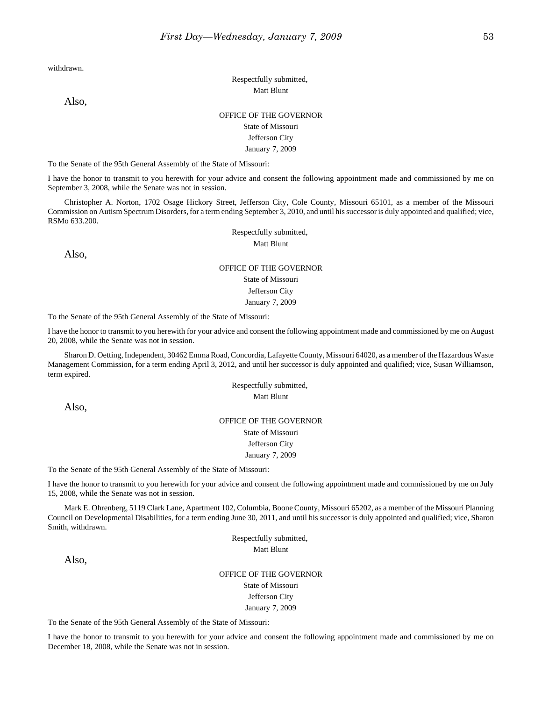withdrawn.

Also,

## Respectfully submitted, Matt Blunt

### OFFICE OF THE GOVERNOR State of Missouri Jefferson City

#### January 7, 2009

To the Senate of the 95th General Assembly of the State of Missouri:

I have the honor to transmit to you herewith for your advice and consent the following appointment made and commissioned by me on September 3, 2008, while the Senate was not in session.

Christopher A. Norton, 1702 Osage Hickory Street, Jefferson City, Cole County, Missouri 65101, as a member of the Missouri Commission on Autism Spectrum Disorders, for a term ending September 3, 2010, and until his successor is duly appointed and qualified; vice, RSMo 633.200.

Respectfully submitted,

Matt Blunt

Also,

## OFFICE OF THE GOVERNOR

State of Missouri

### Jefferson City January 7, 2009

To the Senate of the 95th General Assembly of the State of Missouri:

I have the honor to transmit to you herewith for your advice and consent the following appointment made and commissioned by me on August 20, 2008, while the Senate was not in session.

Sharon D. Oetting, Independent, 30462 Emma Road, Concordia, Lafayette County, Missouri 64020, as a member of the Hazardous Waste Management Commission, for a term ending April 3, 2012, and until her successor is duly appointed and qualified; vice, Susan Williamson, term expired.

> Respectfully submitted, Matt Blunt

Also,

#### OFFICE OF THE GOVERNOR

State of Missouri

Jefferson City

January 7, 2009

To the Senate of the 95th General Assembly of the State of Missouri:

I have the honor to transmit to you herewith for your advice and consent the following appointment made and commissioned by me on July 15, 2008, while the Senate was not in session.

Mark E. Ohrenberg, 5119 Clark Lane, Apartment 102, Columbia, Boone County, Missouri 65202, as a member of the Missouri Planning Council on Developmental Disabilities, for a term ending June 30, 2011, and until his successor is duly appointed and qualified; vice, Sharon Smith, withdrawn.

> Respectfully submitted, Matt Blunt

Also,

OFFICE OF THE GOVERNOR State of Missouri Jefferson City January 7, 2009

To the Senate of the 95th General Assembly of the State of Missouri:

I have the honor to transmit to you herewith for your advice and consent the following appointment made and commissioned by me on December 18, 2008, while the Senate was not in session.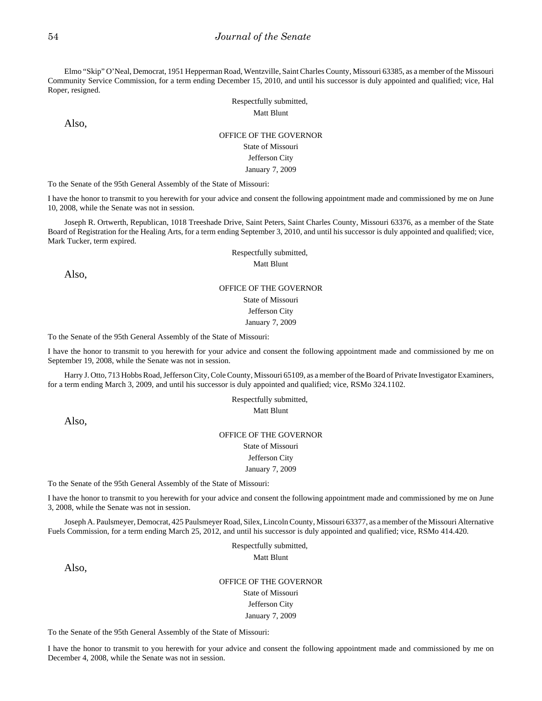Elmo "Skip" O'Neal, Democrat, 1951 Hepperman Road, Wentzville, Saint Charles County, Missouri 63385, as a member of the Missouri Community Service Commission, for a term ending December 15, 2010, and until his successor is duly appointed and qualified; vice, Hal Roper, resigned.

> Respectfully submitted, Matt Blunt

Also,

## OFFICE OF THE GOVERNOR State of Missouri Jefferson City

January 7, 2009

To the Senate of the 95th General Assembly of the State of Missouri:

I have the honor to transmit to you herewith for your advice and consent the following appointment made and commissioned by me on June 10, 2008, while the Senate was not in session.

Joseph R. Ortwerth, Republican, 1018 Treeshade Drive, Saint Peters, Saint Charles County, Missouri 63376, as a member of the State Board of Registration for the Healing Arts, for a term ending September 3, 2010, and until his successor is duly appointed and qualified; vice, Mark Tucker, term expired.

Respectfully submitted,

Matt Blunt

Also,

## OFFICE OF THE GOVERNOR

State of Missouri

Jefferson City January 7, 2009

To the Senate of the 95th General Assembly of the State of Missouri:

I have the honor to transmit to you herewith for your advice and consent the following appointment made and commissioned by me on September 19, 2008, while the Senate was not in session.

Harry J. Otto, 713 Hobbs Road, Jefferson City, Cole County, Missouri 65109, as a member of the Board of Private Investigator Examiners, for a term ending March 3, 2009, and until his successor is duly appointed and qualified; vice, RSMo 324.1102.

> Respectfully submitted, Matt Blunt

Also,

## OFFICE OF THE GOVERNOR State of Missouri

Jefferson City January 7, 2009

To the Senate of the 95th General Assembly of the State of Missouri:

I have the honor to transmit to you herewith for your advice and consent the following appointment made and commissioned by me on June 3, 2008, while the Senate was not in session.

Joseph A. Paulsmeyer, Democrat, 425 Paulsmeyer Road, Silex, Lincoln County, Missouri 63377, as a member of the Missouri Alternative Fuels Commission, for a term ending March 25, 2012, and until his successor is duly appointed and qualified; vice, RSMo 414.420.

> Respectfully submitted, Matt Blunt

Also,

OFFICE OF THE GOVERNOR State of Missouri Jefferson City January 7, 2009

To the Senate of the 95th General Assembly of the State of Missouri:

I have the honor to transmit to you herewith for your advice and consent the following appointment made and commissioned by me on December 4, 2008, while the Senate was not in session.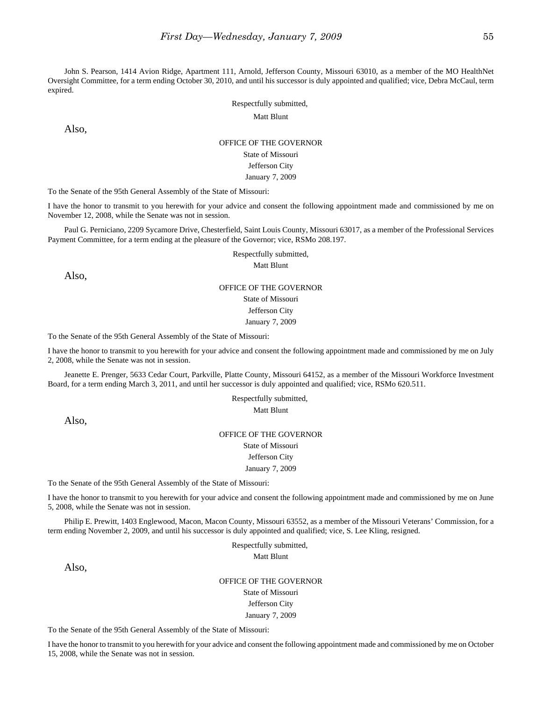John S. Pearson, 1414 Avion Ridge, Apartment 111, Arnold, Jefferson County, Missouri 63010, as a member of the MO HealthNet Oversight Committee, for a term ending October 30, 2010, and until his successor is duly appointed and qualified; vice, Debra McCaul, term expired.

Respectfully submitted,

Matt Blunt

Also,

#### OFFICE OF THE GOVERNOR

State of Missouri Jefferson City

#### January 7, 2009

To the Senate of the 95th General Assembly of the State of Missouri:

I have the honor to transmit to you herewith for your advice and consent the following appointment made and commissioned by me on November 12, 2008, while the Senate was not in session.

Paul G. Perniciano, 2209 Sycamore Drive, Chesterfield, Saint Louis County, Missouri 63017, as a member of the Professional Services Payment Committee, for a term ending at the pleasure of the Governor; vice, RSMo 208.197.

Respectfully submitted,

Matt Blunt

Also,

### OFFICE OF THE GOVERNOR State of Missouri

Jefferson City

January 7, 2009

To the Senate of the 95th General Assembly of the State of Missouri:

I have the honor to transmit to you herewith for your advice and consent the following appointment made and commissioned by me on July 2, 2008, while the Senate was not in session.

Jeanette E. Prenger, 5633 Cedar Court, Parkville, Platte County, Missouri 64152, as a member of the Missouri Workforce Investment Board, for a term ending March 3, 2011, and until her successor is duly appointed and qualified; vice, RSMo 620.511.

> Respectfully submitted, Matt Blunt

Also,

## OFFICE OF THE GOVERNOR

State of Missouri Jefferson City

January 7, 2009

To the Senate of the 95th General Assembly of the State of Missouri:

I have the honor to transmit to you herewith for your advice and consent the following appointment made and commissioned by me on June 5, 2008, while the Senate was not in session.

Philip E. Prewitt, 1403 Englewood, Macon, Macon County, Missouri 63552, as a member of the Missouri Veterans' Commission, for a term ending November 2, 2009, and until his successor is duly appointed and qualified; vice, S. Lee Kling, resigned.

> Respectfully submitted, Matt Blunt

Also,

OFFICE OF THE GOVERNOR State of Missouri Jefferson City January 7, 2009

To the Senate of the 95th General Assembly of the State of Missouri:

I have the honor to transmit to you herewith for your advice and consent the following appointment made and commissioned by me on October 15, 2008, while the Senate was not in session.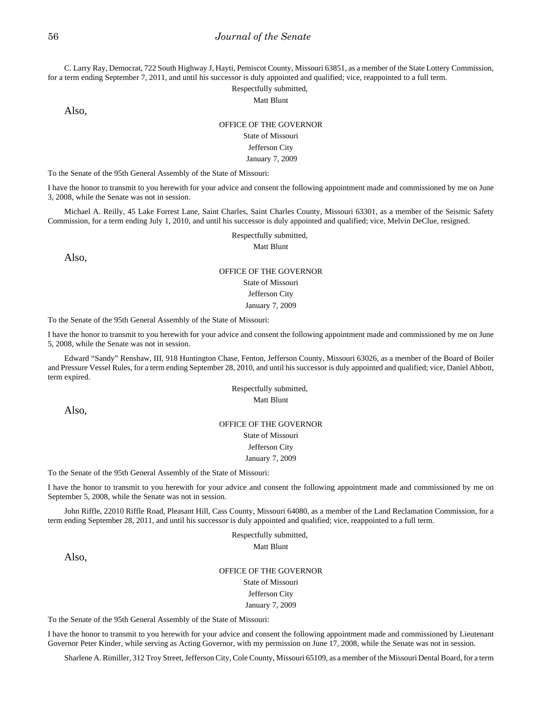C. Larry Ray, Democrat, 722 South Highway J, Hayti, Pemiscot County, Missouri 63851, as a member of the State Lottery Commission, for a term ending September 7, 2011, and until his successor is duly appointed and qualified; vice, reappointed to a full term.

Respectfully submitted,

Matt Blunt

Also,

#### OFFICE OF THE GOVERNOR

### State of Missouri

### Jefferson City

January 7, 2009

To the Senate of the 95th General Assembly of the State of Missouri:

I have the honor to transmit to you herewith for your advice and consent the following appointment made and commissioned by me on June 3, 2008, while the Senate was not in session.

Michael A. Reilly, 45 Lake Forrest Lane, Saint Charles, Saint Charles County, Missouri 63301, as a member of the Seismic Safety Commission, for a term ending July 1, 2010, and until his successor is duly appointed and qualified; vice, Melvin DeClue, resigned.

> Respectfully submitted, Matt Blunt

Also,

### OFFICE OF THE GOVERNOR

### State of Missouri

Jefferson City

January 7, 2009

To the Senate of the 95th General Assembly of the State of Missouri:

I have the honor to transmit to you herewith for your advice and consent the following appointment made and commissioned by me on June 5, 2008, while the Senate was not in session.

Edward "Sandy" Renshaw, III, 918 Huntington Chase, Fenton, Jefferson County, Missouri 63026, as a member of the Board of Boiler and Pressure Vessel Rules, for a term ending September 28, 2010, and until his successor is duly appointed and qualified; vice, Daniel Abbott, term expired.

> Respectfully submitted, Matt Blunt

Also,

## OFFICE OF THE GOVERNOR State of Missouri Jefferson City January 7, 2009

To the Senate of the 95th General Assembly of the State of Missouri:

I have the honor to transmit to you herewith for your advice and consent the following appointment made and commissioned by me on September 5, 2008, while the Senate was not in session.

John Riffle, 22010 Riffle Road, Pleasant Hill, Cass County, Missouri 64080, as a member of the Land Reclamation Commission, for a term ending September 28, 2011, and until his successor is duly appointed and qualified; vice, reappointed to a full term.

> Respectfully submitted, Matt Blunt

Also,

OFFICE OF THE GOVERNOR State of Missouri Jefferson City January 7, 2009

To the Senate of the 95th General Assembly of the State of Missouri:

I have the honor to transmit to you herewith for your advice and consent the following appointment made and commissioned by Lieutenant Governor Peter Kinder, while serving as Acting Governor, with my permission on June 17, 2008, while the Senate was not in session.

Sharlene A. Rimiller, 312 Troy Street, Jefferson City, Cole County, Missouri 65109, as a member of the Missouri Dental Board, for a term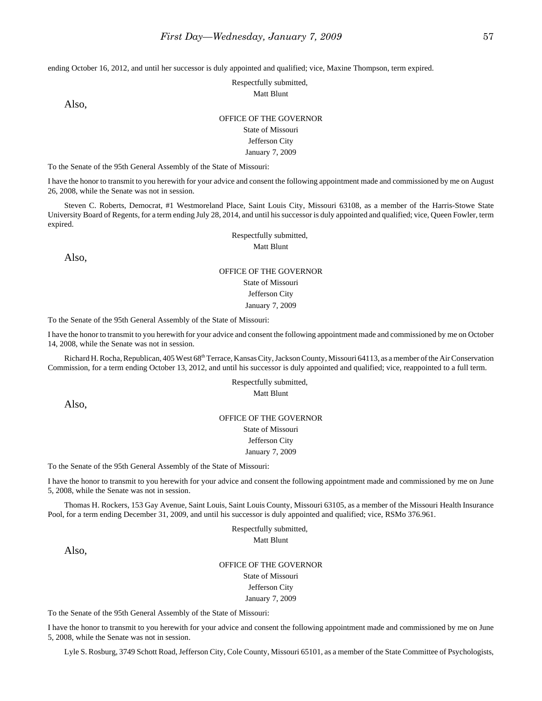ending October 16, 2012, and until her successor is duly appointed and qualified; vice, Maxine Thompson, term expired.

Respectfully submitted,

Matt Blunt

Also,

#### OFFICE OF THE GOVERNOR

State of Missouri Jefferson City January 7, 2009

To the Senate of the 95th General Assembly of the State of Missouri:

I have the honor to transmit to you herewith for your advice and consent the following appointment made and commissioned by me on August 26, 2008, while the Senate was not in session.

Steven C. Roberts, Democrat, #1 Westmoreland Place, Saint Louis City, Missouri 63108, as a member of the Harris-Stowe State University Board of Regents, for a term ending July 28, 2014, and until his successor is duly appointed and qualified; vice, Queen Fowler, term expired.

> Respectfully submitted, Matt Blunt

Also,

### OFFICE OF THE GOVERNOR State of Missouri Jefferson City January 7, 2009

To the Senate of the 95th General Assembly of the State of Missouri:

I have the honor to transmit to you herewith for your advice and consent the following appointment made and commissioned by me on October 14, 2008, while the Senate was not in session.

Richard H. Rocha, Republican, 405 West 68<sup>th</sup> Terrace, Kansas City, Jackson County, Missouri 64113, as a member of the Air Conservation Commission, for a term ending October 13, 2012, and until his successor is duly appointed and qualified; vice, reappointed to a full term.

> Respectfully submitted, Matt Blunt

Also,

#### OFFICE OF THE GOVERNOR

State of Missouri Jefferson City

January 7, 2009

To the Senate of the 95th General Assembly of the State of Missouri:

I have the honor to transmit to you herewith for your advice and consent the following appointment made and commissioned by me on June 5, 2008, while the Senate was not in session.

Thomas H. Rockers, 153 Gay Avenue, Saint Louis, Saint Louis County, Missouri 63105, as a member of the Missouri Health Insurance Pool, for a term ending December 31, 2009, and until his successor is duly appointed and qualified; vice, RSMo 376.961.

> Respectfully submitted, Matt Blunt

Also,

OFFICE OF THE GOVERNOR State of Missouri Jefferson City January 7, 2009

To the Senate of the 95th General Assembly of the State of Missouri:

I have the honor to transmit to you herewith for your advice and consent the following appointment made and commissioned by me on June 5, 2008, while the Senate was not in session.

Lyle S. Rosburg, 3749 Schott Road, Jefferson City, Cole County, Missouri 65101, as a member of the State Committee of Psychologists,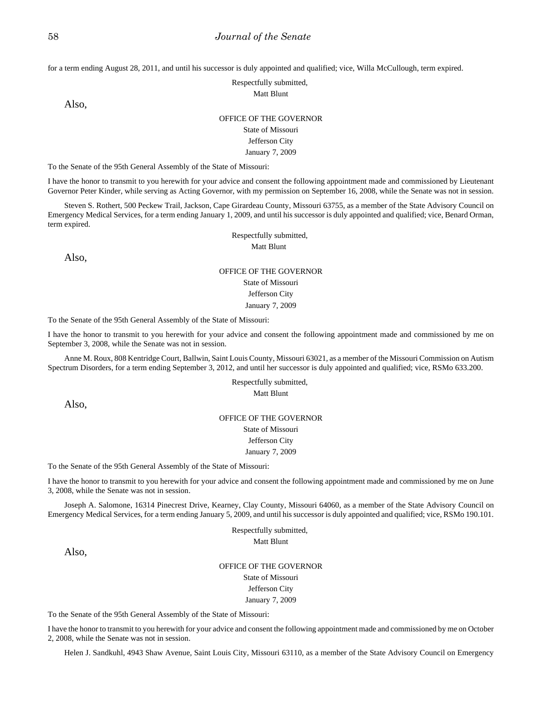for a term ending August 28, 2011, and until his successor is duly appointed and qualified; vice, Willa McCullough, term expired.

### Respectfully submitted,

Matt Blunt

Also,

#### OFFICE OF THE GOVERNOR

State of Missouri Jefferson City January 7, 2009

To the Senate of the 95th General Assembly of the State of Missouri:

I have the honor to transmit to you herewith for your advice and consent the following appointment made and commissioned by Lieutenant Governor Peter Kinder, while serving as Acting Governor, with my permission on September 16, 2008, while the Senate was not in session.

Steven S. Rothert, 500 Peckew Trail, Jackson, Cape Girardeau County, Missouri 63755, as a member of the State Advisory Council on Emergency Medical Services, for a term ending January 1, 2009, and until his successor is duly appointed and qualified; vice, Benard Orman, term expired.

> Respectfully submitted, Matt Blunt

Also,

### OFFICE OF THE GOVERNOR State of Missouri Jefferson City January 7, 2009

To the Senate of the 95th General Assembly of the State of Missouri:

I have the honor to transmit to you herewith for your advice and consent the following appointment made and commissioned by me on September 3, 2008, while the Senate was not in session.

Anne M. Roux, 808 Kentridge Court, Ballwin, Saint Louis County, Missouri 63021, as a member of the Missouri Commission on Autism Spectrum Disorders, for a term ending September 3, 2012, and until her successor is duly appointed and qualified; vice, RSMo 633.200.

> Respectfully submitted, Matt Blunt

Also,

#### OFFICE OF THE GOVERNOR

State of Missouri Jefferson City

January 7, 2009

To the Senate of the 95th General Assembly of the State of Missouri:

I have the honor to transmit to you herewith for your advice and consent the following appointment made and commissioned by me on June 3, 2008, while the Senate was not in session.

Joseph A. Salomone, 16314 Pinecrest Drive, Kearney, Clay County, Missouri 64060, as a member of the State Advisory Council on Emergency Medical Services, for a term ending January 5, 2009, and until his successor is duly appointed and qualified; vice, RSMo 190.101.

> Respectfully submitted, Matt Blunt

Also,

#### OFFICE OF THE GOVERNOR

State of Missouri Jefferson City

January 7, 2009

To the Senate of the 95th General Assembly of the State of Missouri:

I have the honor to transmit to you herewith for your advice and consent the following appointment made and commissioned by me on October 2, 2008, while the Senate was not in session.

Helen J. Sandkuhl, 4943 Shaw Avenue, Saint Louis City, Missouri 63110, as a member of the State Advisory Council on Emergency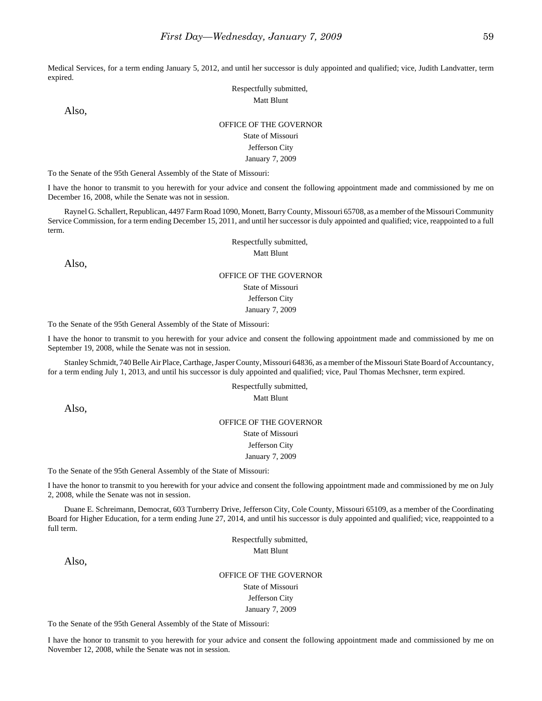Medical Services, for a term ending January 5, 2012, and until her successor is duly appointed and qualified; vice, Judith Landvatter, term expired.

> Respectfully submitted, Matt Blunt

Also,

### OFFICE OF THE GOVERNOR

### State of Missouri

### Jefferson City

January 7, 2009

To the Senate of the 95th General Assembly of the State of Missouri:

I have the honor to transmit to you herewith for your advice and consent the following appointment made and commissioned by me on December 16, 2008, while the Senate was not in session.

Raynel G. Schallert, Republican, 4497 Farm Road 1090, Monett, Barry County, Missouri 65708, as a member of the Missouri Community Service Commission, for a term ending December 15, 2011, and until her successor is duly appointed and qualified; vice, reappointed to a full term.

> Respectfully submitted, Matt Blunt

Also,

#### OFFICE OF THE GOVERNOR

State of Missouri

Jefferson City

January 7, 2009

To the Senate of the 95th General Assembly of the State of Missouri:

I have the honor to transmit to you herewith for your advice and consent the following appointment made and commissioned by me on September 19, 2008, while the Senate was not in session.

Stanley Schmidt, 740 Belle Air Place, Carthage, Jasper County, Missouri 64836, as a member of the Missouri State Board of Accountancy, for a term ending July 1, 2013, and until his successor is duly appointed and qualified; vice, Paul Thomas Mechsner, term expired.

> Respectfully submitted, Matt Blunt

Also,

### OFFICE OF THE GOVERNOR State of Missouri Jefferson City

#### January 7, 2009

To the Senate of the 95th General Assembly of the State of Missouri:

I have the honor to transmit to you herewith for your advice and consent the following appointment made and commissioned by me on July 2, 2008, while the Senate was not in session.

Duane E. Schreimann, Democrat, 603 Turnberry Drive, Jefferson City, Cole County, Missouri 65109, as a member of the Coordinating Board for Higher Education, for a term ending June 27, 2014, and until his successor is duly appointed and qualified; vice, reappointed to a full term.

> Respectfully submitted, Matt Blunt

Also,

OFFICE OF THE GOVERNOR

State of Missouri

Jefferson City January 7, 2009

To the Senate of the 95th General Assembly of the State of Missouri:

I have the honor to transmit to you herewith for your advice and consent the following appointment made and commissioned by me on November 12, 2008, while the Senate was not in session.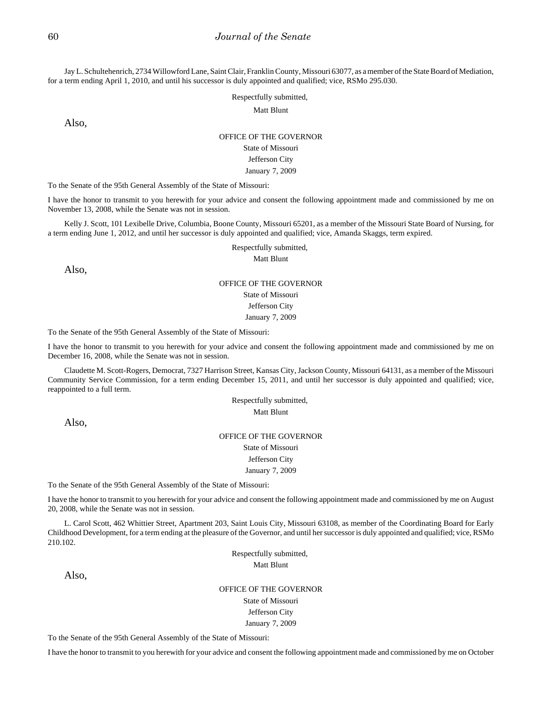Jay L. Schultehenrich, 2734 Willowford Lane, Saint Clair, Franklin County, Missouri 63077, as a member of the State Board of Mediation, for a term ending April 1, 2010, and until his successor is duly appointed and qualified; vice, RSMo 295.030.

Respectfully submitted,

Matt Blunt

Also,

### OFFICE OF THE GOVERNOR State of Missouri Jefferson City

January 7, 2009

To the Senate of the 95th General Assembly of the State of Missouri:

I have the honor to transmit to you herewith for your advice and consent the following appointment made and commissioned by me on November 13, 2008, while the Senate was not in session.

Kelly J. Scott, 101 Lexibelle Drive, Columbia, Boone County, Missouri 65201, as a member of the Missouri State Board of Nursing, for a term ending June 1, 2012, and until her successor is duly appointed and qualified; vice, Amanda Skaggs, term expired.

Respectfully submitted,

Matt Blunt

Also,

### OFFICE OF THE GOVERNOR State of Missouri

Jefferson City

January 7, 2009

To the Senate of the 95th General Assembly of the State of Missouri:

I have the honor to transmit to you herewith for your advice and consent the following appointment made and commissioned by me on December 16, 2008, while the Senate was not in session.

Claudette M. Scott-Rogers, Democrat, 7327 Harrison Street, Kansas City, Jackson County, Missouri 64131, as a member of the Missouri Community Service Commission, for a term ending December 15, 2011, and until her successor is duly appointed and qualified; vice, reappointed to a full term.

> Respectfully submitted, Matt Blunt

Also,

### OFFICE OF THE GOVERNOR State of Missouri Jefferson City January 7, 2009

To the Senate of the 95th General Assembly of the State of Missouri:

I have the honor to transmit to you herewith for your advice and consent the following appointment made and commissioned by me on August 20, 2008, while the Senate was not in session.

L. Carol Scott, 462 Whittier Street, Apartment 203, Saint Louis City, Missouri 63108, as member of the Coordinating Board for Early Childhood Development, for a term ending at the pleasure of the Governor, and until her successor is duly appointed and qualified; vice, RSMo 210.102.

> Respectfully submitted, Matt Blunt

Also,

### OFFICE OF THE GOVERNOR

State of Missouri Jefferson City January 7, 2009

To the Senate of the 95th General Assembly of the State of Missouri:

I have the honor to transmit to you herewith for your advice and consent the following appointment made and commissioned by me on October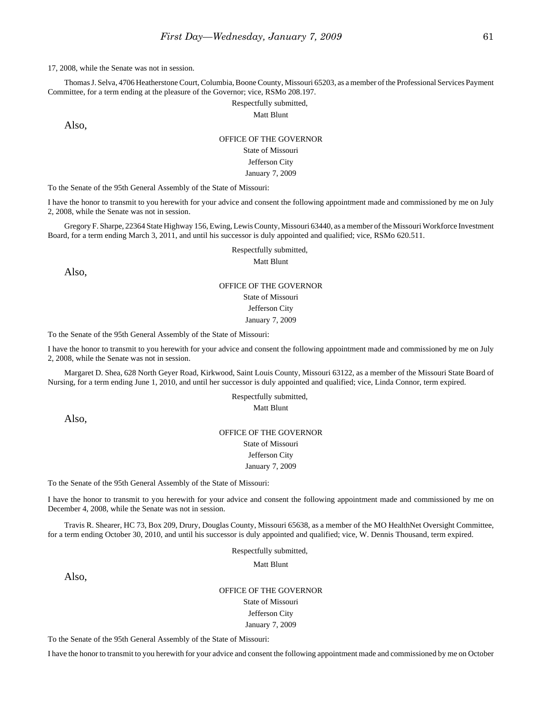Thomas J. Selva, 4706 Heatherstone Court, Columbia, Boone County, Missouri 65203, as a member of the Professional Services Payment Committee, for a term ending at the pleasure of the Governor; vice, RSMo 208.197.

Respectfully submitted,

Matt Blunt

Also,

## OFFICE OF THE GOVERNOR

## State of Missouri

Jefferson City

January 7, 2009

To the Senate of the 95th General Assembly of the State of Missouri:

I have the honor to transmit to you herewith for your advice and consent the following appointment made and commissioned by me on July 2, 2008, while the Senate was not in session.

Gregory F. Sharpe, 22364 State Highway 156, Ewing, Lewis County, Missouri 63440, as a member of the Missouri Workforce Investment Board, for a term ending March 3, 2011, and until his successor is duly appointed and qualified; vice, RSMo 620.511.

Respectfully submitted,

Matt Blunt

Also,

## OFFICE OF THE GOVERNOR

State of Missouri Jefferson City

January 7, 2009

To the Senate of the 95th General Assembly of the State of Missouri:

I have the honor to transmit to you herewith for your advice and consent the following appointment made and commissioned by me on July 2, 2008, while the Senate was not in session.

Margaret D. Shea, 628 North Geyer Road, Kirkwood, Saint Louis County, Missouri 63122, as a member of the Missouri State Board of Nursing, for a term ending June 1, 2010, and until her successor is duly appointed and qualified; vice, Linda Connor, term expired.

> Respectfully submitted, Matt Blunt

Also,

## OFFICE OF THE GOVERNOR

State of Missouri Jefferson City

January 7, 2009

To the Senate of the 95th General Assembly of the State of Missouri:

I have the honor to transmit to you herewith for your advice and consent the following appointment made and commissioned by me on December 4, 2008, while the Senate was not in session.

Travis R. Shearer, HC 73, Box 209, Drury, Douglas County, Missouri 65638, as a member of the MO HealthNet Oversight Committee, for a term ending October 30, 2010, and until his successor is duly appointed and qualified; vice, W. Dennis Thousand, term expired.

Respectfully submitted,

Matt Blunt

Also,

#### OFFICE OF THE GOVERNOR

State of Missouri Jefferson City January 7, 2009

To the Senate of the 95th General Assembly of the State of Missouri:

I have the honor to transmit to you herewith for your advice and consent the following appointment made and commissioned by me on October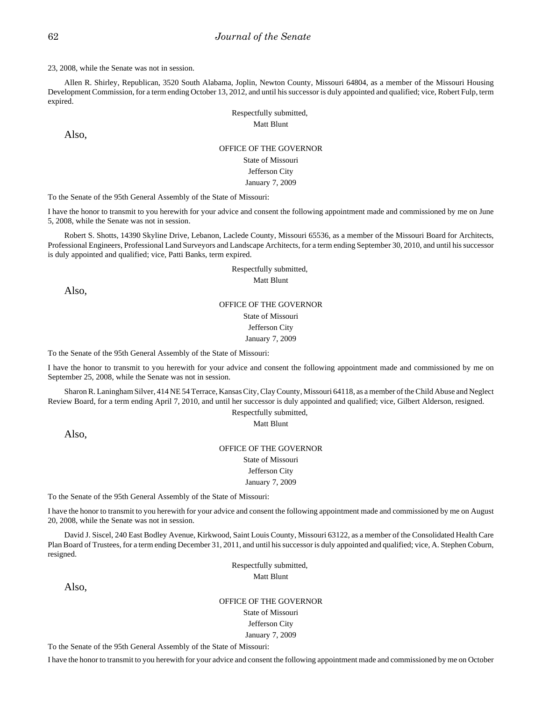Allen R. Shirley, Republican, 3520 South Alabama, Joplin, Newton County, Missouri 64804, as a member of the Missouri Housing Development Commission, for a term ending October 13, 2012, and until his successor is duly appointed and qualified; vice, Robert Fulp, term expired.

> Respectfully submitted, Matt Blunt

Also,

### OFFICE OF THE GOVERNOR State of Missouri Jefferson City January 7, 2009

To the Senate of the 95th General Assembly of the State of Missouri:

I have the honor to transmit to you herewith for your advice and consent the following appointment made and commissioned by me on June 5, 2008, while the Senate was not in session.

Robert S. Shotts, 14390 Skyline Drive, Lebanon, Laclede County, Missouri 65536, as a member of the Missouri Board for Architects, Professional Engineers, Professional Land Surveyors and Landscape Architects, for a term ending September 30, 2010, and until his successor is duly appointed and qualified; vice, Patti Banks, term expired.

> Respectfully submitted, Matt Blunt

Also,

### OFFICE OF THE GOVERNOR State of Missouri

Jefferson City

January 7, 2009

To the Senate of the 95th General Assembly of the State of Missouri:

I have the honor to transmit to you herewith for your advice and consent the following appointment made and commissioned by me on September 25, 2008, while the Senate was not in session.

Sharon R. Laningham Silver, 414 NE 54 Terrace, Kansas City, Clay County, Missouri 64118, as a member of the Child Abuse and Neglect Review Board, for a term ending April 7, 2010, and until her successor is duly appointed and qualified; vice, Gilbert Alderson, resigned.

Respectfully submitted,

Matt Blunt

Also,

OFFICE OF THE GOVERNOR State of Missouri Jefferson City January 7, 2009

To the Senate of the 95th General Assembly of the State of Missouri:

I have the honor to transmit to you herewith for your advice and consent the following appointment made and commissioned by me on August 20, 2008, while the Senate was not in session.

David J. Siscel, 240 East Bodley Avenue, Kirkwood, Saint Louis County, Missouri 63122, as a member of the Consolidated Health Care Plan Board of Trustees, for a term ending December 31, 2011, and until his successor is duly appointed and qualified; vice, A. Stephen Coburn, resigned.

> Respectfully submitted, Matt Blunt

Also,

OFFICE OF THE GOVERNOR State of Missouri Jefferson City January 7, 2009

To the Senate of the 95th General Assembly of the State of Missouri:

I have the honor to transmit to you herewith for your advice and consent the following appointment made and commissioned by me on October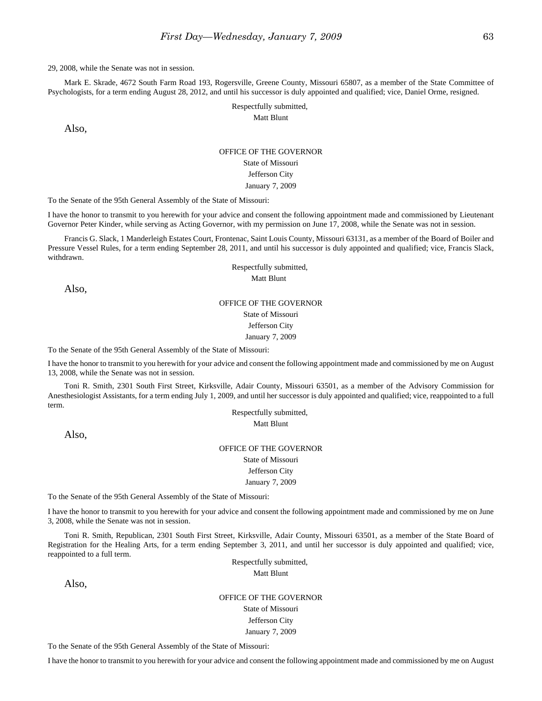Mark E. Skrade, 4672 South Farm Road 193, Rogersville, Greene County, Missouri 65807, as a member of the State Committee of Psychologists, for a term ending August 28, 2012, and until his successor is duly appointed and qualified; vice, Daniel Orme, resigned.

> Respectfully submitted, Matt Blunt

Also,

### OFFICE OF THE GOVERNOR State of Missouri Jefferson City January 7, 2009

To the Senate of the 95th General Assembly of the State of Missouri:

I have the honor to transmit to you herewith for your advice and consent the following appointment made and commissioned by Lieutenant Governor Peter Kinder, while serving as Acting Governor, with my permission on June 17, 2008, while the Senate was not in session.

Francis G. Slack, 1 Manderleigh Estates Court, Frontenac, Saint Louis County, Missouri 63131, as a member of the Board of Boiler and Pressure Vessel Rules, for a term ending September 28, 2011, and until his successor is duly appointed and qualified; vice, Francis Slack, withdrawn.

> Respectfully submitted, Matt Blunt

Also,

#### OFFICE OF THE GOVERNOR

State of Missouri

Jefferson City

January 7, 2009

To the Senate of the 95th General Assembly of the State of Missouri:

I have the honor to transmit to you herewith for your advice and consent the following appointment made and commissioned by me on August 13, 2008, while the Senate was not in session.

Toni R. Smith, 2301 South First Street, Kirksville, Adair County, Missouri 63501, as a member of the Advisory Commission for Anesthesiologist Assistants, for a term ending July 1, 2009, and until her successor is duly appointed and qualified; vice, reappointed to a full term.

Respectfully submitted, Matt Blunt

Also,

OFFICE OF THE GOVERNOR State of Missouri Jefferson City January 7, 2009

To the Senate of the 95th General Assembly of the State of Missouri:

I have the honor to transmit to you herewith for your advice and consent the following appointment made and commissioned by me on June 3, 2008, while the Senate was not in session.

Toni R. Smith, Republican, 2301 South First Street, Kirksville, Adair County, Missouri 63501, as a member of the State Board of Registration for the Healing Arts, for a term ending September 3, 2011, and until her successor is duly appointed and qualified; vice, reappointed to a full term.

Respectfully submitted,

Matt Blunt

Also,

OFFICE OF THE GOVERNOR State of Missouri Jefferson City January 7, 2009

To the Senate of the 95th General Assembly of the State of Missouri:

I have the honor to transmit to you herewith for your advice and consent the following appointment made and commissioned by me on August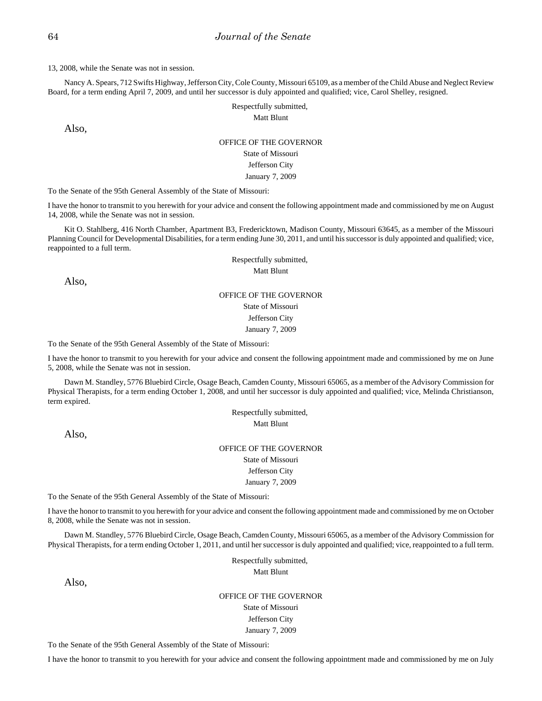Nancy A. Spears, 712 Swifts Highway, Jefferson City, Cole County, Missouri 65109, as a member of the Child Abuse and Neglect Review Board, for a term ending April 7, 2009, and until her successor is duly appointed and qualified; vice, Carol Shelley, resigned.

#### Respectfully submitted, Matt Blunt

Also,

## OFFICE OF THE GOVERNOR

### State of Missouri Jefferson City

January 7, 2009

To the Senate of the 95th General Assembly of the State of Missouri:

I have the honor to transmit to you herewith for your advice and consent the following appointment made and commissioned by me on August 14, 2008, while the Senate was not in session.

Kit O. Stahlberg, 416 North Chamber, Apartment B3, Fredericktown, Madison County, Missouri 63645, as a member of the Missouri Planning Council for Developmental Disabilities, for a term ending June 30, 2011, and until his successor is duly appointed and qualified; vice, reappointed to a full term.

> Respectfully submitted, Matt Blunt

Also,

### OFFICE OF THE GOVERNOR State of Missouri Jefferson City January 7, 2009

To the Senate of the 95th General Assembly of the State of Missouri:

I have the honor to transmit to you herewith for your advice and consent the following appointment made and commissioned by me on June 5, 2008, while the Senate was not in session.

Dawn M. Standley, 5776 Bluebird Circle, Osage Beach, Camden County, Missouri 65065, as a member of the Advisory Commission for Physical Therapists, for a term ending October 1, 2008, and until her successor is duly appointed and qualified; vice, Melinda Christianson, term expired.

> Respectfully submitted, Matt Blunt

Also,

OFFICE OF THE GOVERNOR State of Missouri Jefferson City January 7, 2009

To the Senate of the 95th General Assembly of the State of Missouri:

I have the honor to transmit to you herewith for your advice and consent the following appointment made and commissioned by me on October 8, 2008, while the Senate was not in session.

Dawn M. Standley, 5776 Bluebird Circle, Osage Beach, Camden County, Missouri 65065, as a member of the Advisory Commission for Physical Therapists, for a term ending October 1, 2011, and until her successor is duly appointed and qualified; vice, reappointed to a full term.

> Respectfully submitted, Matt Blunt

Also,

OFFICE OF THE GOVERNOR State of Missouri Jefferson City January 7, 2009

To the Senate of the 95th General Assembly of the State of Missouri:

I have the honor to transmit to you herewith for your advice and consent the following appointment made and commissioned by me on July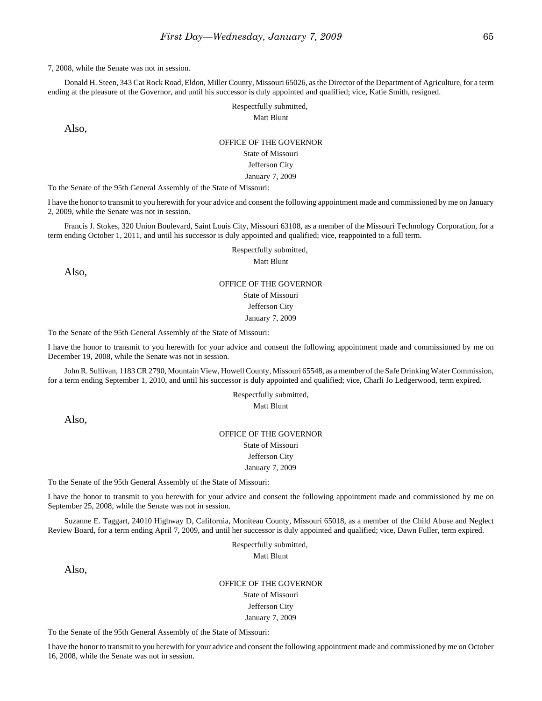Donald H. Steen, 343 Cat Rock Road, Eldon, Miller County, Missouri 65026, as the Director of the Department of Agriculture, for a term ending at the pleasure of the Governor, and until his successor is duly appointed and qualified; vice, Katie Smith, resigned.

#### Respectfully submitted, Matt Blunt

Also,

#### OFFICE OF THE GOVERNOR

State of Missouri Jefferson City

January 7, 2009

To the Senate of the 95th General Assembly of the State of Missouri:

I have the honor to transmit to you herewith for your advice and consent the following appointment made and commissioned by me on January 2, 2009, while the Senate was not in session.

Francis J. Stokes, 320 Union Boulevard, Saint Louis City, Missouri 63108, as a member of the Missouri Technology Corporation, for a term ending October 1, 2011, and until his successor is duly appointed and qualified; vice, reappointed to a full term.

Respectfully submitted,

Matt Blunt

Also,

# OFFICE OF THE GOVERNOR

State of Missouri Jefferson City

January 7, 2009

To the Senate of the 95th General Assembly of the State of Missouri:

I have the honor to transmit to you herewith for your advice and consent the following appointment made and commissioned by me on December 19, 2008, while the Senate was not in session.

John R. Sullivan, 1183 CR 2790, Mountain View, Howell County, Missouri 65548, as a member of the Safe Drinking Water Commission, for a term ending September 1, 2010, and until his successor is duly appointed and qualified; vice, Charli Jo Ledgerwood, term expired.

> Respectfully submitted, Matt Blunt

Also,

### OFFICE OF THE GOVERNOR State of Missouri Jefferson City

January 7, 2009

To the Senate of the 95th General Assembly of the State of Missouri:

I have the honor to transmit to you herewith for your advice and consent the following appointment made and commissioned by me on September 25, 2008, while the Senate was not in session.

Suzanne E. Taggart, 24010 Highway D, California, Moniteau County, Missouri 65018, as a member of the Child Abuse and Neglect Review Board, for a term ending April 7, 2009, and until her successor is duly appointed and qualified; vice, Dawn Fuller, term expired.

> Respectfully submitted, Matt Blunt

Also,

OFFICE OF THE GOVERNOR State of Missouri Jefferson City January 7, 2009

To the Senate of the 95th General Assembly of the State of Missouri:

I have the honor to transmit to you herewith for your advice and consent the following appointment made and commissioned by me on October 16, 2008, while the Senate was not in session.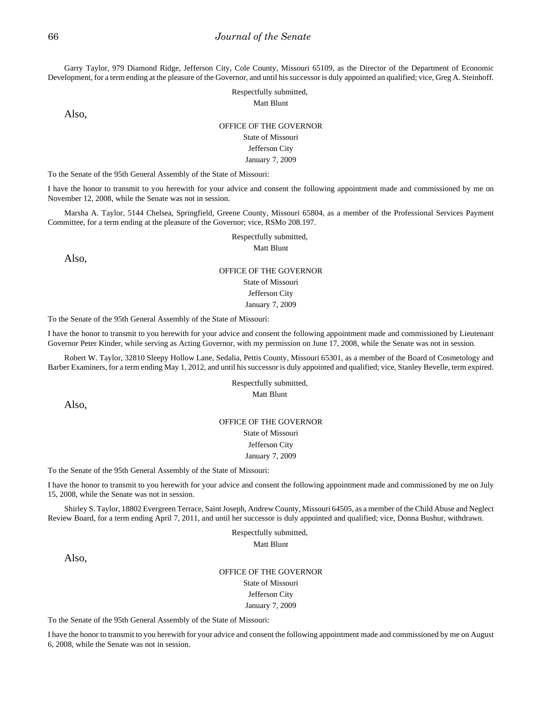Garry Taylor, 979 Diamond Ridge, Jefferson City, Cole County, Missouri 65109, as the Director of the Department of Economic Development, for a term ending at the pleasure of the Governor, and until his successor is duly appointed an qualified; vice, Greg A. Steinhoff.

> Respectfully submitted, Matt Blunt

Also,

#### OFFICE OF THE GOVERNOR

State of Missouri

#### Jefferson City

January 7, 2009

To the Senate of the 95th General Assembly of the State of Missouri:

I have the honor to transmit to you herewith for your advice and consent the following appointment made and commissioned by me on November 12, 2008, while the Senate was not in session.

Marsha A. Taylor, 5144 Chelsea, Springfield, Greene County, Missouri 65804, as a member of the Professional Services Payment Committee, for a term ending at the pleasure of the Governor; vice, RSMo 208.197.

Respectfully submitted,

Matt Blunt

Also,

### OFFICE OF THE GOVERNOR State of Missouri Jefferson City

January 7, 2009

To the Senate of the 95th General Assembly of the State of Missouri:

I have the honor to transmit to you herewith for your advice and consent the following appointment made and commissioned by Lieutenant Governor Peter Kinder, while serving as Acting Governor, with my permission on June 17, 2008, while the Senate was not in session.

Robert W. Taylor, 32810 Sleepy Hollow Lane, Sedalia, Pettis County, Missouri 65301, as a member of the Board of Cosmetology and Barber Examiners, for a term ending May 1, 2012, and until his successor is duly appointed and qualified; vice, Stanley Bevelle, term expired.

> Respectfully submitted, Matt Blunt

Also,

### OFFICE OF THE GOVERNOR State of Missouri Jefferson City January 7, 2009

To the Senate of the 95th General Assembly of the State of Missouri:

I have the honor to transmit to you herewith for your advice and consent the following appointment made and commissioned by me on July 15, 2008, while the Senate was not in session.

Shirley S. Taylor, 18802 Evergreen Terrace, Saint Joseph, Andrew County, Missouri 64505, as a member of the Child Abuse and Neglect Review Board, for a term ending April 7, 2011, and until her successor is duly appointed and qualified; vice, Donna Bushur, withdrawn.

> Respectfully submitted, Matt Blunt

Also,

OFFICE OF THE GOVERNOR State of Missouri Jefferson City January 7, 2009

To the Senate of the 95th General Assembly of the State of Missouri:

I have the honor to transmit to you herewith for your advice and consent the following appointment made and commissioned by me on August 6, 2008, while the Senate was not in session.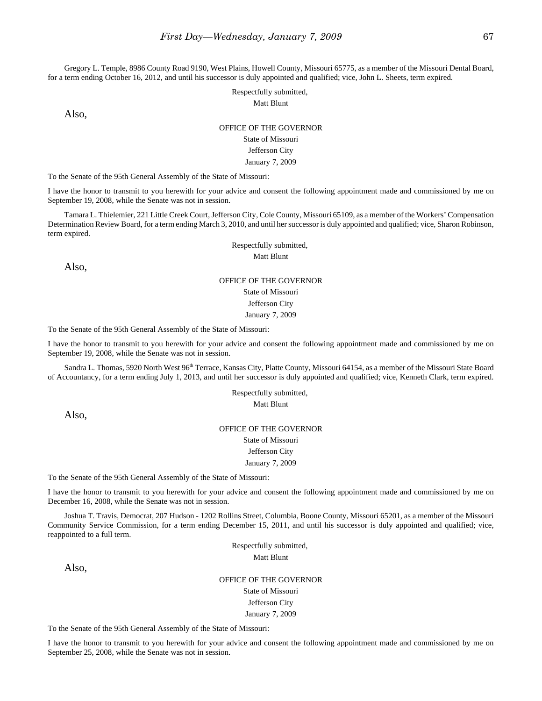Gregory L. Temple, 8986 County Road 9190, West Plains, Howell County, Missouri 65775, as a member of the Missouri Dental Board, for a term ending October 16, 2012, and until his successor is duly appointed and qualified; vice, John L. Sheets, term expired.

> Respectfully submitted, Matt Blunt

Also,

### OFFICE OF THE GOVERNOR State of Missouri

## Jefferson City

### January 7, 2009

To the Senate of the 95th General Assembly of the State of Missouri:

I have the honor to transmit to you herewith for your advice and consent the following appointment made and commissioned by me on September 19, 2008, while the Senate was not in session.

Tamara L. Thielemier, 221 Little Creek Court, Jefferson City, Cole County, Missouri 65109, as a member of the Workers' Compensation Determination Review Board, for a term ending March 3, 2010, and until her successor is duly appointed and qualified; vice, Sharon Robinson, term expired.

> Respectfully submitted, Matt Blunt

Also,

## OFFICE OF THE GOVERNOR State of Missouri Jefferson City January 7, 2009

To the Senate of the 95th General Assembly of the State of Missouri:

I have the honor to transmit to you herewith for your advice and consent the following appointment made and commissioned by me on September 19, 2008, while the Senate was not in session.

Sandra L. Thomas, 5920 North West 96<sup>th</sup> Terrace, Kansas City, Platte County, Missouri 64154, as a member of the Missouri State Board of Accountancy, for a term ending July 1, 2013, and until her successor is duly appointed and qualified; vice, Kenneth Clark, term expired.

> Respectfully submitted, Matt Blunt

Also,

OFFICE OF THE GOVERNOR State of Missouri Jefferson City January 7, 2009

To the Senate of the 95th General Assembly of the State of Missouri:

I have the honor to transmit to you herewith for your advice and consent the following appointment made and commissioned by me on December 16, 2008, while the Senate was not in session.

Joshua T. Travis, Democrat, 207 Hudson - 1202 Rollins Street, Columbia, Boone County, Missouri 65201, as a member of the Missouri Community Service Commission, for a term ending December 15, 2011, and until his successor is duly appointed and qualified; vice, reappointed to a full term.

Respectfully submitted,

Matt Blunt

Also,

OFFICE OF THE GOVERNOR State of Missouri Jefferson City January 7, 2009

To the Senate of the 95th General Assembly of the State of Missouri:

I have the honor to transmit to you herewith for your advice and consent the following appointment made and commissioned by me on September 25, 2008, while the Senate was not in session.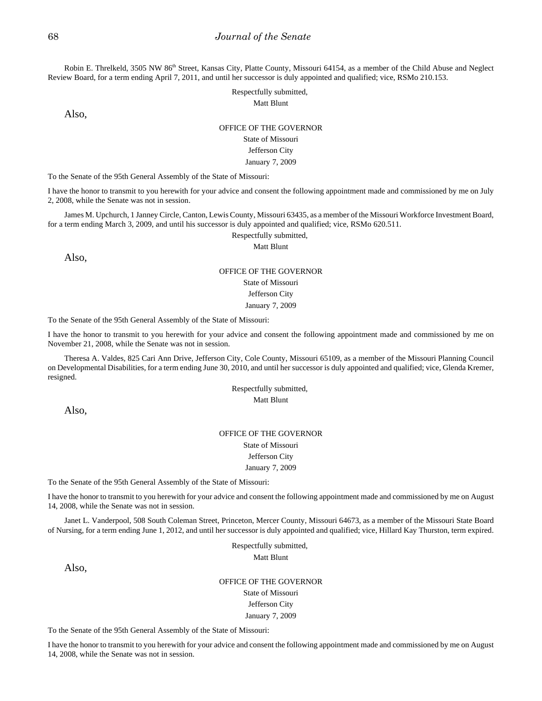Robin E. Threlkeld, 3505 NW 86<sup>th</sup> Street, Kansas City, Platte County, Missouri 64154, as a member of the Child Abuse and Neglect Review Board, for a term ending April 7, 2011, and until her successor is duly appointed and qualified; vice, RSMo 210.153.

> Respectfully submitted, Matt Blunt

Also,

### OFFICE OF THE GOVERNOR

### State of Missouri

### Jefferson City

#### January 7, 2009

To the Senate of the 95th General Assembly of the State of Missouri:

I have the honor to transmit to you herewith for your advice and consent the following appointment made and commissioned by me on July 2, 2008, while the Senate was not in session.

James M. Upchurch, 1 Janney Circle, Canton, Lewis County, Missouri 63435, as a member of the Missouri Workforce Investment Board, for a term ending March 3, 2009, and until his successor is duly appointed and qualified; vice, RSMo 620.511.

Respectfully submitted,

Matt Blunt

Also,

### OFFICE OF THE GOVERNOR

### State of Missouri

Jefferson City

January 7, 2009

To the Senate of the 95th General Assembly of the State of Missouri:

I have the honor to transmit to you herewith for your advice and consent the following appointment made and commissioned by me on November 21, 2008, while the Senate was not in session.

Theresa A. Valdes, 825 Cari Ann Drive, Jefferson City, Cole County, Missouri 65109, as a member of the Missouri Planning Council on Developmental Disabilities, for a term ending June 30, 2010, and until her successor is duly appointed and qualified; vice, Glenda Kremer, resigned.

> Respectfully submitted, Matt Blunt

Also,

## OFFICE OF THE GOVERNOR

State of Missouri

Jefferson City

January 7, 2009

To the Senate of the 95th General Assembly of the State of Missouri:

I have the honor to transmit to you herewith for your advice and consent the following appointment made and commissioned by me on August 14, 2008, while the Senate was not in session.

Janet L. Vanderpool, 508 South Coleman Street, Princeton, Mercer County, Missouri 64673, as a member of the Missouri State Board of Nursing, for a term ending June 1, 2012, and until her successor is duly appointed and qualified; vice, Hillard Kay Thurston, term expired.

> Respectfully submitted, Matt Blunt

Also,

OFFICE OF THE GOVERNOR State of Missouri Jefferson City January 7, 2009

To the Senate of the 95th General Assembly of the State of Missouri:

I have the honor to transmit to you herewith for your advice and consent the following appointment made and commissioned by me on August 14, 2008, while the Senate was not in session.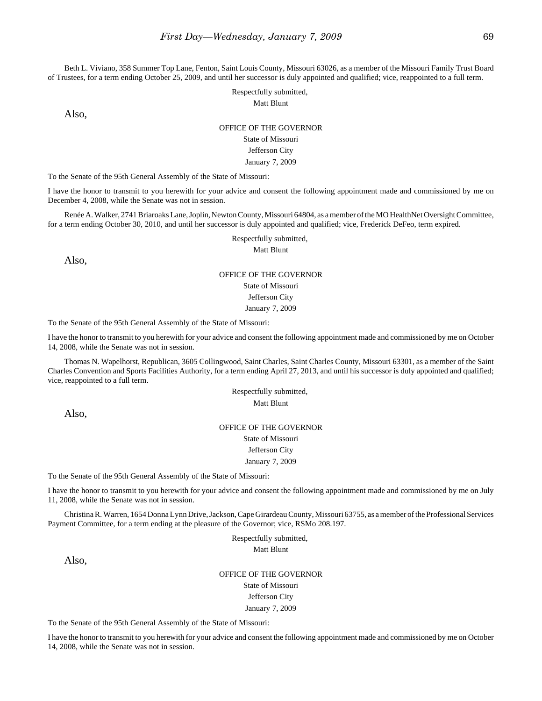Beth L. Viviano, 358 Summer Top Lane, Fenton, Saint Louis County, Missouri 63026, as a member of the Missouri Family Trust Board of Trustees, for a term ending October 25, 2009, and until her successor is duly appointed and qualified; vice, reappointed to a full term.

> Respectfully submitted, Matt Blunt

Also,

## OFFICE OF THE GOVERNOR

### State of Missouri

### Jefferson City

#### January 7, 2009

To the Senate of the 95th General Assembly of the State of Missouri:

I have the honor to transmit to you herewith for your advice and consent the following appointment made and commissioned by me on December 4, 2008, while the Senate was not in session.

Renée A. Walker, 2741 Briaroaks Lane, Joplin, Newton County, Missouri 64804, as a member of the MO HealthNet Oversight Committee, for a term ending October 30, 2010, and until her successor is duly appointed and qualified; vice, Frederick DeFeo, term expired.

Respectfully submitted,

Matt Blunt

Also,

#### OFFICE OF THE GOVERNOR

State of Missouri

Jefferson City

January 7, 2009

To the Senate of the 95th General Assembly of the State of Missouri:

I have the honor to transmit to you herewith for your advice and consent the following appointment made and commissioned by me on October 14, 2008, while the Senate was not in session.

Thomas N. Wapelhorst, Republican, 3605 Collingwood, Saint Charles, Saint Charles County, Missouri 63301, as a member of the Saint Charles Convention and Sports Facilities Authority, for a term ending April 27, 2013, and until his successor is duly appointed and qualified; vice, reappointed to a full term.

> Respectfully submitted, Matt Blunt

Also,

### OFFICE OF THE GOVERNOR State of Missouri Jefferson City

January 7, 2009

To the Senate of the 95th General Assembly of the State of Missouri:

I have the honor to transmit to you herewith for your advice and consent the following appointment made and commissioned by me on July 11, 2008, while the Senate was not in session.

Christina R. Warren, 1654 Donna Lynn Drive, Jackson, Cape Girardeau County, Missouri 63755, as a member of the Professional Services Payment Committee, for a term ending at the pleasure of the Governor; vice, RSMo 208.197.

> Respectfully submitted, Matt Blunt

Also,

OFFICE OF THE GOVERNOR State of Missouri Jefferson City

January 7, 2009

To the Senate of the 95th General Assembly of the State of Missouri:

I have the honor to transmit to you herewith for your advice and consent the following appointment made and commissioned by me on October 14, 2008, while the Senate was not in session.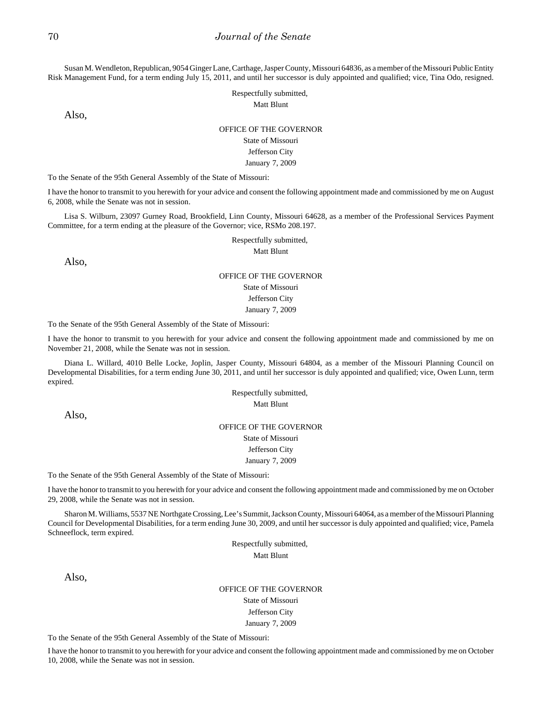Susan M. Wendleton, Republican, 9054 Ginger Lane, Carthage, Jasper County, Missouri 64836, as a member of the Missouri Public Entity Risk Management Fund, for a term ending July 15, 2011, and until her successor is duly appointed and qualified; vice, Tina Odo, resigned.

> Respectfully submitted, Matt Blunt

Also,

#### OFFICE OF THE GOVERNOR

State of Missouri

#### Jefferson City

#### January 7, 2009

To the Senate of the 95th General Assembly of the State of Missouri:

I have the honor to transmit to you herewith for your advice and consent the following appointment made and commissioned by me on August 6, 2008, while the Senate was not in session.

Lisa S. Wilburn, 23097 Gurney Road, Brookfield, Linn County, Missouri 64628, as a member of the Professional Services Payment Committee, for a term ending at the pleasure of the Governor; vice, RSMo 208.197.

Respectfully submitted,

Matt Blunt

Also,

### OFFICE OF THE GOVERNOR State of Missouri Jefferson City January 7, 2009

To the Senate of the 95th General Assembly of the State of Missouri:

I have the honor to transmit to you herewith for your advice and consent the following appointment made and commissioned by me on November 21, 2008, while the Senate was not in session.

Diana L. Willard, 4010 Belle Locke, Joplin, Jasper County, Missouri 64804, as a member of the Missouri Planning Council on Developmental Disabilities, for a term ending June 30, 2011, and until her successor is duly appointed and qualified; vice, Owen Lunn, term expired.

> Respectfully submitted, Matt Blunt

Also,

### OFFICE OF THE GOVERNOR State of Missouri Jefferson City

#### January 7, 2009

To the Senate of the 95th General Assembly of the State of Missouri:

I have the honor to transmit to you herewith for your advice and consent the following appointment made and commissioned by me on October 29, 2008, while the Senate was not in session.

Sharon M. Williams, 5537 NE Northgate Crossing, Lee's Summit, Jackson County, Missouri 64064, as a member of the Missouri Planning Council for Developmental Disabilities, for a term ending June 30, 2009, and until her successor is duly appointed and qualified; vice, Pamela Schneeflock, term expired.

> Respectfully submitted, Matt Blunt

Also,

## OFFICE OF THE GOVERNOR State of Missouri

Jefferson City January 7, 2009

To the Senate of the 95th General Assembly of the State of Missouri:

I have the honor to transmit to you herewith for your advice and consent the following appointment made and commissioned by me on October 10, 2008, while the Senate was not in session.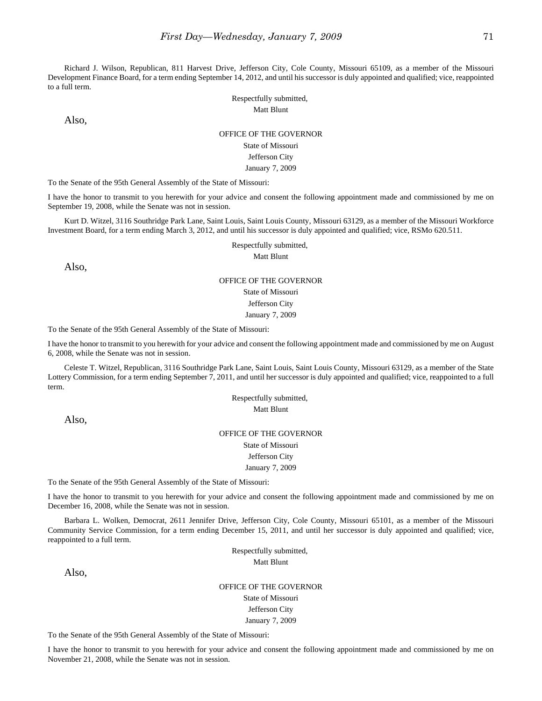Richard J. Wilson, Republican, 811 Harvest Drive, Jefferson City, Cole County, Missouri 65109, as a member of the Missouri Development Finance Board, for a term ending September 14, 2012, and until his successor is duly appointed and qualified; vice, reappointed to a full term.

Also,

### Respectfully submitted, Matt Blunt

OFFICE OF THE GOVERNOR

State of Missouri Jefferson City

January 7, 2009

To the Senate of the 95th General Assembly of the State of Missouri:

I have the honor to transmit to you herewith for your advice and consent the following appointment made and commissioned by me on September 19, 2008, while the Senate was not in session.

Kurt D. Witzel, 3116 Southridge Park Lane, Saint Louis, Saint Louis County, Missouri 63129, as a member of the Missouri Workforce Investment Board, for a term ending March 3, 2012, and until his successor is duly appointed and qualified; vice, RSMo 620.511.

Respectfully submitted,

Matt Blunt

Also,

## OFFICE OF THE GOVERNOR State of Missouri Jefferson City January 7, 2009

To the Senate of the 95th General Assembly of the State of Missouri:

I have the honor to transmit to you herewith for your advice and consent the following appointment made and commissioned by me on August 6, 2008, while the Senate was not in session.

Celeste T. Witzel, Republican, 3116 Southridge Park Lane, Saint Louis, Saint Louis County, Missouri 63129, as a member of the State Lottery Commission, for a term ending September 7, 2011, and until her successor is duly appointed and qualified; vice, reappointed to a full term.

> Respectfully submitted, Matt Blunt

Also,

## OFFICE OF THE GOVERNOR State of Missouri Jefferson City

January 7, 2009

To the Senate of the 95th General Assembly of the State of Missouri:

I have the honor to transmit to you herewith for your advice and consent the following appointment made and commissioned by me on December 16, 2008, while the Senate was not in session.

Barbara L. Wolken, Democrat, 2611 Jennifer Drive, Jefferson City, Cole County, Missouri 65101, as a member of the Missouri Community Service Commission, for a term ending December 15, 2011, and until her successor is duly appointed and qualified; vice, reappointed to a full term.

> Respectfully submitted, Matt Blunt

Also,

OFFICE OF THE GOVERNOR State of Missouri Jefferson City January 7, 2009

To the Senate of the 95th General Assembly of the State of Missouri:

I have the honor to transmit to you herewith for your advice and consent the following appointment made and commissioned by me on November 21, 2008, while the Senate was not in session.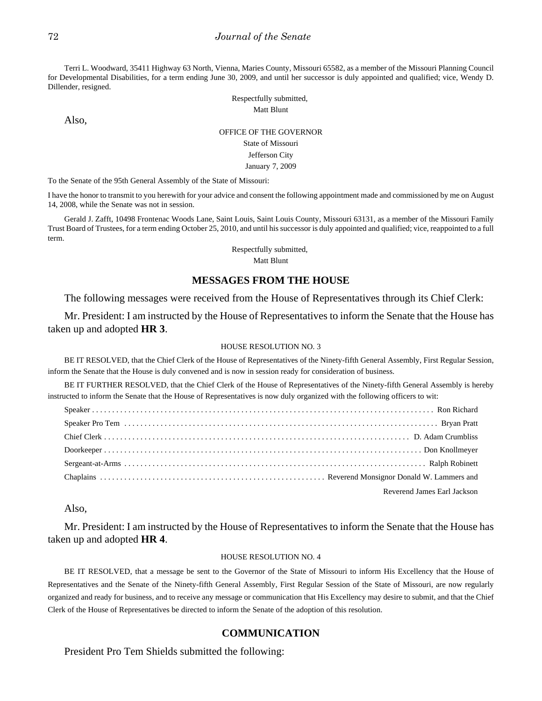Terri L. Woodward, 35411 Highway 63 North, Vienna, Maries County, Missouri 65582, as a member of the Missouri Planning Council for Developmental Disabilities, for a term ending June 30, 2009, and until her successor is duly appointed and qualified; vice, Wendy D. Dillender, resigned.

> Respectfully submitted, Matt Blunt

Also,

## OFFICE OF THE GOVERNOR State of Missouri Jefferson City January 7, 2009

To the Senate of the 95th General Assembly of the State of Missouri:

I have the honor to transmit to you herewith for your advice and consent the following appointment made and commissioned by me on August 14, 2008, while the Senate was not in session.

Gerald J. Zafft, 10498 Frontenac Woods Lane, Saint Louis, Saint Louis County, Missouri 63131, as a member of the Missouri Family Trust Board of Trustees, for a term ending October 25, 2010, and until his successor is duly appointed and qualified; vice, reappointed to a full term.

> Respectfully submitted, Matt Blunt

### **MESSAGES FROM THE HOUSE**

The following messages were received from the House of Representatives through its Chief Clerk:

Mr. President: I am instructed by the House of Representatives to inform the Senate that the House has taken up and adopted **HR 3**.

#### HOUSE RESOLUTION NO. 3

BE IT RESOLVED, that the Chief Clerk of the House of Representatives of the Ninety-fifth General Assembly, First Regular Session, inform the Senate that the House is duly convened and is now in session ready for consideration of business.

BE IT FURTHER RESOLVED, that the Chief Clerk of the House of Representatives of the Ninety-fifth General Assembly is hereby instructed to inform the Senate that the House of Representatives is now duly organized with the following officers to wit:

| Reverend James Earl Jackson |
|-----------------------------|

Also,

Mr. President: I am instructed by the House of Representatives to inform the Senate that the House has taken up and adopted **HR 4**.

#### HOUSE RESOLUTION NO. 4

BE IT RESOLVED, that a message be sent to the Governor of the State of Missouri to inform His Excellency that the House of Representatives and the Senate of the Ninety-fifth General Assembly, First Regular Session of the State of Missouri, are now regularly organized and ready for business, and to receive any message or communication that His Excellency may desire to submit, and that the Chief Clerk of the House of Representatives be directed to inform the Senate of the adoption of this resolution.

## **COMMUNICATION**

President Pro Tem Shields submitted the following: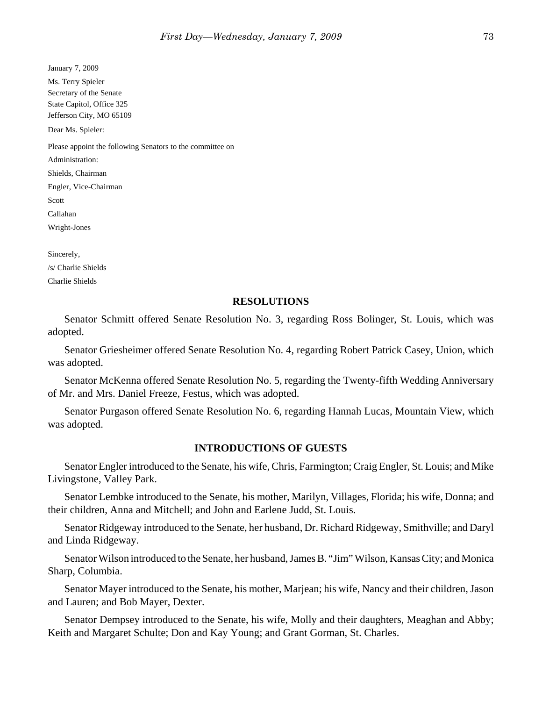| January 7, 2009                                           |
|-----------------------------------------------------------|
| Ms. Terry Spieler                                         |
| Secretary of the Senate                                   |
| State Capitol, Office 325                                 |
| Jefferson City, MO 65109                                  |
| Dear Ms. Spieler:                                         |
| Please appoint the following Senators to the committee on |
| Administration:                                           |
| Shields, Chairman                                         |
| Engler, Vice-Chairman                                     |
| Scott                                                     |
| Callahan                                                  |
| Wright-Jones                                              |
| Sincerely,                                                |
|                                                           |

/s/ Charlie Shields Charlie Shields

#### **RESOLUTIONS**

Senator Schmitt offered Senate Resolution No. 3, regarding Ross Bolinger, St. Louis, which was adopted.

Senator Griesheimer offered Senate Resolution No. 4, regarding Robert Patrick Casey, Union, which was adopted.

Senator McKenna offered Senate Resolution No. 5, regarding the Twenty-fifth Wedding Anniversary of Mr. and Mrs. Daniel Freeze, Festus, which was adopted.

Senator Purgason offered Senate Resolution No. 6, regarding Hannah Lucas, Mountain View, which was adopted.

#### **INTRODUCTIONS OF GUESTS**

Senator Engler introduced to the Senate, his wife, Chris, Farmington; Craig Engler, St. Louis; and Mike Livingstone, Valley Park.

Senator Lembke introduced to the Senate, his mother, Marilyn, Villages, Florida; his wife, Donna; and their children, Anna and Mitchell; and John and Earlene Judd, St. Louis.

Senator Ridgeway introduced to the Senate, her husband, Dr. Richard Ridgeway, Smithville; and Daryl and Linda Ridgeway.

Senator Wilson introduced to the Senate, her husband, James B. "Jim" Wilson, Kansas City; and Monica Sharp, Columbia.

Senator Mayer introduced to the Senate, his mother, Marjean; his wife, Nancy and their children, Jason and Lauren; and Bob Mayer, Dexter.

Senator Dempsey introduced to the Senate, his wife, Molly and their daughters, Meaghan and Abby; Keith and Margaret Schulte; Don and Kay Young; and Grant Gorman, St. Charles.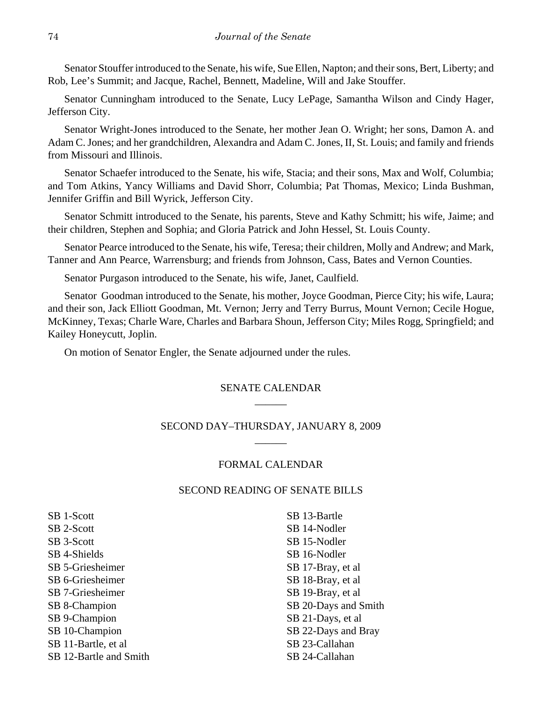Senator Stouffer introduced to the Senate, his wife, Sue Ellen, Napton; and their sons, Bert, Liberty; and Rob, Lee's Summit; and Jacque, Rachel, Bennett, Madeline, Will and Jake Stouffer.

Senator Cunningham introduced to the Senate, Lucy LePage, Samantha Wilson and Cindy Hager, Jefferson City.

Senator Wright-Jones introduced to the Senate, her mother Jean O. Wright; her sons, Damon A. and Adam C. Jones; and her grandchildren, Alexandra and Adam C. Jones, II, St. Louis; and family and friends from Missouri and Illinois.

Senator Schaefer introduced to the Senate, his wife, Stacia; and their sons, Max and Wolf, Columbia; and Tom Atkins, Yancy Williams and David Shorr, Columbia; Pat Thomas, Mexico; Linda Bushman, Jennifer Griffin and Bill Wyrick, Jefferson City.

Senator Schmitt introduced to the Senate, his parents, Steve and Kathy Schmitt; his wife, Jaime; and their children, Stephen and Sophia; and Gloria Patrick and John Hessel, St. Louis County.

Senator Pearce introduced to the Senate, his wife, Teresa; their children, Molly and Andrew; and Mark, Tanner and Ann Pearce, Warrensburg; and friends from Johnson, Cass, Bates and Vernon Counties.

Senator Purgason introduced to the Senate, his wife, Janet, Caulfield.

Senator Goodman introduced to the Senate, his mother, Joyce Goodman, Pierce City; his wife, Laura; and their son, Jack Elliott Goodman, Mt. Vernon; Jerry and Terry Burrus, Mount Vernon; Cecile Hogue, McKinney, Texas; Charle Ware, Charles and Barbara Shoun, Jefferson City; Miles Rogg, Springfield; and Kailey Honeycutt, Joplin.

On motion of Senator Engler, the Senate adjourned under the rules.

# SENATE CALENDAR  $\overline{\phantom{a}}$

## SECOND DAY–THURSDAY, JANUARY 8, 2009  $\overline{\phantom{a}}$

## FORMAL CALENDAR

## SECOND READING OF SENATE BILLS

SB 1-Scott SB 2-Scott SB 3-Scott SB 4-Shields SB 5-Griesheimer SB 6-Griesheimer SB 7-Griesheimer SB 8-Champion SB 9-Champion SB 10-Champion SB 11-Bartle, et al SB 12-Bartle and Smith

SB 13-Bartle SB 14-Nodler SB 15-Nodler SB 16-Nodler SB 17-Bray, et al SB 18-Bray, et al SB 19-Bray, et al SB 20-Days and Smith SB 21-Days, et al SB 22-Days and Bray SB 23-Callahan SB 24-Callahan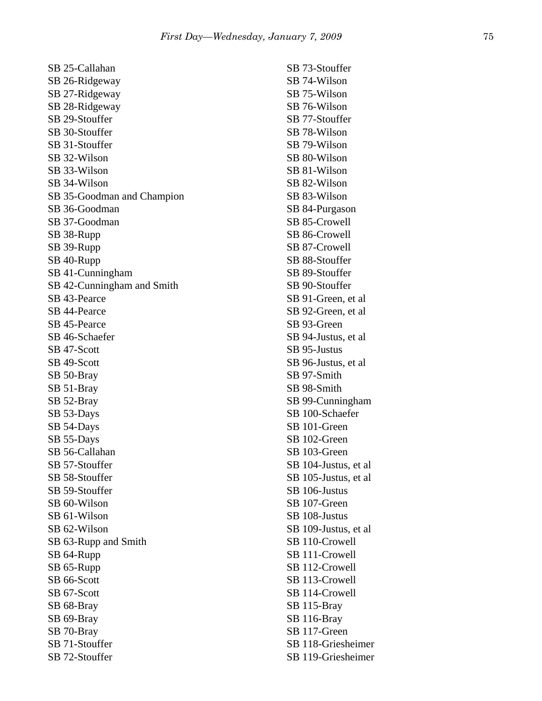| SB 25-Callahan             | SB 73-Stouffer        |
|----------------------------|-----------------------|
| SB 26-Ridgeway             | SB 74-Wilson          |
| SB 27-Ridgeway             | SB 75-Wilson          |
| SB 28-Ridgeway             | SB 76-Wilson          |
| SB 29-Stouffer             | SB 77-Stouffer        |
| SB 30-Stouffer             | SB 78-Wilson          |
| SB 31-Stouffer             | SB 79-Wilson          |
| SB 32-Wilson               | SB 80-Wilson          |
|                            |                       |
| SB 33-Wilson               | SB 81-Wilson          |
| SB 34-Wilson               | SB 82-Wilson          |
| SB 35-Goodman and Champion | SB 83-Wilson          |
| SB 36-Goodman              | SB 84-Purgason        |
| SB 37-Goodman              | SB 85-Crowell         |
| SB 38-Rupp                 | SB 86-Crowell         |
| SB 39-Rupp                 | SB 87-Crowell         |
| SB 40-Rupp                 | SB 88-Stouffer        |
| SB 41-Cunningham           | SB 89-Stouffer        |
| SB 42-Cunningham and Smith | SB 90-Stouffer        |
| SB 43-Pearce               | SB 91-Green, et al    |
| SB 44-Pearce               | SB 92-Green, et al    |
| SB 45-Pearce               | SB 93-Green           |
| SB 46-Schaefer             | SB 94-Justus, et al   |
| SB 47-Scott                | SB 95-Justus          |
| SB 49-Scott                | SB 96-Justus, et al   |
| SB 50-Bray                 | SB 97-Smith           |
| SB 51-Bray                 | SB 98-Smith           |
| SB 52-Bray                 | SB 99-Cunningham      |
| SB 53-Days                 | SB 100-Schaefer       |
| SB 54-Days                 | SB 101-Green          |
| SB 55-Days                 | SB 102-Green          |
| SB 56-Callahan             | SB 103-Green          |
| SB 57-Stouffer             | SB 104-Justus, et al  |
| SB 58-Stouffer             |                       |
|                            | SB 105-Justus, et al. |
| SB 59-Stouffer             | SB 106-Justus         |
| SB 60-Wilson               | SB 107-Green          |
| SB 61-Wilson               | SB 108-Justus         |
| SB 62-Wilson               | SB 109-Justus, et al. |
| SB 63-Rupp and Smith       | SB 110-Crowell        |
| SB 64-Rupp                 | SB 111-Crowell        |
| SB 65-Rupp                 | SB 112-Crowell        |
| SB 66-Scott                | SB 113-Crowell        |
| SB 67-Scott                | SB 114-Crowell        |
| SB 68-Bray                 | SB 115-Bray           |
| SB 69-Bray                 | SB 116-Bray           |
| SB 70-Bray                 | SB 117-Green          |
| SB 71-Stouffer             | SB 118-Griesheimer    |
| SB 72-Stouffer             | SB 119-Griesheimer    |
|                            |                       |